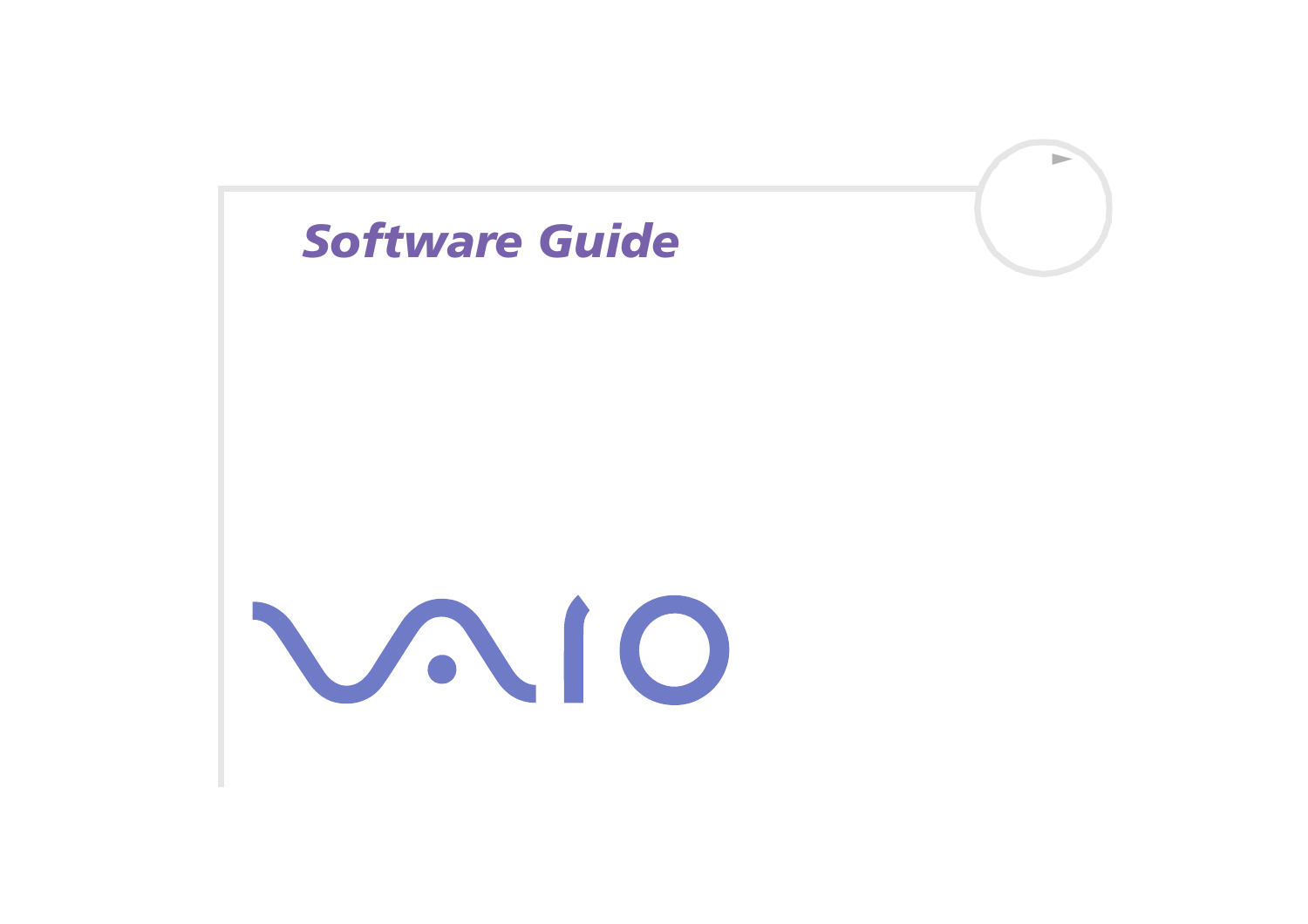<span id="page-0-0"></span>

 $\Rightarrow$ 

VAIO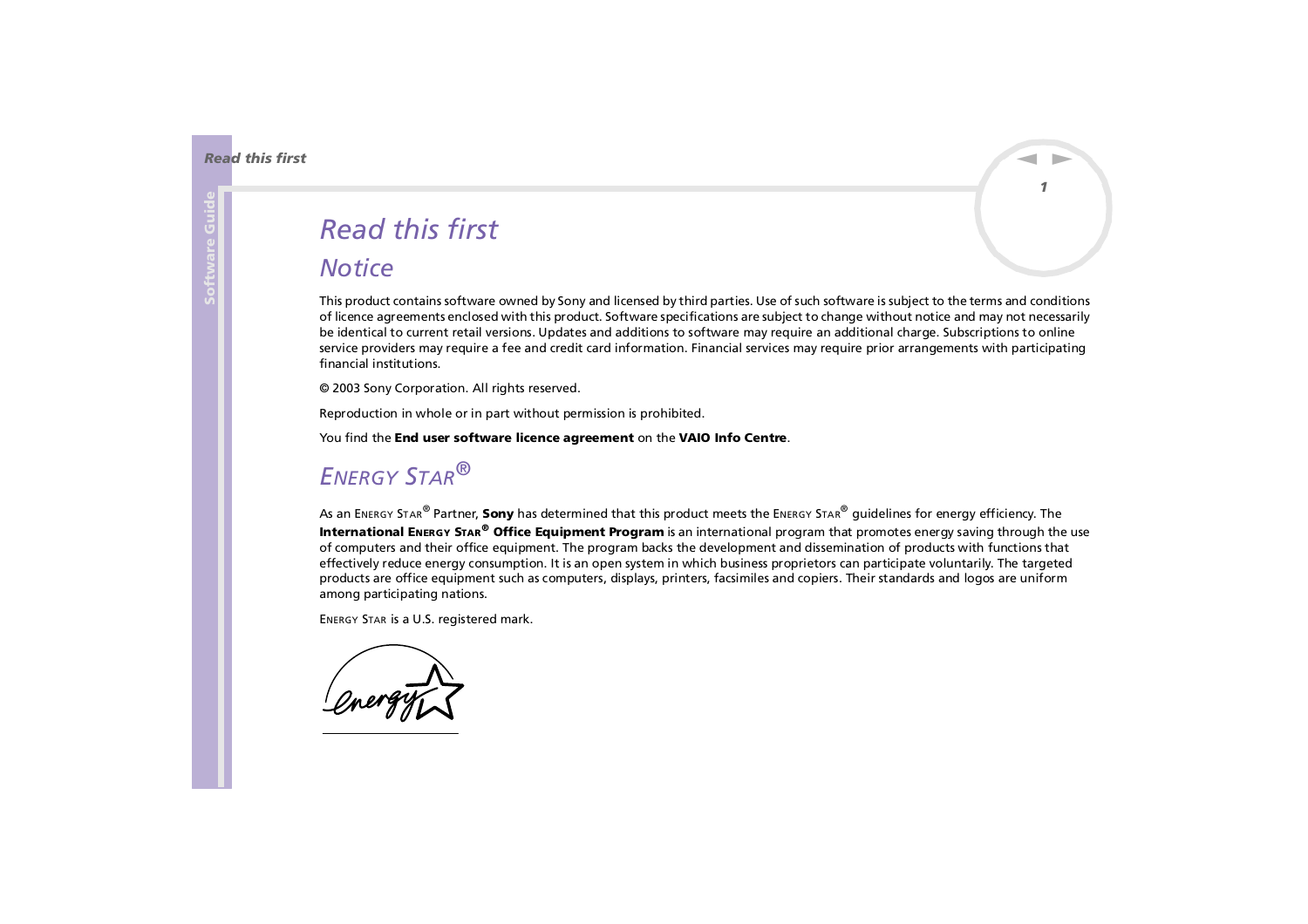# <span id="page-1-0"></span>*Read this first*

### *Notice*

This product contains software owned by Sony and licensed by third parties. Use of such software is subject to the terms and conditions of licence agreements enclosed with this product. Software specifications are subject to change without notice and may not necessarily be identical to current retail versions. Updates and additions to software may require an additional charge. Subscriptions to online service providers may require a fee and credit card information. Financial services may require prior arrangements with participating financial institutions.

*1*

 $\blacktriangleright$ 

 $\lhd$ 

© 2003 Sony Corporation. All rights reserved.

Reproduction in whole or in part without permission is prohibited.

You find the **End user software licence agreement** on the **VAIO Info Centre**.

# *ENERGY STAR®*

As an ENERGY STAR® Partner, **Sony** has determined that this product meets the ENERGY STAR® guidelines for energy efficiency. The **International ENERGY STAR® Office Equipment Program** is an international program that promotes energy saving through the use of computers and their office equipment. The program backs the development and dissemination of products with functions that effectively reduce energy consumption. It is an open system in which business proprietors can participate voluntarily. The targeted products are office equipment such as computers, displays, printers, facsimiles and copiers. Their standards and logos are uniform among participating nations.

ENERGY STAR is a U.S. registered mark.

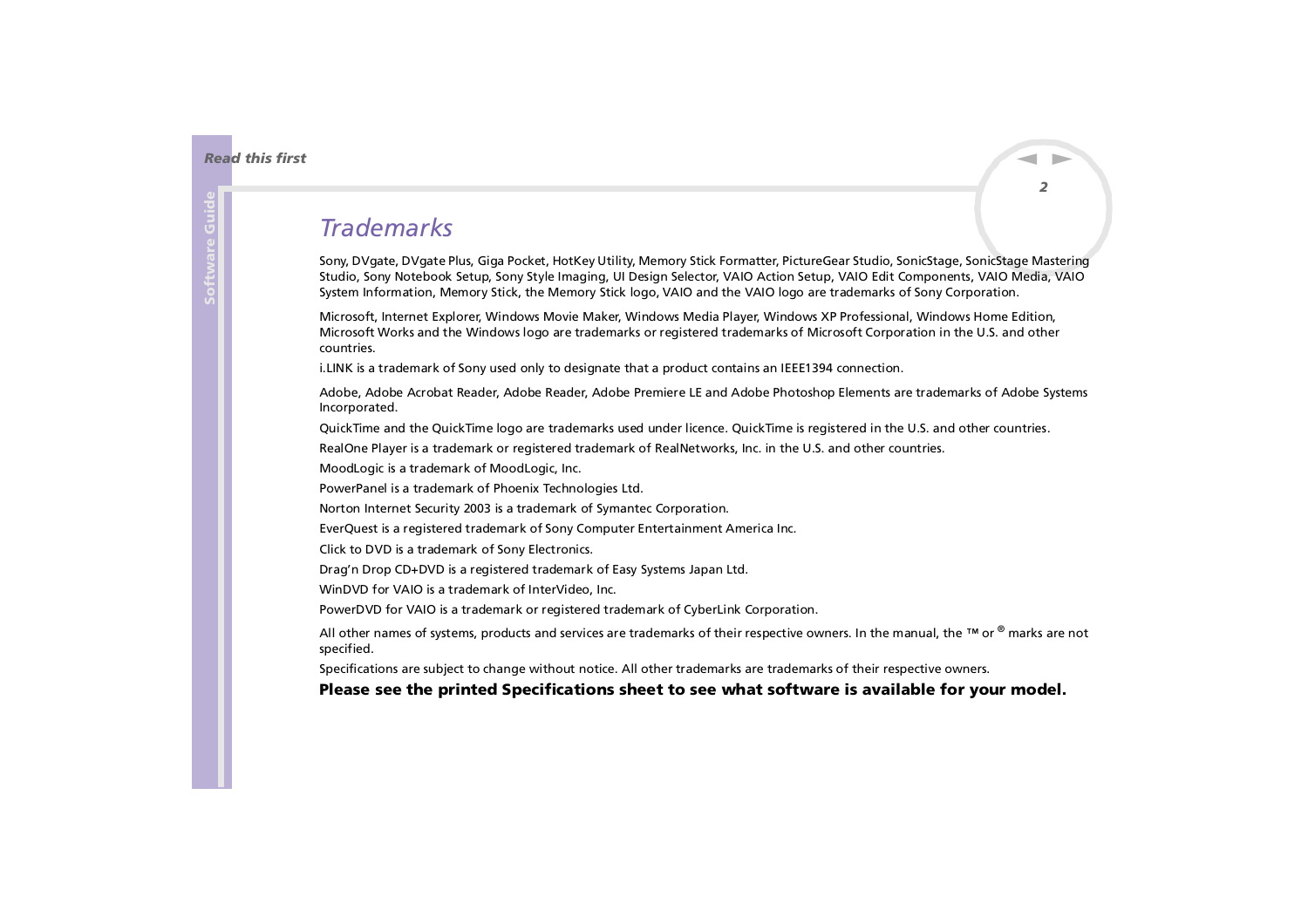### <span id="page-2-0"></span>*Trademarks*

Sony, DVgate, DVgate Plus, Giga Pocket, HotKey Utility, Memory Stick Formatter, PictureGear Studio, SonicStage, SonicStage Mastering Studio, Sony Notebook Setup, Sony Style Imaging, UI Design Selector, VAIO Action Setup, VAIO Edit Components, VAIO Media, VAIO System Information, Memory Stick, the Memory Stick logo, VAIO and the VAIO logo are trademarks of Sony Corporation.

Microsoft, Internet Explorer, Windows Movie Maker, Windows Media Player, Windows XP Professional, Windows Home Edition, Microsoft Works and the Windows logo are trademarks or registered trademarks of Microsoft Corporation in the U.S. and other countries.

i.LINK is a trademark of Sony used only to designate that a product contains an IEEE1394 connection.

Adobe, Adobe Acrobat Reader, Adobe Reader, Adobe Premiere LE and Adobe Photoshop Elements are trademarks of Adobe Systems Incorporated.

QuickTime and the QuickTime logo are trademarks used under licence. QuickTime is registered in the U.S. and other countries.

RealOne Player is a trademark or registered trademark of RealNetworks, Inc. in the U.S. and other countries.

MoodLogic is a trademark of MoodLogic, Inc.

PowerPanel is a trademark of Phoenix Technologies Ltd.

Norton Internet Security 2003 is a trademark of Symantec Corporation.

EverQuest is a registered trademark of Sony Computer Entertainment America Inc.

Click to DVD is a trademark of Sony Electronics.

Drag'n Drop CD+DVD is a registered trademark of Easy Systems Japan Ltd.

WinDVD for VAIO is a trademark of InterVideo, Inc.

PowerDVD for VAIO is a trademark or registered trademark of CyberLink Corporation.

All other names of systems, products and services are trademarks of their respective owners. In the manual, the ™ or ® marks are not specified.

Specifications are subject to change without notice. All other trademarks are trademarks of their respective owners.

#### **Please see the printed Specifications sheet to see what software is available for your model.**

 $\blacktriangleright$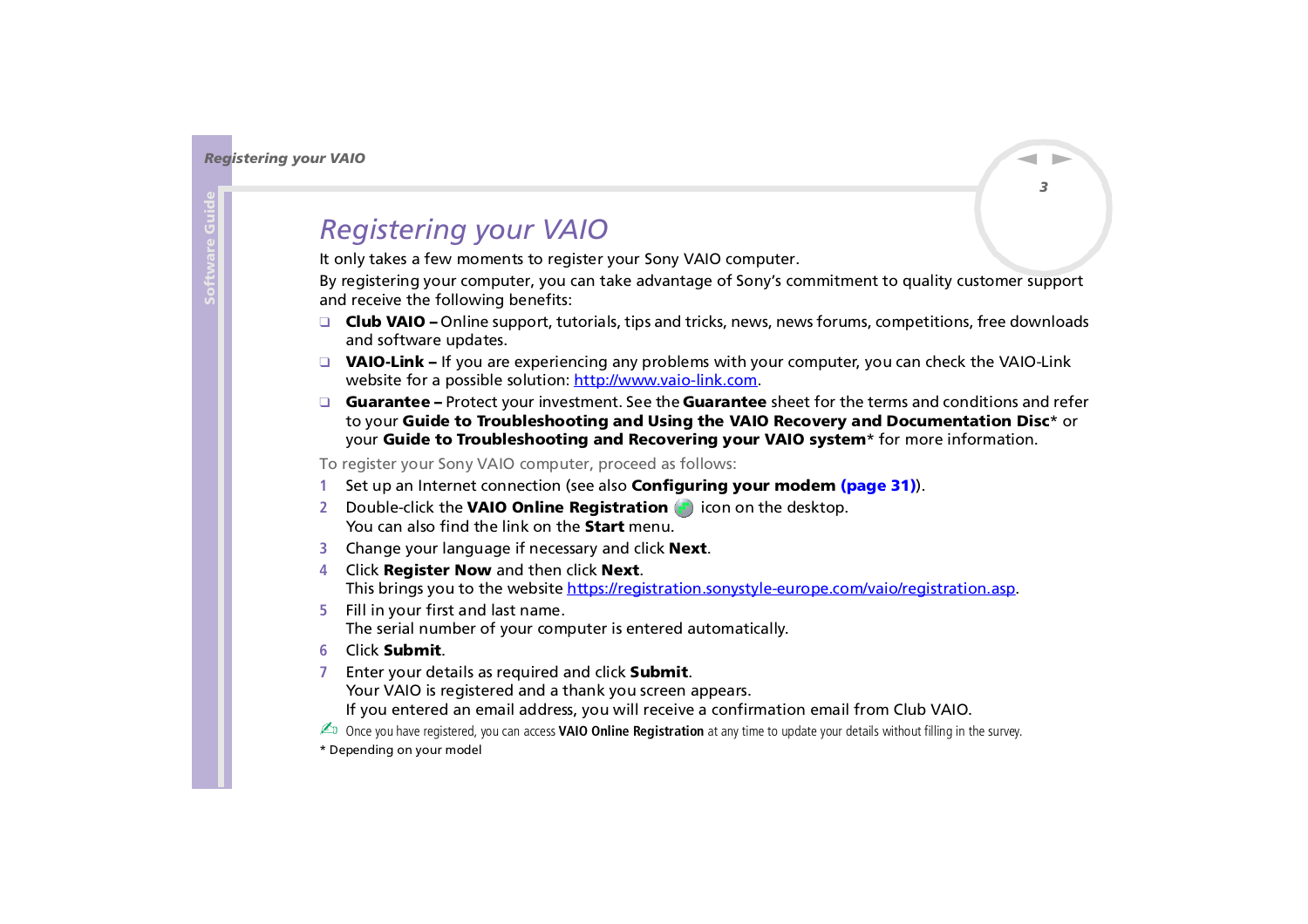# <span id="page-3-0"></span>*Registering your VAIO*

It only takes a few moments to register your Sony VAIO computer.

By registering your computer, you can take advantage of Sony's commitment to quality customer support and receive the following benefits:

- ❑ **Club VAIO –** Online support, tutorials, tips and tricks, news, news forums, competitions, free downloads and software updates.
- ❑ **VAIO-Link –** If you are experiencing any problems with your computer, you can check the VAIO-Link website for a possible solution: <http://www.vaio-link.com>.
- ❑ **Guarantee –** Protect your investment. See the **Guarantee** sheet for the terms and conditions and refer to your **Guide to Troubleshooting and Using the VAIO Recovery and Documentation Disc**\* or your **Guide to Troubleshooting and Recovering your VAIO system**\* for more information.

To register your Sony VAIO computer, proceed as follows:

- **1**Set up an Internet connection (see also **[Configuring your modem \(page](#page-31-0) 31)**).
- **2** Double-click the **VAIO Online Registration** icon on the desktop. You can also find the link on the **Start** menu.
- **3** Change your language if necessary and click **Next**.
- **4** Click **Register Now** and then click **Next**. This brings you to the website<https://registration.sonystyle-europe.com/vaio/registration.asp>.
- **5** Fill in your first and last name. The serial number of your computer is entered automatically.
- **6**Click **Submit**.
- **7** Enter your details as required and click **Submit**. Your VAIO is registered and a thank you screen appears. If you entered an email address, you will receive a confirmation email from Club VAIO.

**ED** Once you have registered, you can access **VAIO Online Registration** at any time to update your details without filling in the survey.

\* Depending on your model

 $\blacktriangleright$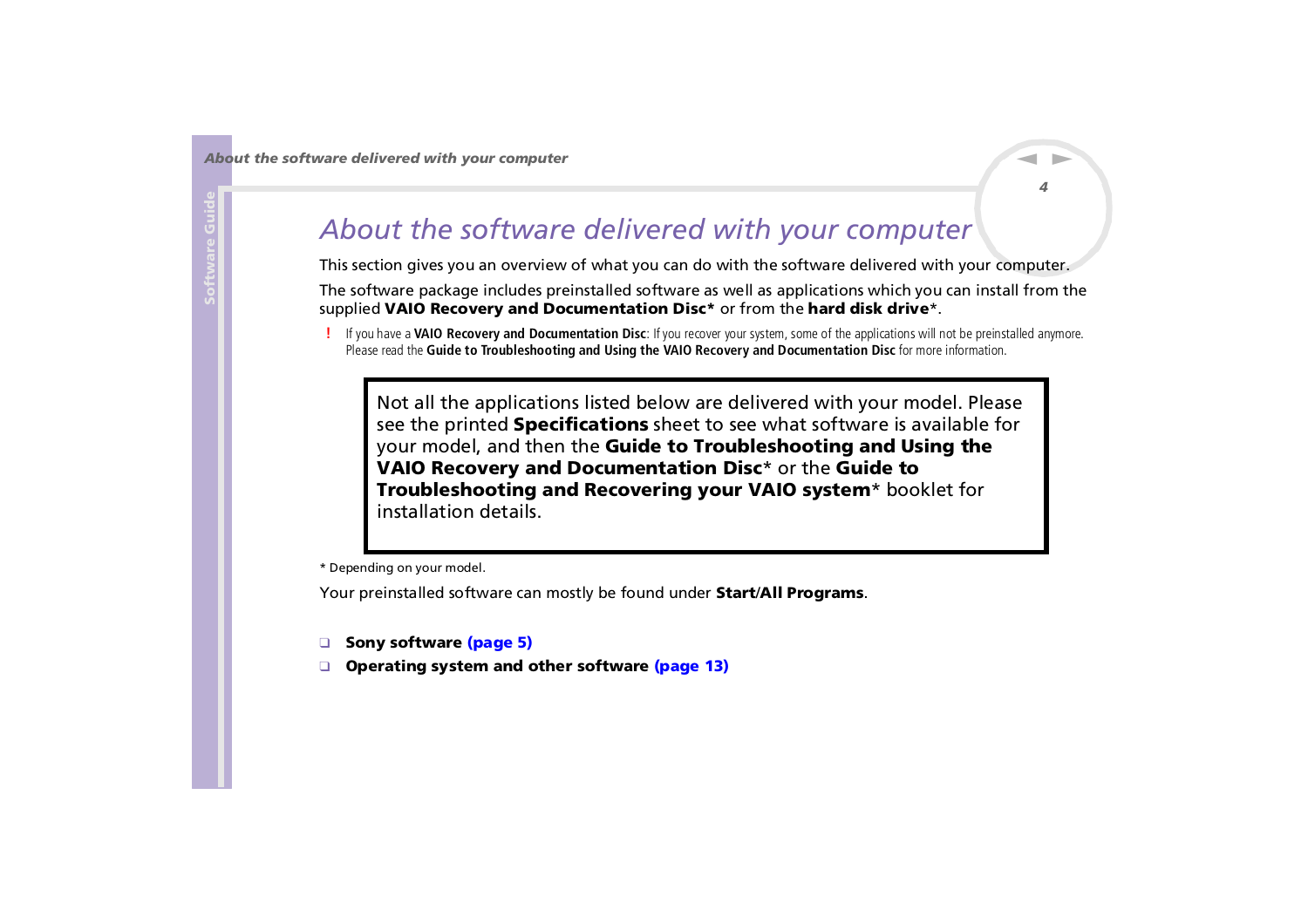# <span id="page-4-0"></span>*About the software delivered with your computer*

This section gives you an overview of what you can do with the software delivered with your computer.

*4*

 $\blacktriangleright$ 

 $\lhd$ 

The software package includes preinstalled software as well as applications which you can install from the supplied **VAIO Recovery and Documentation Disc\*** or from the **hard disk drive**\*.

**!** If you have a **VAIO Recovery and Documentation Disc**: If you recover your system, some of the applications will not be preinstalled anymore. Please read the **Guide to Troubleshooting and Using the VAIO Recovery and Documentation Disc** for more information.

Not all the applications listed below are delivered with your model. Please see the printed **Specifications** sheet to see what software is available for your model, and then the **Guide to Troubleshooting and Using the VAIO Recovery and Documentation Disc**\* or the **Guide to Troubleshooting and Recovering your VAIO system**\* booklet for installation details.

\* Depending on your model.

Your preinstalled software can mostly be found under **Start**/**All Programs**.

- ❑**[Sony software \(page](#page-5-1) 5)**
- ❑**[Operating system and other software \(page](#page-13-0) 13)**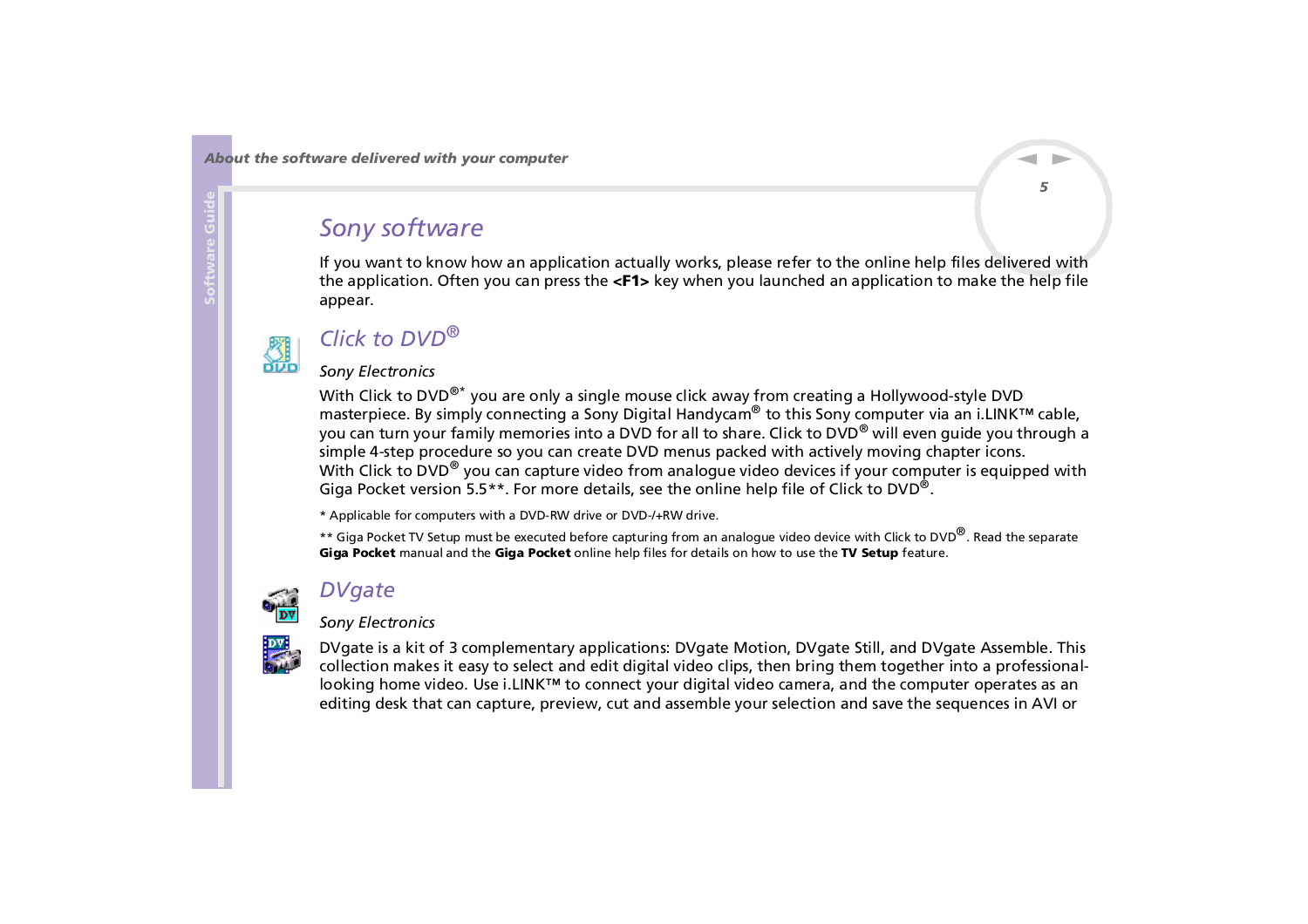## <span id="page-5-1"></span><span id="page-5-0"></span>*Sony software*

If you want to know how an application actually works, please refer to the online help files delivered with the application. Often you can press the **<F1>** key when you launched an application to make the help file appear.



## *Click to DVD®*

#### *Sony Electronics*

With Click to DVD<sup>®\*</sup> you are only a single mouse click away from creating a Hollywood-style DVD masterpiece. By simply connecting a Sony Digital Handycam® to this Sony computer via an i.LINK™ cable, you can turn your family memories into a DVD for all to share. Click to DVD® will even guide you through a simple 4-step procedure so you can create DVD menus packed with actively moving chapter icons. With Click to DVD<sup>®</sup> you can capture video from analogue video devices if your computer is equipped with Giga Pocket version 5.5\*\*. For more details, see the online help file of Click to DVD<sup>®</sup>.

\* Applicable for computers with a DVD-RW drive or DVD-/+RW drive.

\*\* Giga Pocket TV Setup must be executed before capturing from an analogue video device with Click to DVD<sup>®</sup>. Read the separate **Giga Pocket** manual and the **Giga Pocket** online help files for details on how to use the **TV Setup** feature.



## *DVgate*

### *Sony Electronics*



DVgate is a kit of 3 complementary applications: DVgate Motion, DVgate Still, and DVgate Assemble. This collection makes it easy to select and edit digital video clips, then bring them together into a professionallooking home video. Use i.LINK™ to connect your digital video camera, and the computer operates as an editing desk that can capture, preview, cut and assemble your selection and save the sequences in AVI or

 $\blacktriangleright$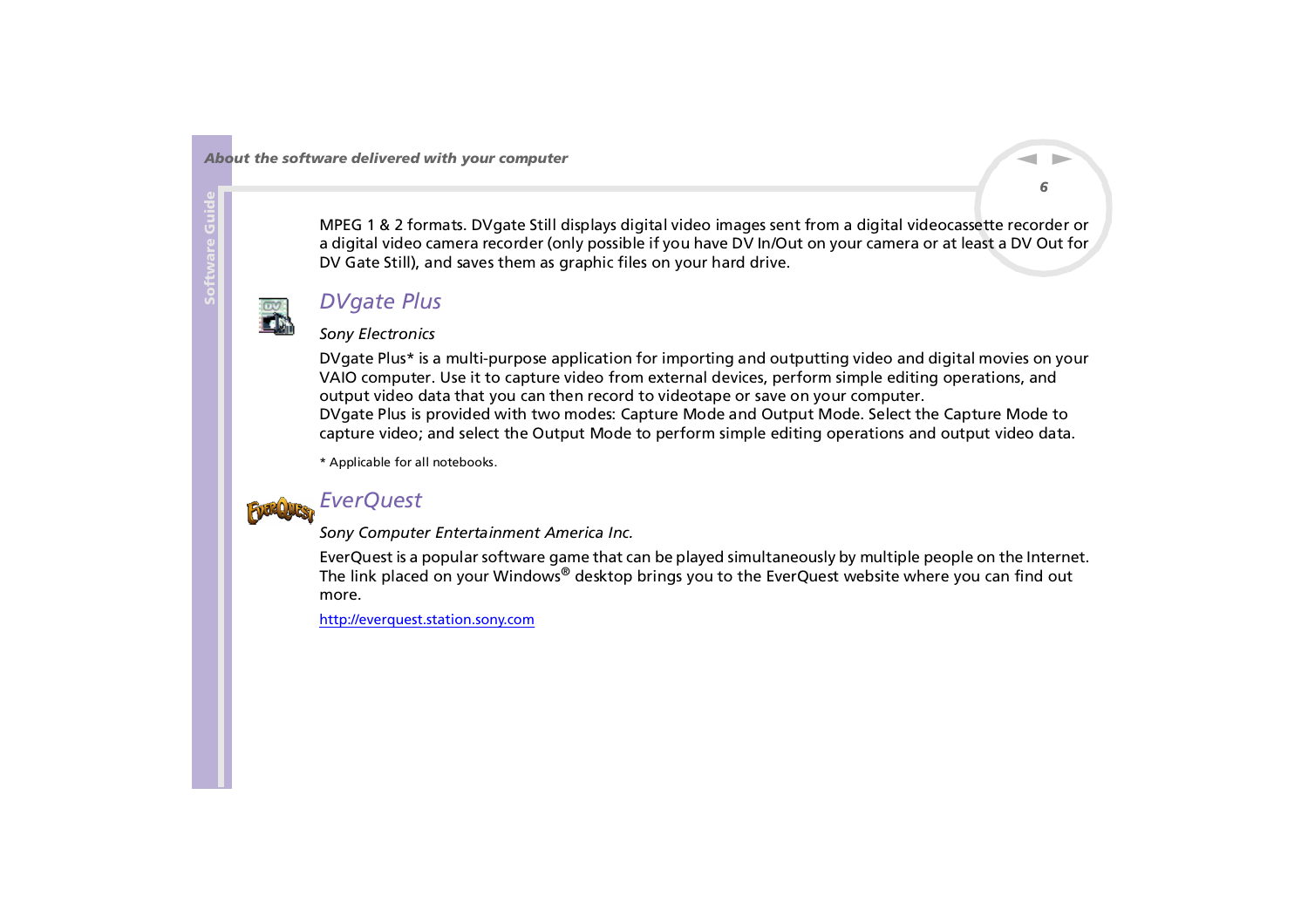<span id="page-6-0"></span>MPEG 1 & 2 formats. DVgate Still displays digital video images sent from a digital videocassette recorder or a digital video camera recorder (only possible if you have DV In/Out on your camera or at least a DV Out for DV Gate Still), and saves them as graphic files on your hard drive.

*6*

 $\blacktriangleright$ 

 $\lhd$ 



### *DVgate Plus*

#### *Sony Electronics*

DVgate Plus\* is a multi-purpose application for importing and outputting video and digital movies on your VAIO computer. Use it to capture video from external devices, perform simple editing operations, and output video data that you can then record to videotape or save on your computer. DVgate Plus is provided with two modes: Capture Mode and Output Mode. Select the Capture Mode to capture video; and select the Output Mode to perform simple editing operations and output video data.

\* Applicable for all notebooks.



### *EverQuest*

*Sony Computer Entertainment America Inc.*

EverQuest is a popular software game that can be played simultaneously by multiple people on the Internet. The link placed on your Windows® desktop brings you to the EverQuest website where you can find out more.

<http://everquest.station.sony.com>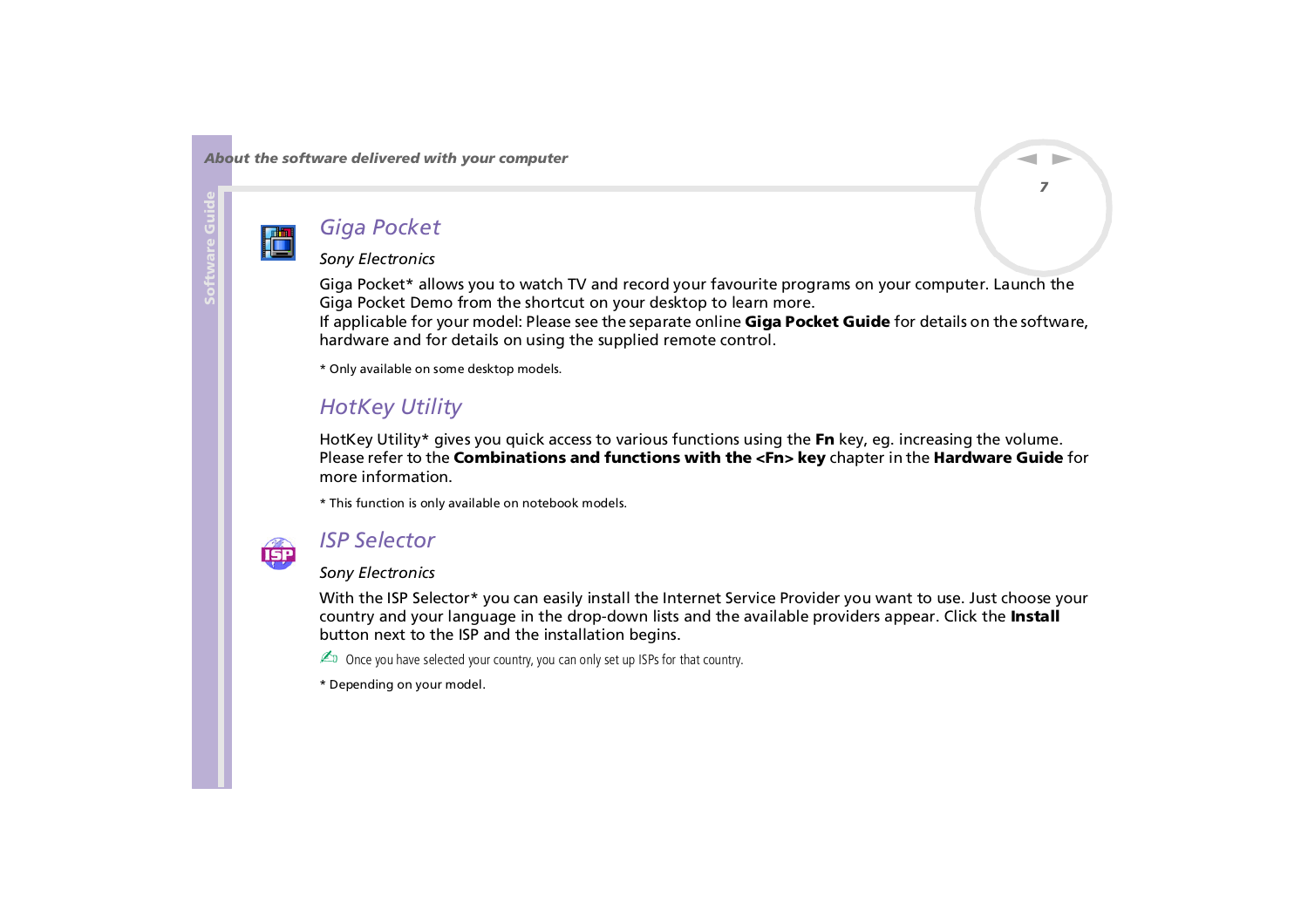<span id="page-7-0"></span>**Software Guide**

## *Giga Pocket*

#### *Sony Electronics*

Giga Pocket\* allows you to watch TV and record your favourite programs on your computer. Launch the Giga Pocket Demo from the shortcut on your desktop to learn more. If applicable for your model: Please see the separate online **Giga Pocket Guide** for details on the software, hardware and for details on using the supplied remote control.

\* Only available on some desktop models.

## *HotKey Utility*

HotKey Utility\* gives you quick access to various functions using the **Fn** key, eg. increasing the volume. Please refer to the **Combinations and functions with the <Fn> key** chapter in the **Hardware Guide** for more information.

\* This function is only available on notebook models.



### *ISP Selector*

### *Sony Electronics*

With the ISP Selector\* you can easily install the Internet Service Provider you want to use. Just choose your [country and your language in the drop-down lists and the available providers appear. Click the](http://everquest.station.sony.com) **Install** button next to the ISP and the installation begins.

**ED** Once you have selected your country, you can only set up ISPs for that country.

\* Depending on your model.

 $\blacktriangleright$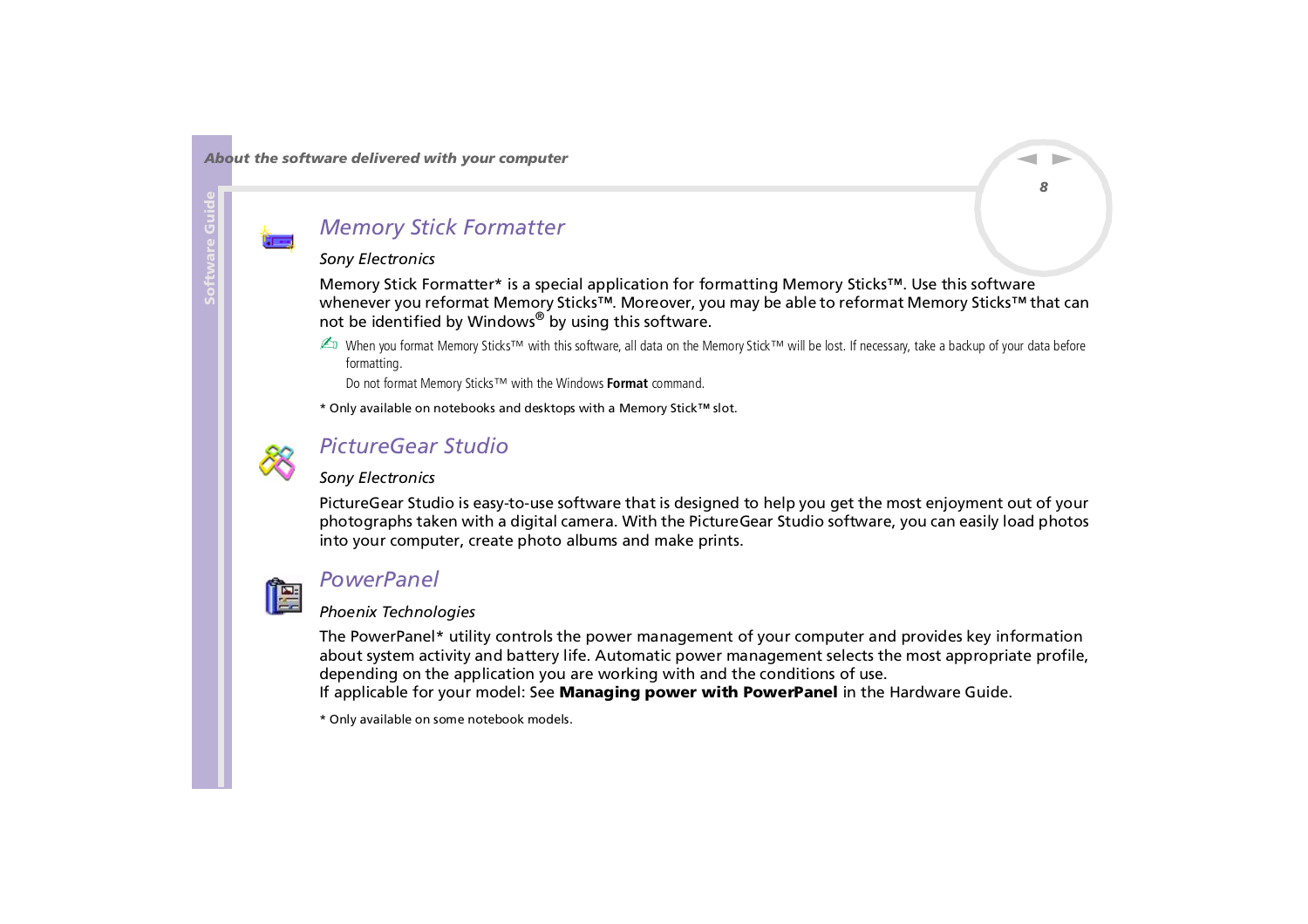### <span id="page-8-0"></span>*Memory Stick Formatter*

#### *Sony Electronics*

Memory Stick Formatter\* is a special application for formatting Memory Sticks™. Use this software whenever you reformat Memory Sticks™. Moreover, you may be able to reformat Memory Sticks™ that can not be identified by Windows® by using this software.

✍ When you format Memory Sticks™ with this software, all data on the Memory Stick™ will be lost. If necessary, take a backup of your data before formatting.

Do not format Memory Sticks™ with the Windows **Format** command.

\* Only available on notebooks and desktops with a Memory Stick™ slot.



### *PictureGear Studio*

### *Sony Electronics*

PictureGear Studio is easy-to-use software that is designed to help you get the most enjoyment out of your photographs taken with a digital camera. With the PictureGear Studio software, you can easily load photos into your computer, create photo albums and make prints.



### *PowerPanel*

### *Phoenix Technologies*

The PowerPanel\* utility controls the power management of your computer and provides key information about system activity and battery life. Automatic power management selects the most appropriate profile, depending on the application you are working with and the conditions of use. If applicable for your model: See **Managing power with PowerPanel** in the Hardware Guide.

\* Only available on some notebook models.

 $\blacktriangleright$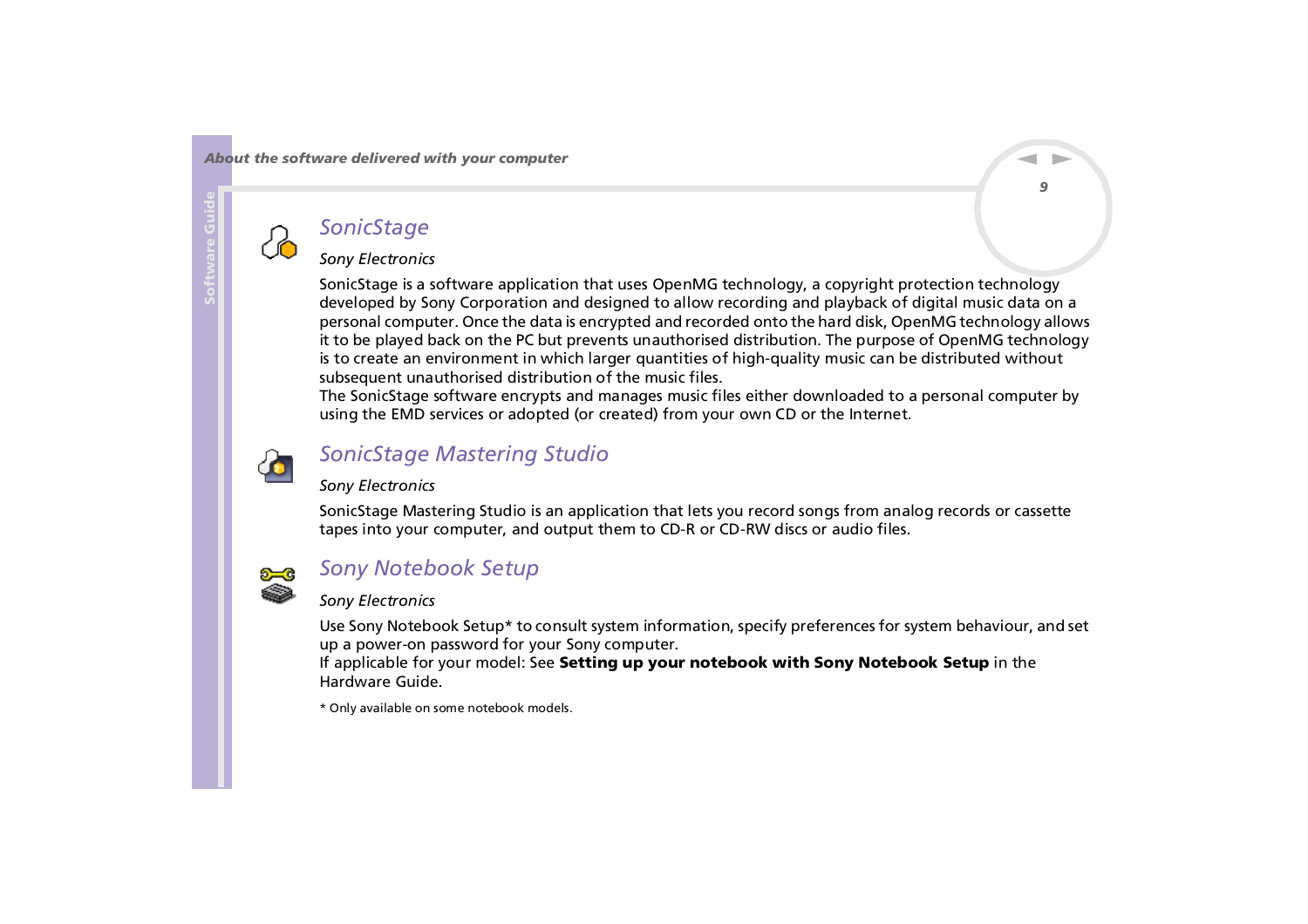## <span id="page-9-0"></span>*SonicStage*

### *Sony Electronics*

SonicStage is a software application that uses OpenMG technology, a copyright protection technology developed by Sony Corporation and designed to allow recording and playback of digital music data on a personal computer. Once the data is encrypted and recorded onto the hard disk, OpenMG technology allows it to be played back on the PC but prevents unauthorised distribution. The purpose of OpenMG technology is to create an environment in which larger quantities of high-quality music can be distributed without subsequent unauthorised distribution of the music files.

The SonicStage software encrypts and manages music files either downloaded to a personal computer by using the EMD services or adopted (or created) from your own CD or the Internet.



## *SonicStage Mastering Studio*

#### *Sony Electronics*

SonicStage Mastering Studio is an application that lets you record songs from analog records or cassette tapes into your computer, and output them to CD-R or CD-RW discs or audio files.



### *Sony Notebook Setup*

#### *Sony Electronics*

Use Sony Notebook Setup\* to consult system information, specify preferences for system behaviour, and set up a power-on password for your Sony computer.

If applicable for your model: See **Setting up your notebook with Sony Notebook Setup** in the Hardware Guide.

\* Only available on some notebook models.

 $\blacktriangleright$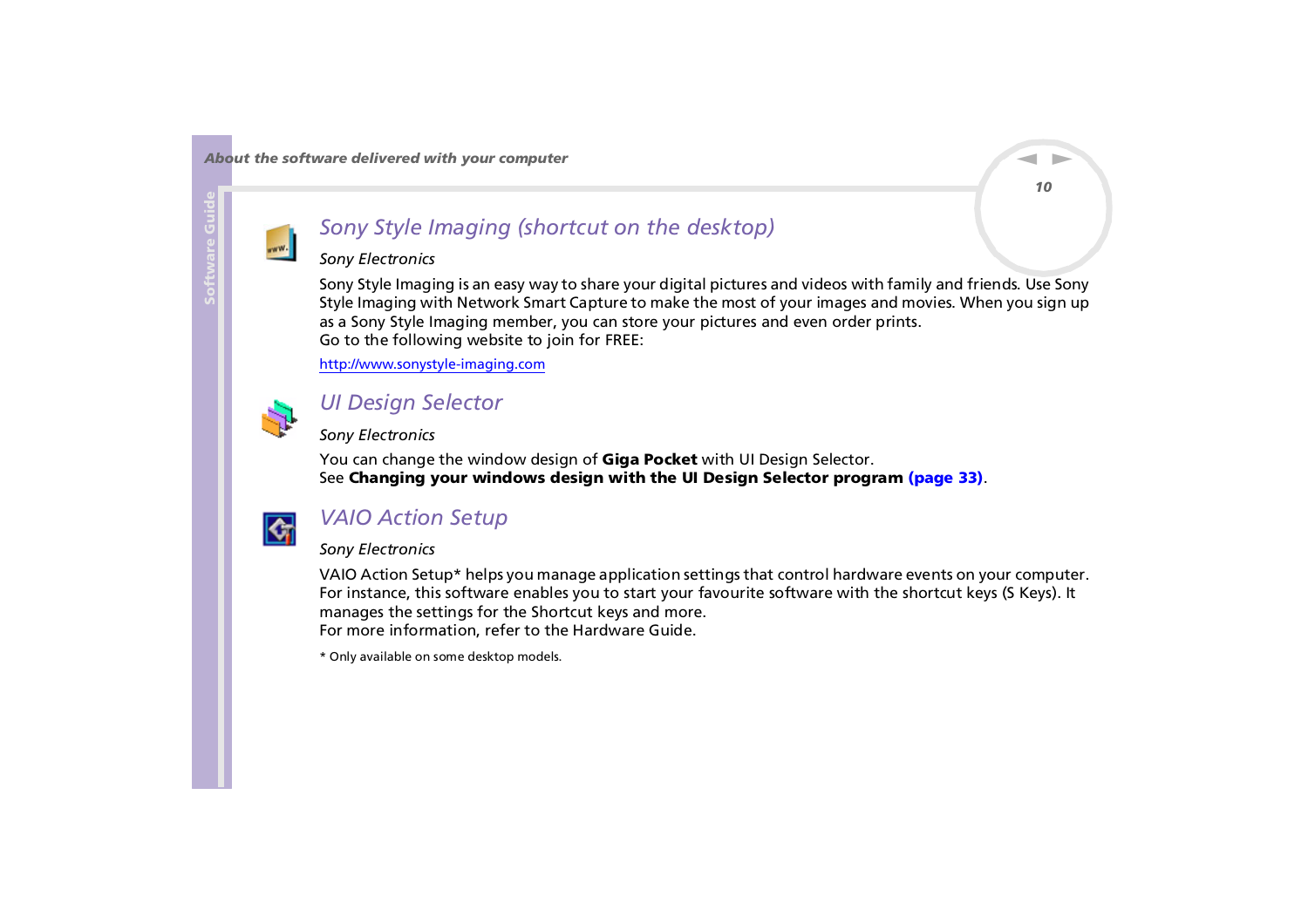<span id="page-10-0"></span>

## *Sony Style Imaging (shortcut on the desktop)*

#### *Sony Electronics*

Sony Style Imaging is an easy way to share your digital pictures and videos with family and friends. Use Sony Style Imaging with Network Smart Capture to make the most of your images and movies. When you sign up as a Sony Style Imaging member, you can store your pictures and even order prints. Go to the following website to join for FREE:

<http://www.sonystyle-imaging.com>



### *UI Design Selector*

*Sony Electronics*

You can change the window design of **Giga Pocket** with UI Design Selector. See **[Changing your windows design with the UI Design Selector program \(page](#page-33-0) 33)**.



### *VAIO Action Setup*

#### *Sony Electronics*

VAIO Action Setup\* helps you manage application settings that control hardware events on your computer. For instance, this software enables you to start your favourite software with the shortcut keys (S Keys). It manages the settings for the Shortcut keys and more. For more information, refer to the Hardware Guide.

\* Only available on some desktop models.

 $\blacktriangleright$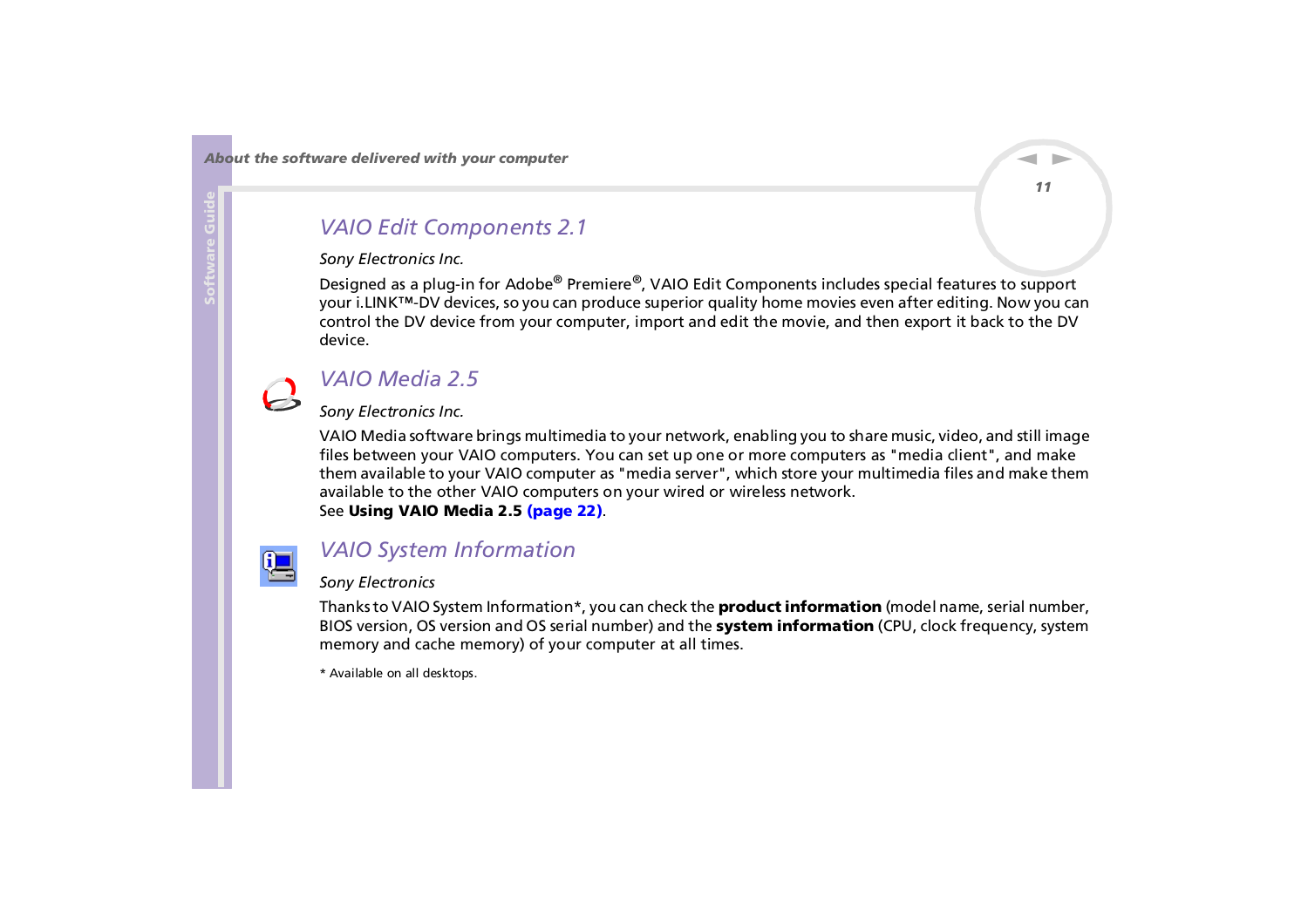### <span id="page-11-0"></span>*VAIO Edit Components 2.1*

#### *Sony Electronics Inc.*

Designed as a plug-in for Adobe® Premiere®, VAIO Edit Components includes special features to support your i.LINK™-DV devices, so you can produce superior quality home movies even after editing. Now you can control the DV device from your computer, import and edit the movie, and then export it back to the DV device.

### *VAIO Media 2.5*

#### *Sony Electronics Inc.*

VAIO Media software brings multimedia to your network, enabling you to share music, video, and still image files between your VAIO computers. You can set up one or more computers as "media client", and make them available to your VAIO computer as "media server", which store your multimedia files and make them available to the other VAIO computers on your wired or wireless network. See **[Using VAIO Media 2.5 \(page](#page-22-0) 22)**.



### *VAIO System Information*

#### *Sony Electronics*

Thanks to VAIO System Information\*, you can check the **product information** (model name, serial number, BIOS version, OS version and OS serial number) and the **system information** (CPU, clock frequency, system memory and cache memory) of your computer at all times.

\* Available on all desktops.

 $\blacktriangleright$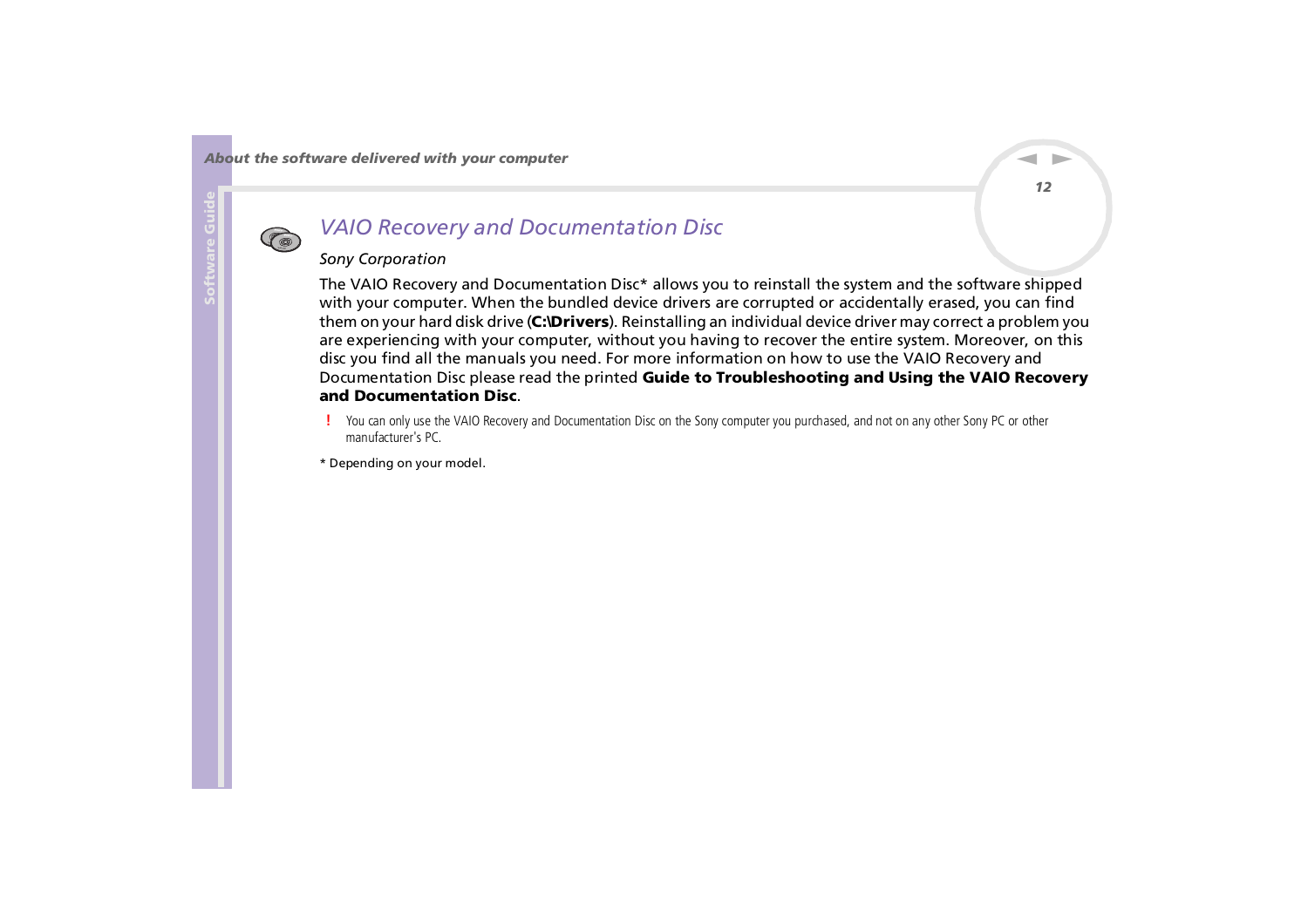<span id="page-12-0"></span>

### *VAIO Recovery and Documentation Disc*

#### *Sony Corporation*

The VAIO Recovery and Documentation Disc\* allows you to reinstall the system and the software shipped with your computer. When the bundled device drivers are corrupted or accidentally erased, you can find them on your hard disk drive (**C:\Drivers**). Reinstalling an individual device driver may correct a problem you are experiencing with your computer, without you having to recover the entire system. Moreover, on this disc you find all the manuals you need. For more information on how to use the VAIO Recovery and Documentation Disc please read the printed **Guide to Troubleshooting and Using the VAIO Recovery and Documentation Disc**.

- You can only use the VAIO Recovery and Documentation Disc on the Sony computer you purchased, and not on any other Sony PC or other manufacturer's PC.
- \* Depending on your model.

*12*

 $\blacktriangleright$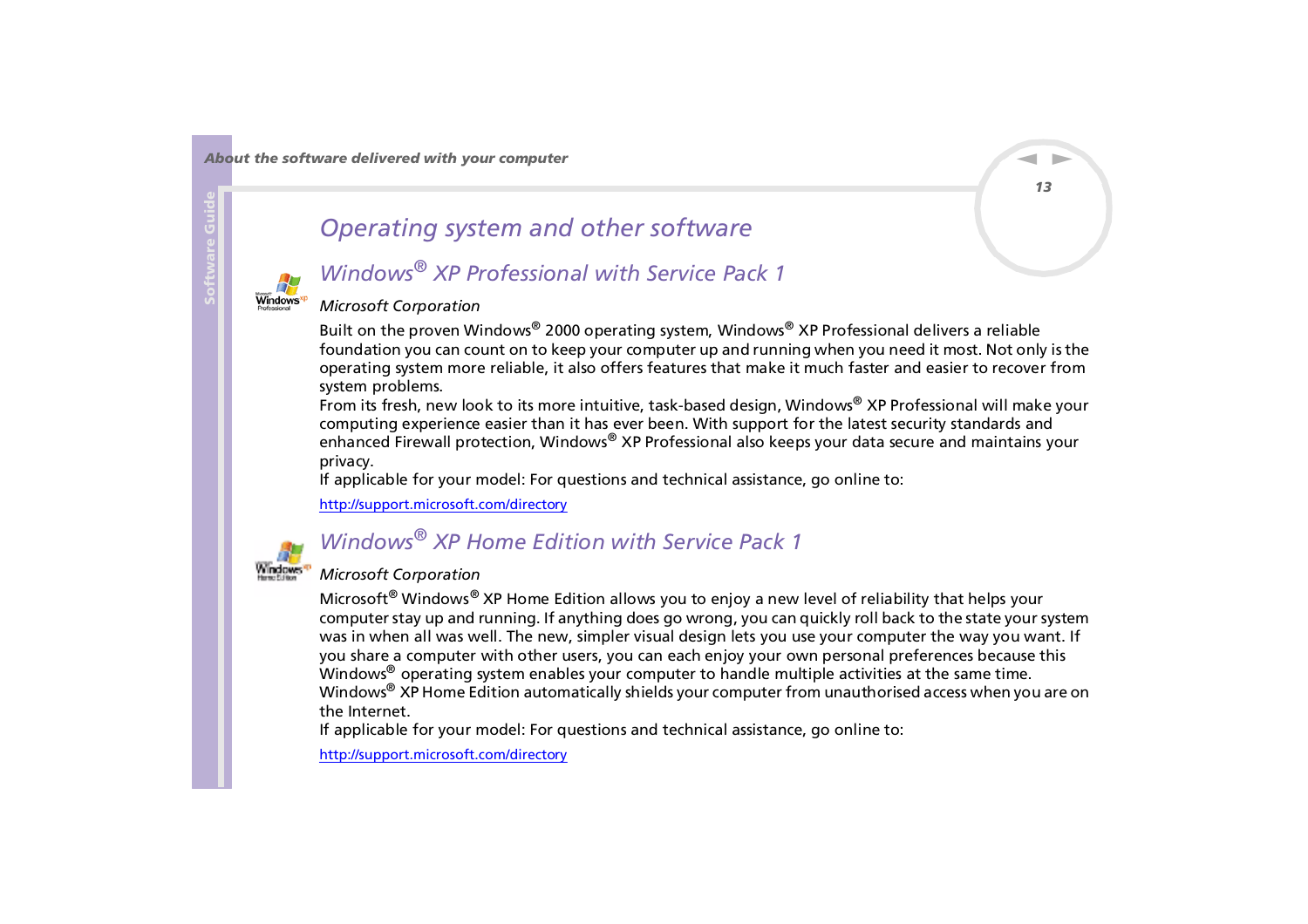<span id="page-13-1"></span>

## <span id="page-13-0"></span>*Operating system and other software*

### *Windows® XP Professional with Service Pack 1*

### *Microsoft Corporation*

Built on the proven Windows® 2000 operating system, Windows® XP Professional delivers a reliable foundation you can count on to keep your computer up and running when you need it most. Not only is the operating system more reliable, it also offers features that make it much faster and easier to recover from system problems.

From its fresh, new look to its more intuitive, task-based design, Windows® XP Professional will make your computing experience easier than it has ever been. With support for the latest security standards and enhanced Firewall protection, Windows® XP Professional also keeps your data secure and maintains your privacy.

If applicable for your model: For questions and technical assistance, go online to:

<http://support.microsoft.com/directory>



## *Windows® XP Home Edition with Service Pack 1*

#### *Microsoft Corporation*

Microsoft<sup>®</sup> Windows<sup>®</sup> XP Home Edition allows you to enjoy a new level of reliability that helps your computer stay up and running. If anything does go wrong, you can quickly roll back to the state your system was in when all was well. The new, simpler visual design lets you use your computer the way you want. If you share a computer with other users, you can each enjoy your own personal preferences because this Windows<sup>®</sup> operating system enables your computer to handle multiple activities at the same time. Windows<sup>®</sup> XP Home Edition automatically shields your computer from unauthorised access when you are on the Internet.

If applicable for your model: For questions and technical assistance, go online to:

<http://support.microsoft.com/directory>

 $\blacktriangleright$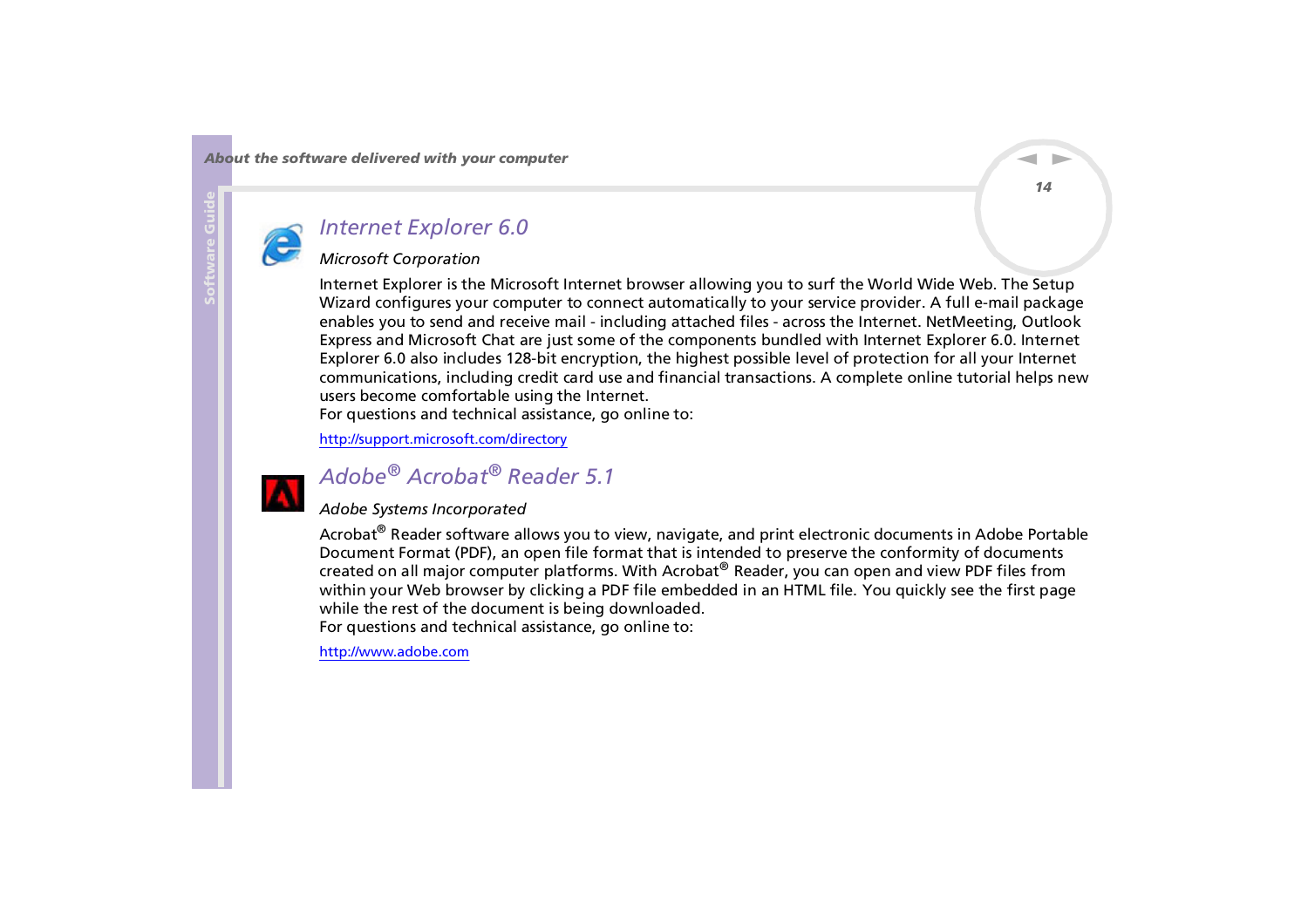

<span id="page-14-0"></span>**Software Guide**

### *Internet Explorer 6.0*

### *Microsoft Corporation*

Internet Explorer is the Microsoft Internet browser allowing you to surf the World Wide Web. The Setup Wizard configures your computer to connect automatically to your service provider. A full e-mail package enables you to send and receive mail - including attached files - across the Internet. NetMeeting, Outlook Express and Microsoft Chat are just some of the components bundled with Internet Explorer 6.0. Internet Explorer 6.0 also includes 128-bit encryption, the highest possible level of protection for all your Internet communications, including credit card use and financial transactions. A complete online tutorial helps new users become comfortable using the Internet.

For questions and technical assistance, go online to:

<http://support.microsoft.com/directory>

## *Adobe® Acrobat® Reader 5.1*

#### *Adobe Systems Incorporated*

Acrobat<sup>®</sup> Reader software allows you to view, navigate, and print electronic documents in Adobe Portable Document Format (PDF), an open file format that is intended to preserve the conformity of documents created on all major computer platforms. With Acrobat® Reader, you can open and view PDF files from within your Web browser by clicking a PDF file embedded in an HTML file. You quickly see the first page while the rest of the document is being downloaded. For questions and technical assistance, go online to:

#### <http://www.adobe.com>

 $\blacktriangleright$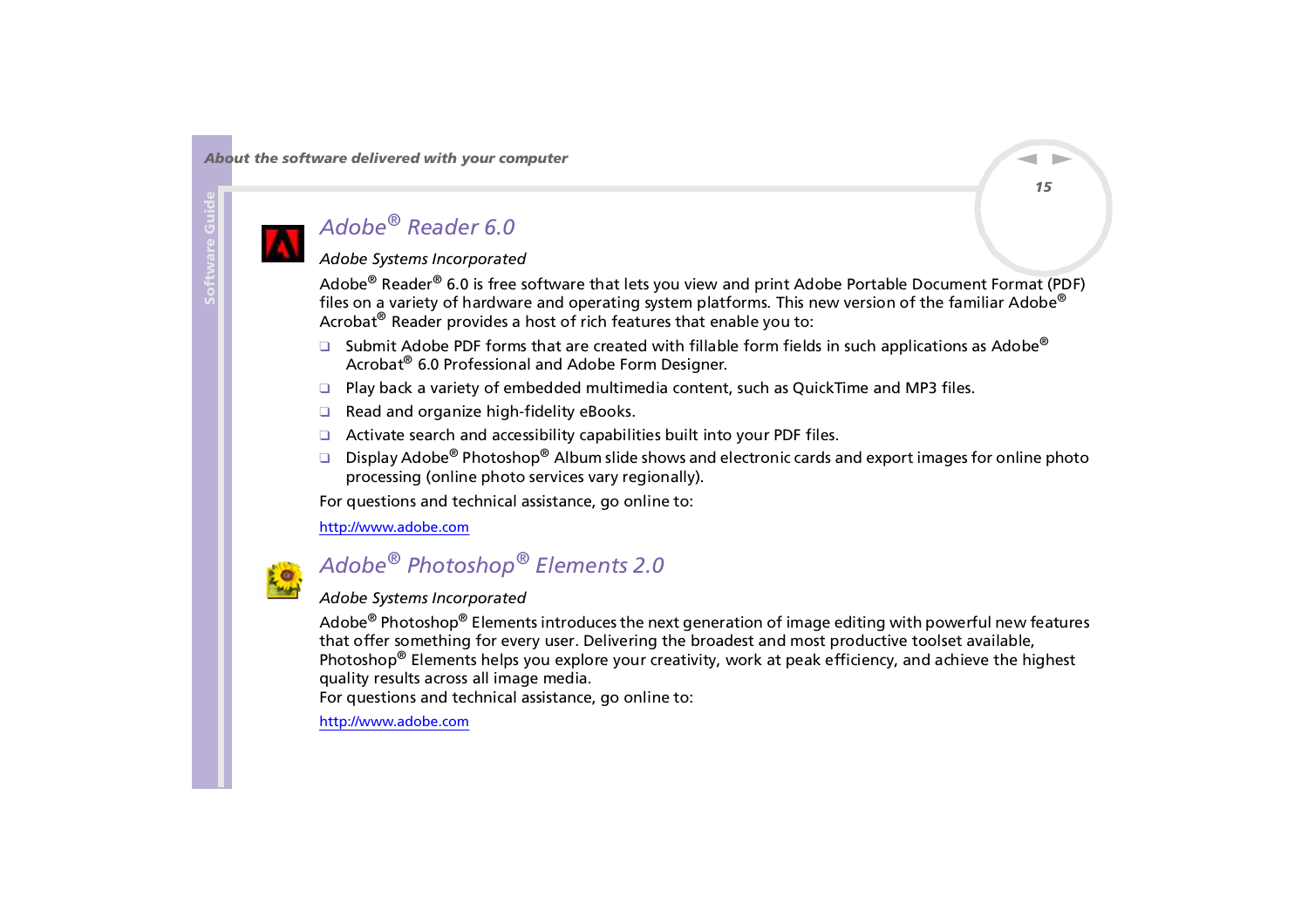## <span id="page-15-0"></span>*Adobe® Reader 6.0*

### *Adobe Systems Incorporated*

Adobe® Reader® 6.0 is free software that lets you view and print Adobe Portable Document Format (PDF) files on a variety of hardware and operating system platforms. This new version of the familiar Adobe® Acrobat® Reader provides a host of rich features that enable you to:

- □ Submit Adobe PDF forms that are created with fillable form fields in such applications as Adobe® Acrobat<sup>®</sup> 6.0 Professional and Adobe Form Designer.
- ❑ Play back a variety of embedded multimedia content, such as QuickTime and MP3 files.
- ❑ Read and organize high-fidelity eBooks.
- ❑ Activate search and accessibility capabilities built into your PDF files.
- ❑Display Adobe<sup>®</sup> Photoshop<sup>®</sup> Album slide shows and electronic cards and export images for online photo processing (online photo services vary regionally).

For questions and technical assistance, go online to:

<http://www.adobe.com>



## *Adobe® Photoshop® Elements 2.0*

### *Adobe Systems Incorporated*

Adobe<sup>®</sup> Photoshop<sup>®</sup> Elements introduces the next generation of image editing with powerful new features that offer something for every user. Delivering the broadest and most productive toolset available, Photoshop<sup>[®](http://www.adobe.com)</sup> [Elements](http://www.adobe.com) [helps](http://www.adobe.com) [you](http://www.adobe.com) [explore](http://www.adobe.com) [your](http://www.adobe.com) [creativity](http://www.adobe.com), [work](http://www.adobe.com) [at](http://www.adobe.com) [peak](http://www.adobe.com) [efficiency](http://www.adobe.com), [and](http://www.adobe.com) [achieve](http://www.adobe.com) [the](http://www.adobe.com) [highest](http://www.adobe.com) quality results across all image media.

For questions and technical assistance, go online to:

 $\blacktriangleright$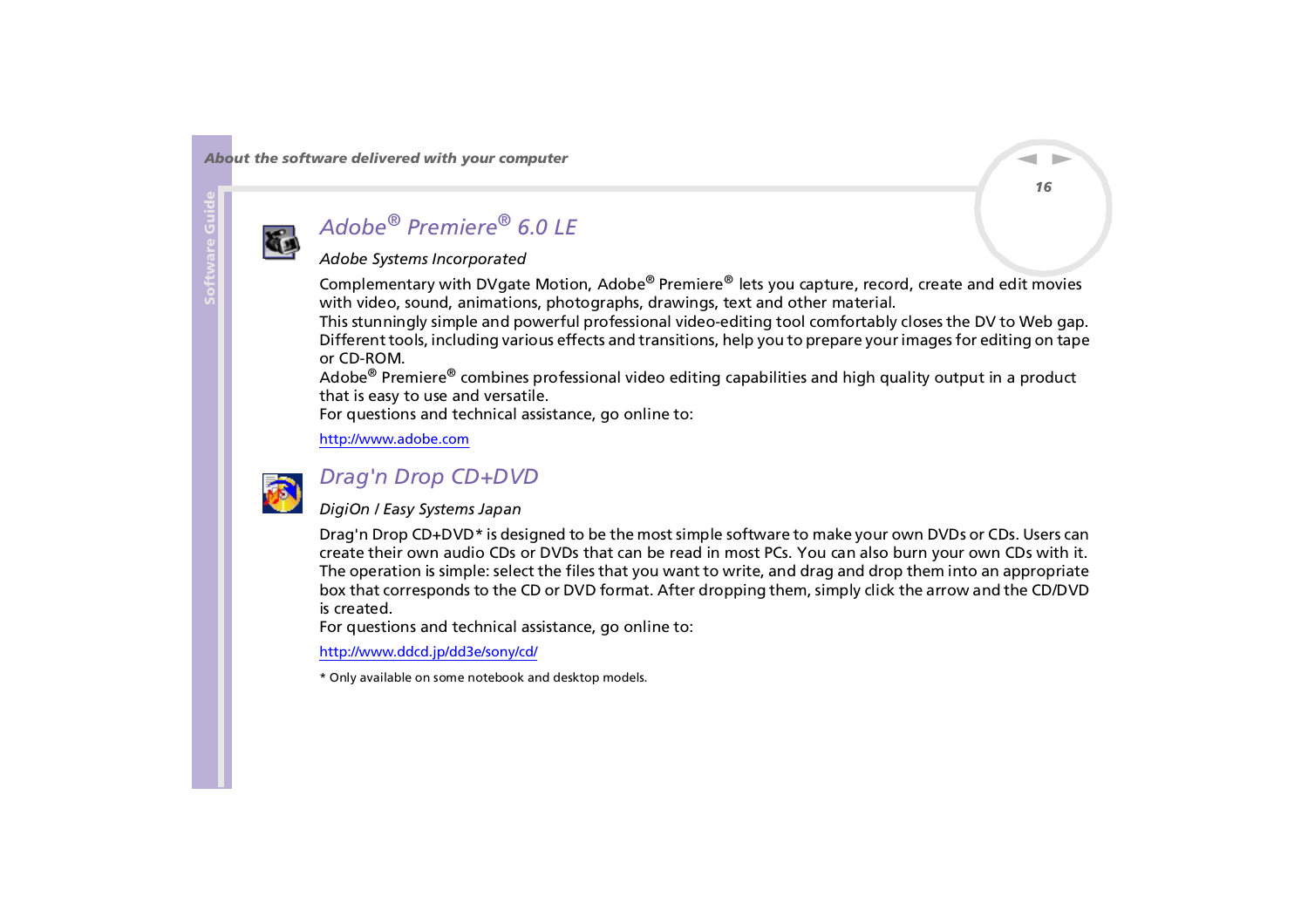<span id="page-16-0"></span>

## *Adobe® Premiere® 6.0 LE*

### *Adobe Systems Incorporated*

Complementary with DVgate Motion, Adobe® Premiere® lets you capture, record, create and edit movies with video, sound, animations, photographs, drawings, text and other material.

This stunningly simple and powerful professional video-editing tool comfortably closes the DV to Web gap. Different tools, including various effects and transitions, help you to prepare your images for editing on tape or CD-ROM.

Adobe® Premiere® combines professional video editing capabilities and high quality output in a product that is easy to use and versatile.

For questions and technical assistance, go online to:

<http://www.adobe.com>



### *Drag'n Drop CD+DVD*

### *DigiOn / Easy Systems Japan*

Drag'n Drop CD+DVD\* is designed to be the most simple software to make your own DVDs or CDs. Users can create their own audio CDs or DVDs that can be read in most PCs. You can also burn your own CDs with it. The operation is simple: select the files that you want to write, and drag and drop them into an appropriate box that corresponds to the CD or DVD format. After dropping them, simply click the arrow and the CD/DVD is created.

For questions and technical assistance, go online to:

#### <http://www.ddcd.jp/dd3e/sony/cd/>

\* Only available on some notebook and desktop models.

*16*

 $\blacktriangleright$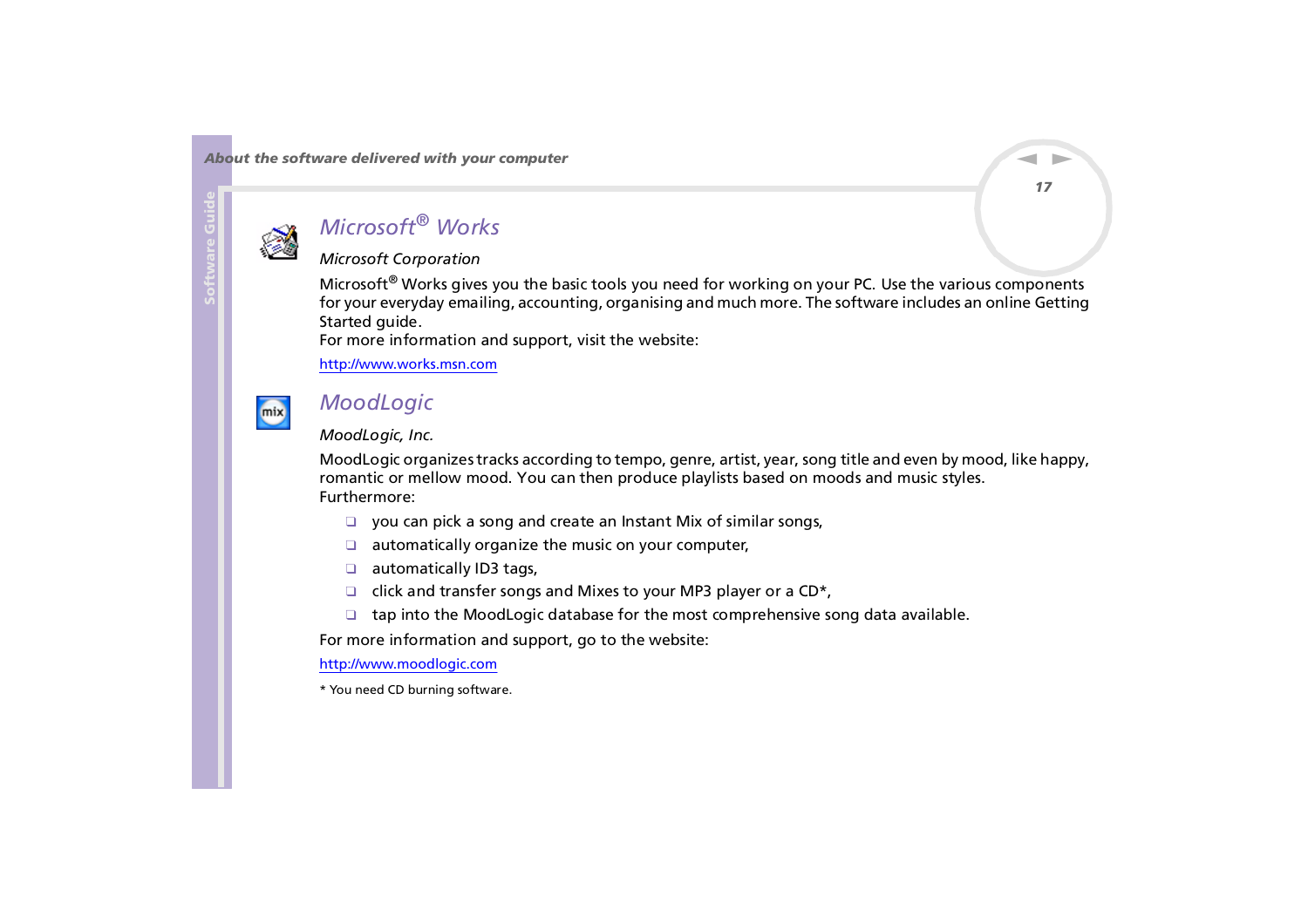<span id="page-17-0"></span>

## *Microsoft® Works*

### *Microsoft Corporation*

Microsoft® Works gives you the basic tools you need for working on your PC. Use the various components for your everyday emailing, accounting, organising and much more. The software includes an online Getting Started guide.

For more information and support, visit the website:

<http://www.works.msn.com>



### *MoodLogic*

#### *MoodLogic, Inc.*

MoodLogic organizes tracks according to tempo, genre, artist, year, song title and even by mood, like happy, romantic or mellow mood. You can then produce playlists based on moods and music styles. Furthermore:

- ❑you can pick a song and create an Instant Mix of similar songs,
- ❑automatically organize the music on your computer,
- ❑ automatically ID3 tags,
- ❑click and transfer songs and Mixes to your MP3 player or a CD\*,
- ❑tap into the MoodLogic database for the most comprehensive song data available.

For more information and support, go to the website:

<http://www.moodlogic.com>

\* You need CD burning software.

 $\blacktriangleright$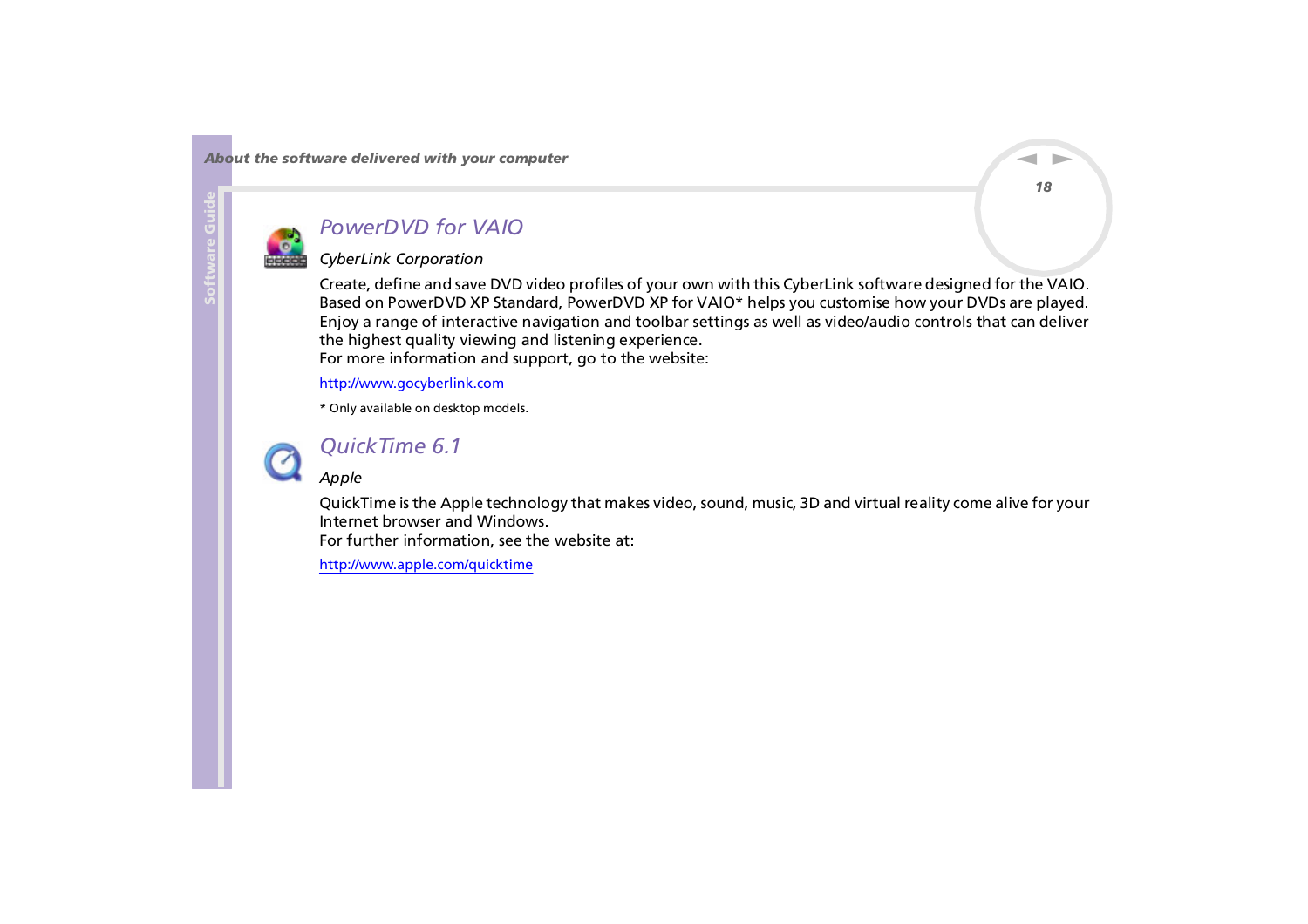<span id="page-18-0"></span>

### *PowerDVD for VAIO*

### *CyberLink Corporation*

Create, define and save DVD video profiles of your own with this CyberLink software designed for the VAIO. Based on PowerDVD XP Standard, PowerDVD XP for VAIO\* helps you customise how your DVDs are played. Enjoy a range of interactive navigation and toolbar settings as well as video/audio controls that can deliver the highest quality viewing and listening experience. For more information and support, go to the website:

<http://www.gocyberlink.com>

\* Only available on desktop models.



### *QuickTime 6.1*

*Apple*

QuickTime is the Apple technology that makes video, sound, music, 3D and virtual reality come alive for your Internet browser and Windows.

For further information, see the website at:

<http://www.apple.com/quicktime>

 $\blacktriangleright$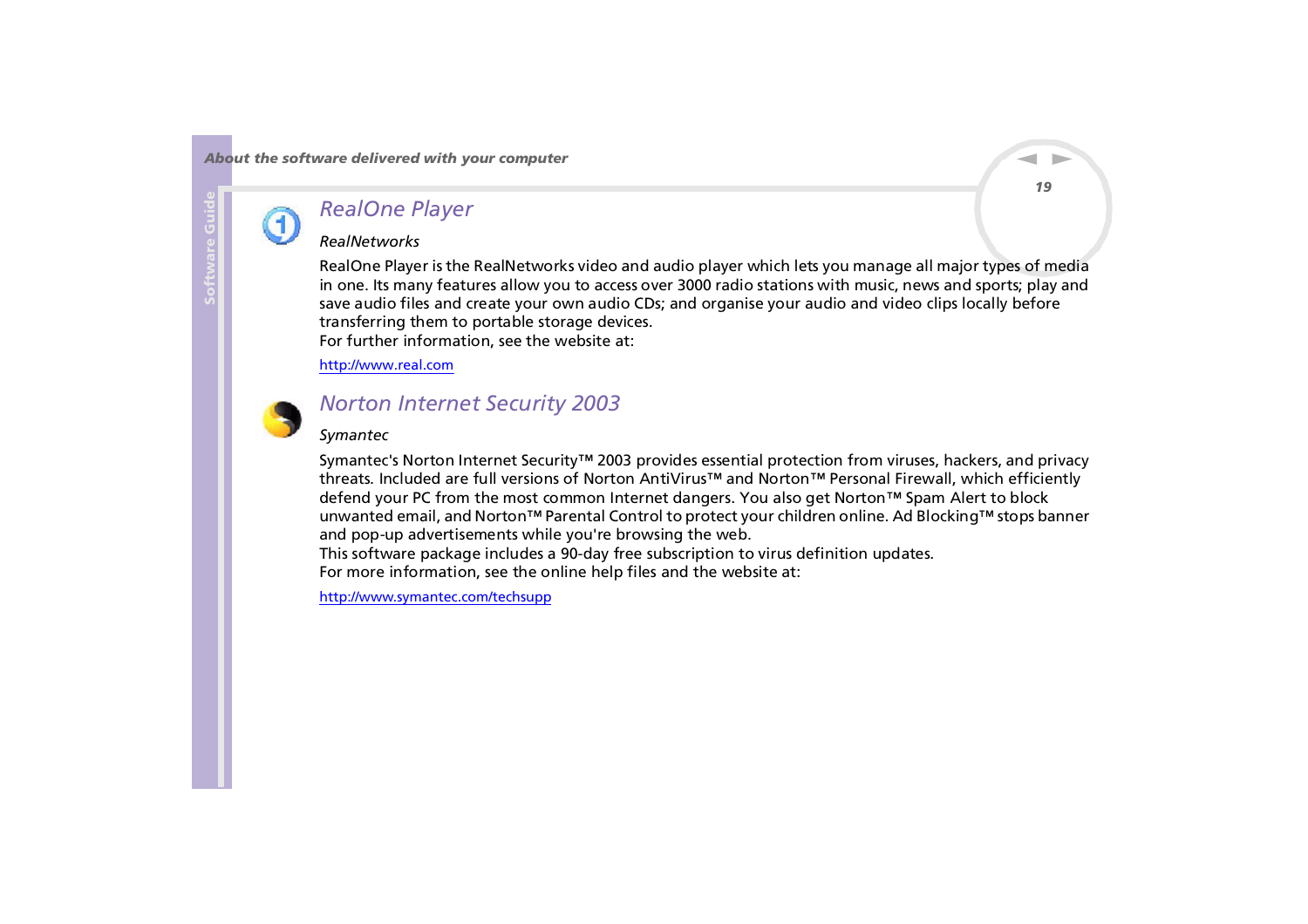<span id="page-19-0"></span>

### *RealOne Player*

#### *RealNetworks*

RealOne Player is the RealNetworks video and audio player which lets you manage all major types of media in one. Its many features allow you to access over 3000 radio stations with music, news and sports; play and save audio files and create your own audio CDs; and organise your audio and video clips locally before transferring them to portable storage devices. For further information, see the website at:

#### <http://www.real.com>



### *Norton Internet Security 2003*

#### *Symantec*

Symantec's Norton Internet Security™ 2003 provides essential protection from viruses, hackers, and privacy threats. Included are full versions of Norton AntiVirus™ and Norton™ Personal Firewall, which efficiently defend your PC from the most common Internet dangers. You also get Norton™ Spam Alert to block unwanted email, and Norton™ Parental Control to protect your children online. Ad Blocking™ stops banner and pop-up advertisements while you're browsing the web.

This software package includes a 90-day free subscription to virus definition updates. [For](http://www.apple.com/quicktime) [more](http://www.apple.com/quicktime) [information](http://www.apple.com/quicktime), [see](http://www.apple.com/quicktime) [the](http://www.apple.com/quicktime) [online](http://www.apple.com/quicktime) [help](http://www.apple.com/quicktime) [files](http://www.apple.com/quicktime) [and](http://www.apple.com/quicktime) [the](http://www.apple.com/quicktime) [website](http://www.apple.com/quicktime) [at:](http://www.apple.com/quicktime)

<http://www.symantec.com/techsupp>

 $\blacktriangleright$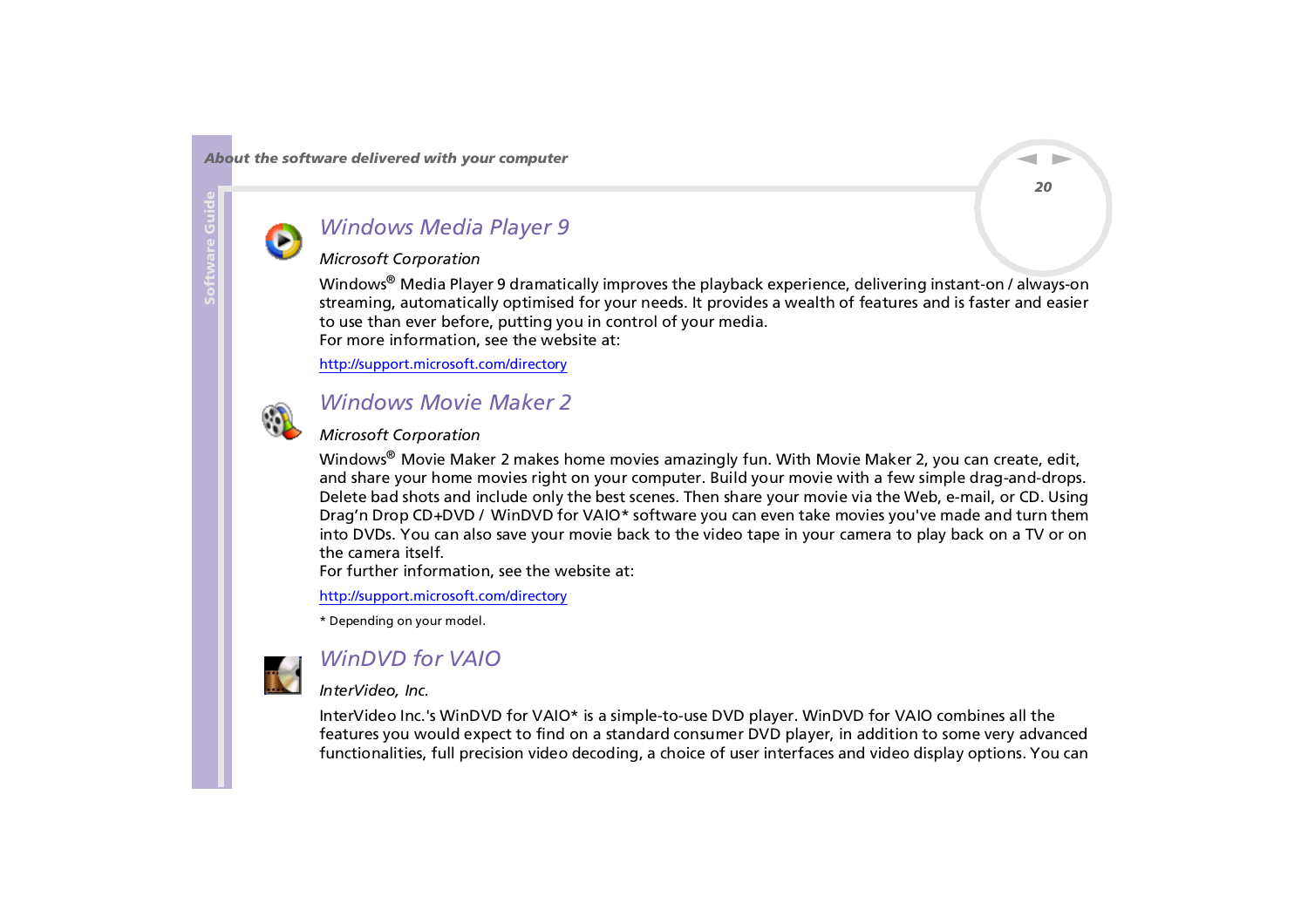<span id="page-20-0"></span>

### *Windows Media Player 9*

### *Microsoft Corporation*

Windows® Media Player 9 dramatically improves the playback experience, delivering instant-on / always-on streaming, automatically optimised for your needs. It provides a wealth of features and is faster and easier to use than ever before, putting you in control of your media. For more information, see the website at:

<http://support.microsoft.com/directory>



### *Windows Movie Maker 2*

#### *Microsoft Corporation*

Windows<sup>®</sup> Movie Maker 2 makes home movies amazingly fun. With Movie Maker 2, you can create, edit, and share your home movies right on your computer. Build your movie with a few simple drag-and-drops. Delete bad shots and include only the best scenes. Then share your movie via the Web, e-mail, or CD. Using Drag'n Drop CD+DVD / WinDVD for VAIO\* software you can even take movies you've made and turn them into DVDs. You can also save your movie back to the video tape in your camera to play back on a TV or on the camera itself.

For further information, see the website at:

#### <http://support.microsoft.com/directory>

\* Depending on your model.



## *WinDVD for VAIO*

#### *InterVideo, Inc.*

InterVideo Inc.'s WinDVD for VAIO\* is a simple-to-use DVD player. WinDVD for VAIO combines all the features you would expect to find on a standard consumer DVD player, in addition to some very advanced functionalities, full precision video decoding, a choice of user interfaces and video display options. You can

*20*

 $\blacktriangleright$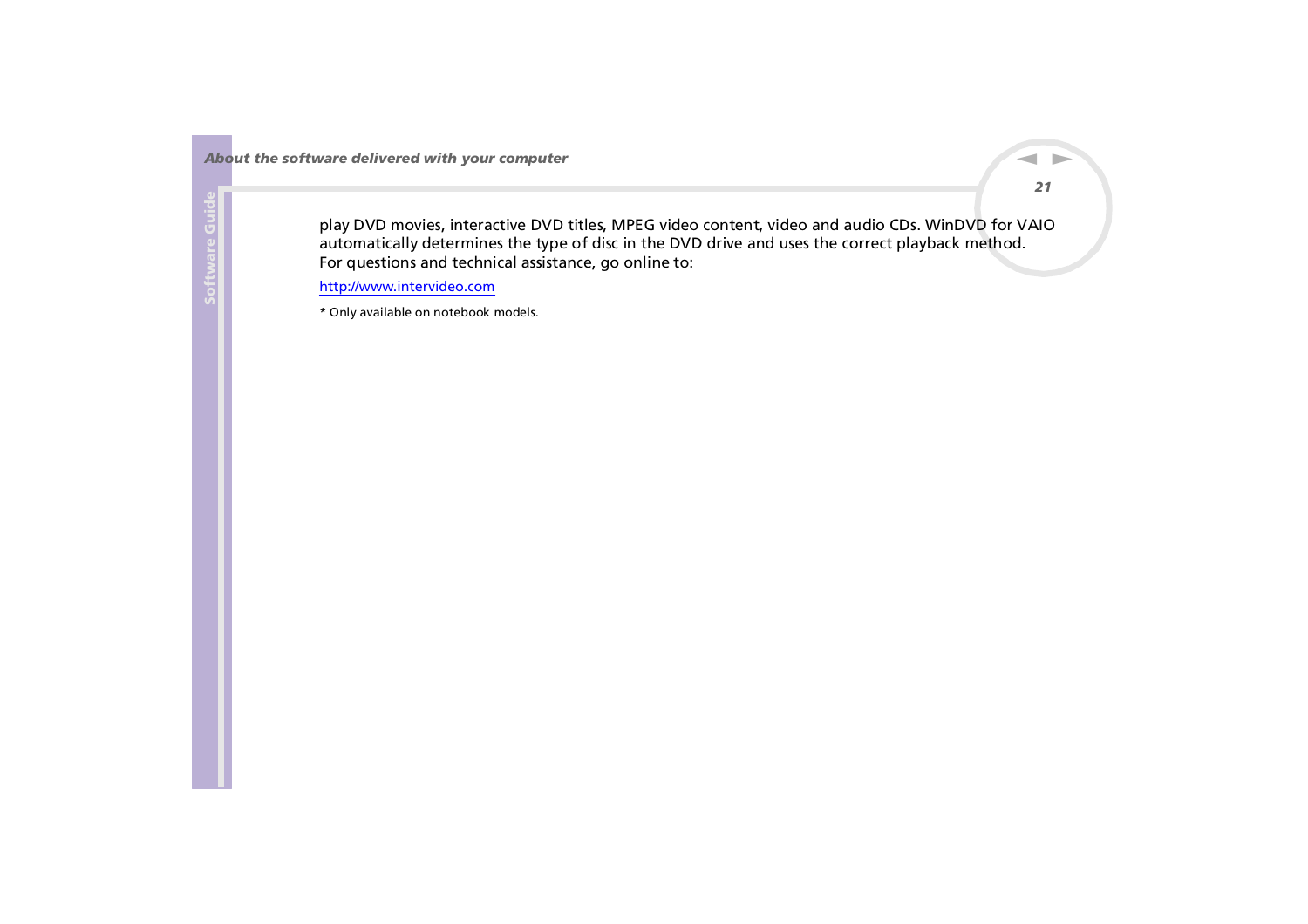<span id="page-21-0"></span>play DVD movies, interactive DVD titles, MPEG video content, video and audio CDs. WinDVD for VAIO automatically determines the type of disc in the DVD drive and uses the correct playback method. For questions and technical assistance, go online to:

<http://www.intervideo.com>

\* Only available on notebook models.

 $\blacktriangleright$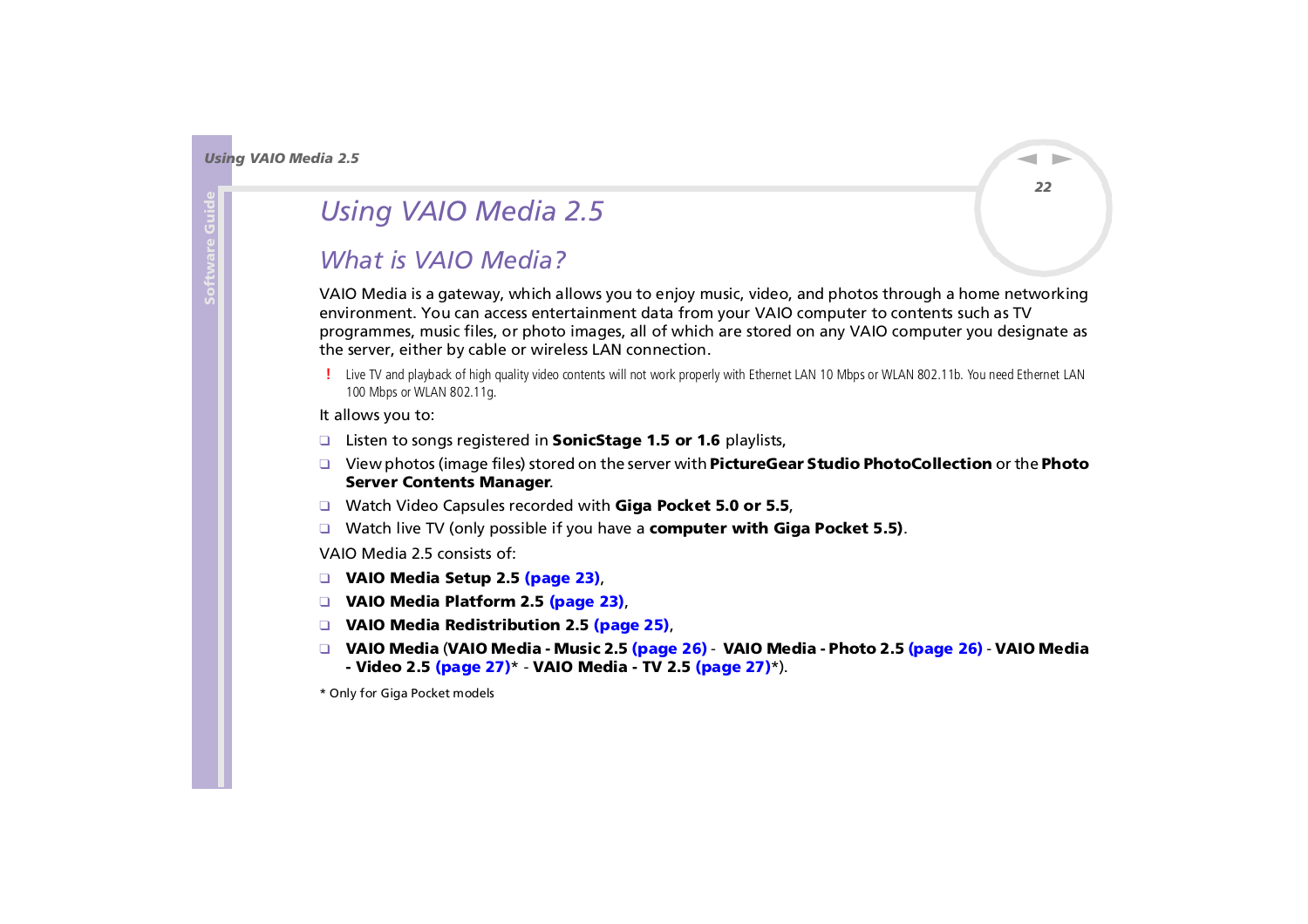# <span id="page-22-1"></span><span id="page-22-0"></span>*Using VAIO Media 2.5*

## *What is VAIO Media?*

VAIO Media is a gateway, which allows you to enjoy music, video, and photos through a home networking environment. You can access entertainment data from your VAIO computer to contents such as TV programmes, music files, or photo images, all of which are stored on any VAIO computer you designate as the server, either by cable or wireless LAN connection.

 Live TV and playback of high quality video contents will not work properly with Ethernet LAN 10 Mbps or WLAN 802.11b. You need Ethernet LAN 100 Mbps or WLAN 802.11g.

#### It allows you to:

- ❑Listen to songs registered in **SonicStage 1.5 or 1.6** playlists,
- ❑ View photos (image files) stored on the server with **PictureGear Studio PhotoCollection** or the **Photo Server Contents Manager**.
- ❑ Watch Video Capsules recorded with **Giga Pocket 5.0 or 5.5**,
- ❑ Watch live TV (only possible if you have a **computer with Giga Pocket 5.5)**.

VAIO Media 2.5 consists of:

- ❑ **[VAIO Media Setup 2.5 \(page](#page-23-1) 23)**,
- ❑ **[VAIO Media Platform 2.5 \(page](#page-23-2) 23)**,
- ❑ **[VAIO Media Redistribution 2.5 \(page](#page-25-0) 25)**,
- ❑ **VAIO Media** (**[VAIO Media Music 2.5 \(page](#page-26-1) 26) [VAIO Media Photo 2.5 \(page](#page-26-0) 26) [VAIO Media](#page-27-1)  [- Video 2.5 \(page](#page-27-1) 27)**\* - **[VAIO Media - TV 2.5 \(page](#page-27-0) 27)**\*).

\* Only for Giga Pocket models

*22*

 $\blacktriangleright$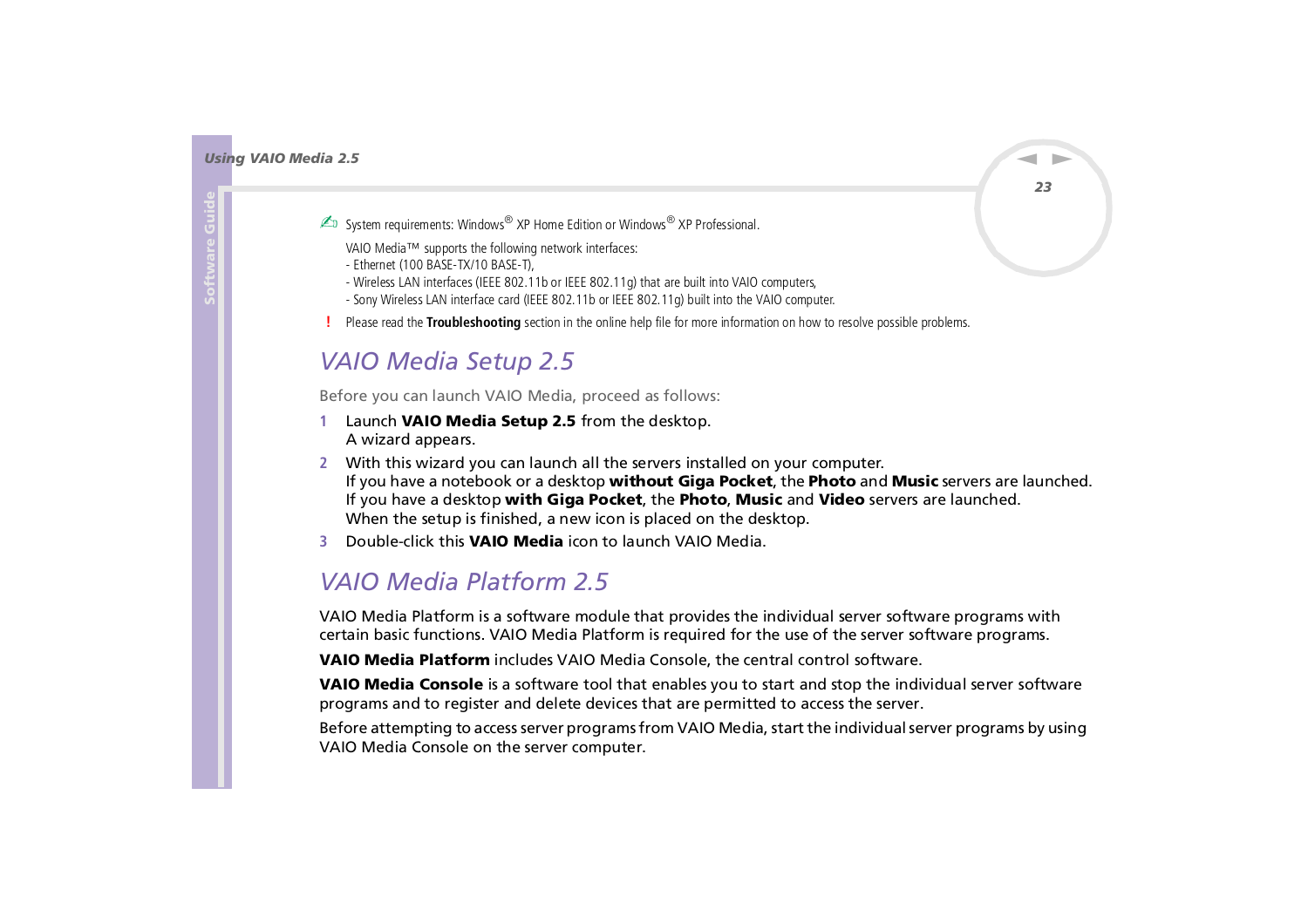- <span id="page-23-0"></span>System requirements: Windows® XP Home Edition or Windows® XP Professional.
	- VAIO Media™ supports the following network interfaces:
	- Ethernet (100 BASE-TX/10 BASE-T),
	- Wireless LAN interfaces (IEEE 802.11b or IEEE 802.11g) that are built into VAIO computers,
	- Sony Wireless LAN interface card (IEEE 802.11b or IEEE 802.11g) built into the VAIO computer.
- Please read the **Troubleshooting** section in the online help file for more information on how to resolve possible problems.

## <span id="page-23-1"></span>*VAIO Media Setup 2.5*

Before you can launch VAIO Media, proceed as follows:

- **1** Launch **VAIO Media Setup 2.5** from the desktop. A wizard appears.
- **2** With this wizard you can launch all the servers installed on your computer. If you have a notebook or a desktop **without Giga Pocket**, the **Photo** and **Music** servers are launched. If you have a desktop **with Giga Pocket**, the **Photo**, **Music** and **Video** servers are launched. When the setup is finished, a new icon is placed on the desktop.
- **3** Double-click this **VAIO Media** icon to launch VAIO Media.

## <span id="page-23-2"></span>*VAIO Media Platform 2.5*

VAIO Media Platform is a software module that provides the individual server software programs with certain basic functions. VAIO Media Platform is required for the use of the server software programs.

**VAIO Media Platform** includes VAIO Media Console, the central control software.

**VAIO Media Console** is a software tool that enables you to start and stop the individual server software programs and to register and delete devices that are permitted to access the server.

Before attempting to access server programs from VAIO Media, start the individual server programs by using VAIO Media Console on the server computer.

 $\blacktriangleright$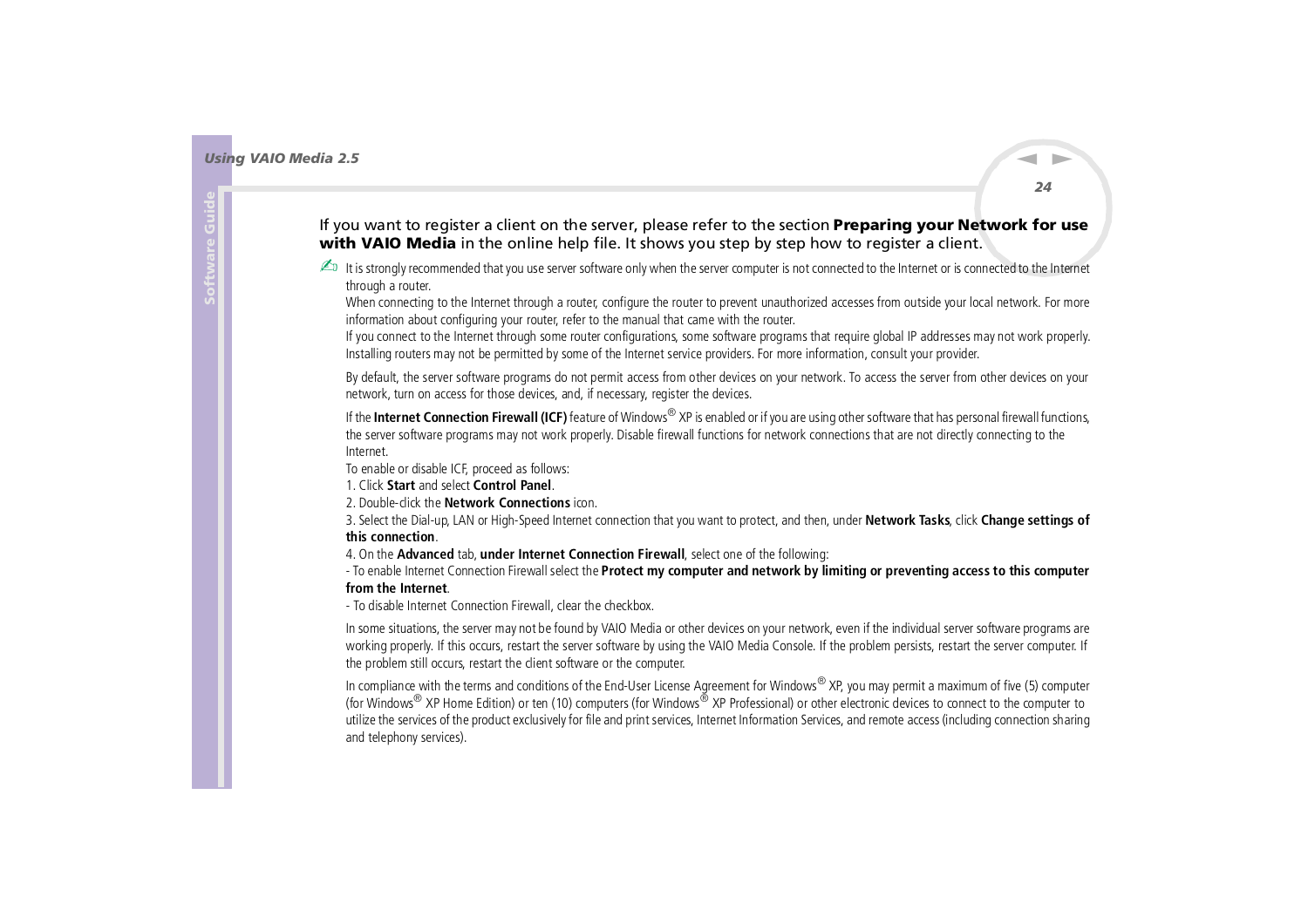#### <span id="page-24-0"></span>If you want to register a client on the server, please refer to the section **Preparing your Network for use with VAIO Media** in the online help file. It shows you step by step how to register a client.

tis strongly recommended that you use server software only when the server computer is not connected to the Internet or is connected to the Internet through a router.

When connecting to the Internet through a router, configure the router to prevent unauthorized accesses from outside your local network. For more information about configuring your router, refer to the manual that came with the router.

If you connect to the Internet through some router configurations, some software programs that require global IP addresses may not work properly. Installing routers may not be permitted by some of the Internet service providers. For more information, consult your provider.

By default, the server software programs do not permit access from other devices on your network. To access the server from other devices on your network, turn on access for those devices, and, if necessary, register the devices.

If the **Internet Connection Firewall (ICF)** feature of Windows® XP is enabled or if you are using other software that has personal firewall functions, the server software programs may not work properly. Disable firewall functions for network connections that are not directly connecting to the Internet.

To enable or disable ICF, proceed as follows:

1. Click **Start** and select **Control Panel**.

2. Double-click the **Network Connections** icon.

3. Select the Dial-up, LAN or High-Speed Internet connection that you want to protect, and then, under **Network Tasks**, click **Change settings of this connection**.

4. On the **Advanced** tab, **under Internet Connection Firewall**, select one of the following:

- To enable Internet Connection Firewall select the **Protect my computer and network by limiting or preventing access to this computer from the Internet**.

- To disable Internet Connection Firewall, clear the checkbox.

In some situations, the server may not be found by VAIO Media or other devices on your network, even if the individual server software programs are working properly. If this occurs, restart the server software by using the VAIO Media Console. If the problem persists, restart the server computer. If the problem still occurs, restart the client software or the computer.

In compliance with the terms and conditions of the End-User License Agreement for Windows® XP, you may permit a maximum of five (5) computer (for Windows<sup>®</sup> XP Home Edition) or ten (10) computers (for Windows® XP Professional) or other electronic devices to connect to the computer to utilize the services of the product exclusively for file and print services, Internet Information Services, and remote access (including connection sharing and telephony services).

 $\blacktriangleright$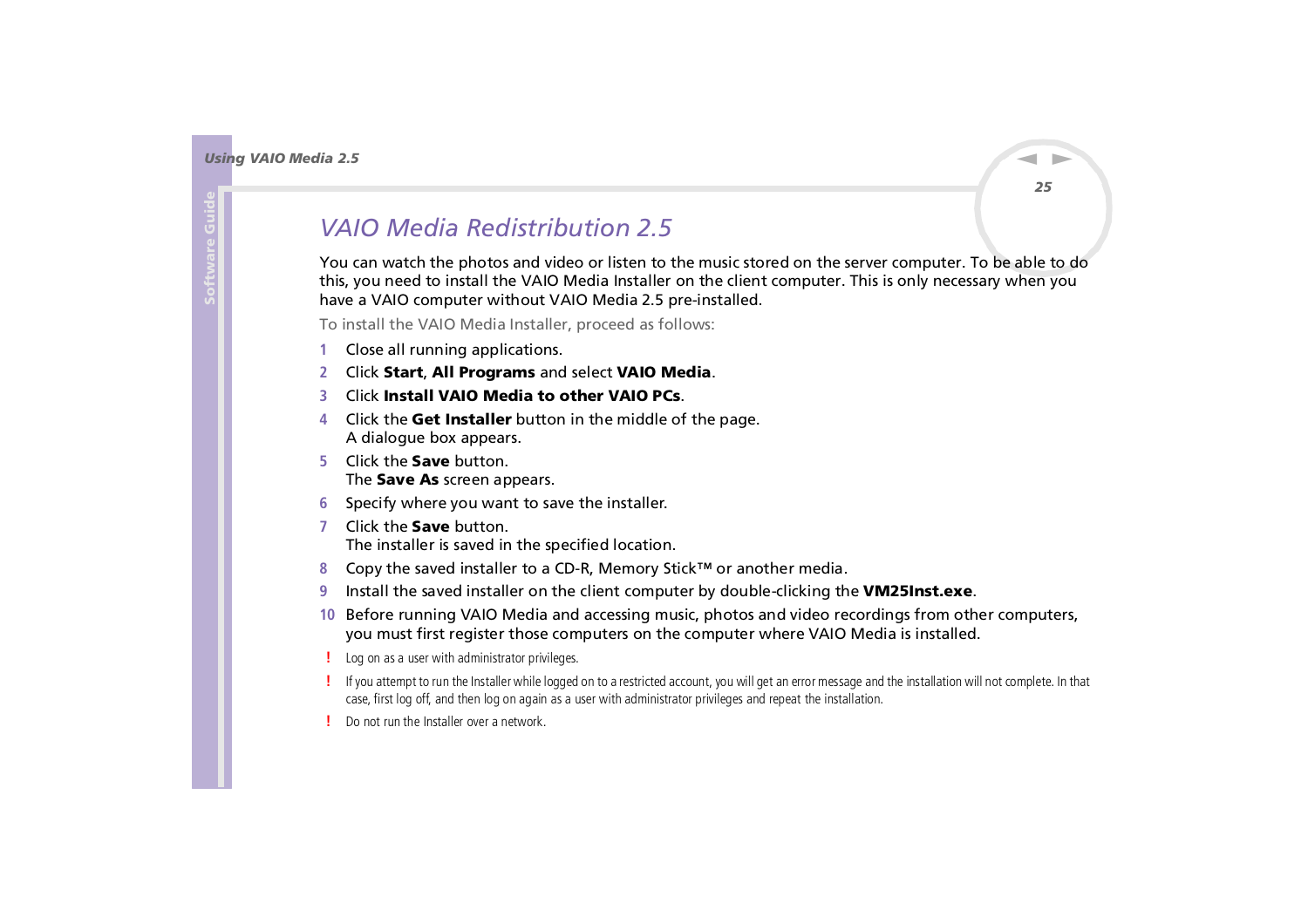## <span id="page-25-1"></span><span id="page-25-0"></span>*VAIO Media Redistribution 2.5*

You can watch the photos and video or listen to the music stored on the server computer. To be able to do this, you need to install the VAIO Media Installer on the client computer. This is only necessary when you have a VAIO computer without VAIO Media 2.5 pre-installed.

To install the VAIO Media Installer, proceed as follows:

- **1**Close all running applications.
- **2**Click **Start**, **All Programs** and select **VAIO Media**.
- **3**Click **Install VAIO Media to other VAIO PCs**.
- **4** Click the **Get Installer** button in the middle of the page. A dialogue box appears.
- **5** Click the **Save** button. The **Save As** screen appears.
- **6**Specify where you want to save the installer.
- **7** Click the **Save** button. The installer is saved in the specified location.
- **8**Copy the saved installer to a CD-R, Memory Stick™ or another media.
- **9**Install the saved installer on the client computer by double-clicking the **VM25Inst.exe**.
- **10** Before running VAIO Media and accessing music, photos and video recordings from other computers, you must first register those computers on the computer where VAIO Media is installed.
- Log on as a user with administrator privileges.
- If you attempt to run the Installer while logged on to a restricted account, you will get an error message and the installation will not complete. In that case, first log off, and then log on again as a user with administrator privileges and repeat the installation.
- Do not run the Installer over a network.

*25*

 $\blacktriangleright$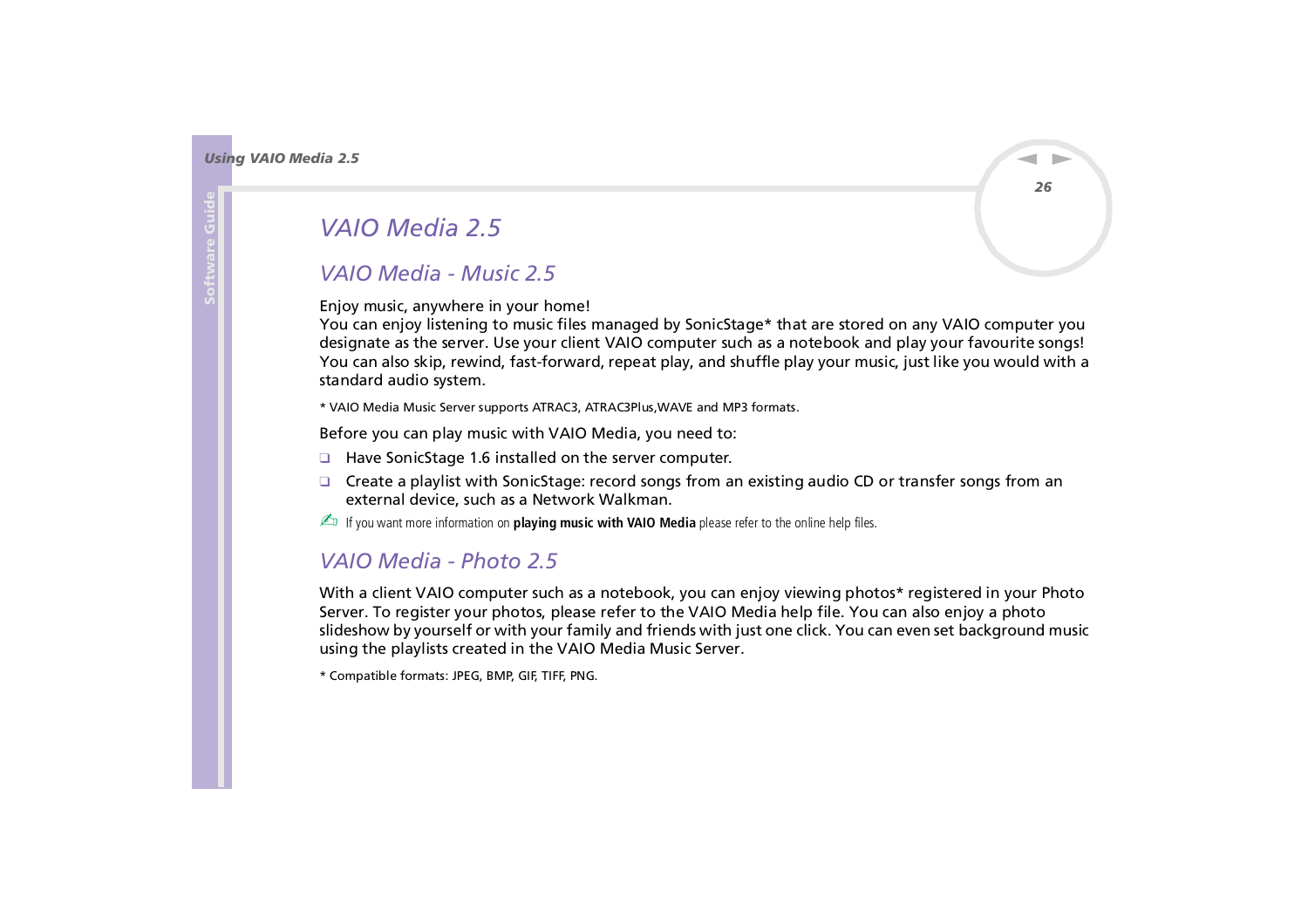## <span id="page-26-2"></span>*VAIO Media 2.5*

### <span id="page-26-1"></span>*VAIO Media - Music 2.5*

Enjoy music, anywhere in your home!

You can enjoy listening to music files managed by SonicStage\* that are stored on any VAIO computer you designate as the server. Use your client VAIO computer such as a notebook and play your favourite songs! You can also skip, rewind, fast-forward, repeat play, and shuffle play your music, just like you would with a standard audio system.

\* VAIO Media Music Server supports ATRAC3, ATRAC3Plus,WAVE and MP3 formats.

Before you can play music with VAIO Media, you need to:

- ❑ Have SonicStage 1.6 installed on the server computer.
- ❑ Create a playlist with SonicStage: record songs from an existing audio CD or transfer songs from an external device, such as a Network Walkman.
- for If you want more information on **playing music with VAIO Media** please refer to the online help files.

### <span id="page-26-0"></span>*VAIO Media - Photo 2.5*

With a client VAIO computer such as a notebook, you can enjoy viewing photos\* registered in your Photo Server. To register your photos, please refer to the VAIO Media help file. You can also enjoy a photo slideshow by yourself or with your family and friends with just one click. You can even set background music using the playlists created in the VAIO Media Music Server.

\* Compatible formats: JPEG, BMP, GIF, TIFF, PNG.

*26*

 $\blacktriangleright$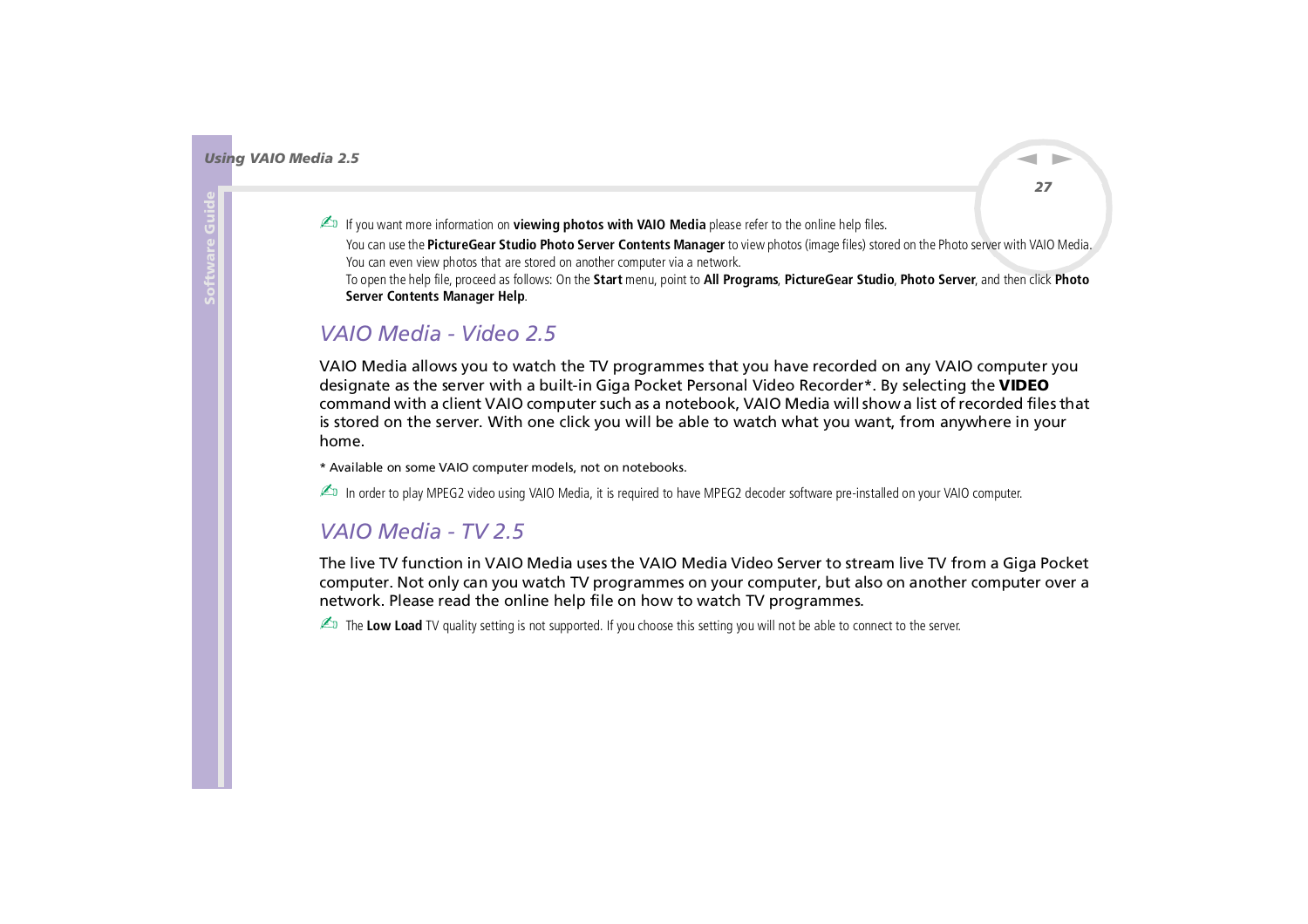$\blacktriangleright$ 

 $\lhd$ 

<span id="page-27-2"></span>fou want more information on **viewing photos with VAIO Media** please refer to the online help files.

You can use the **PictureGear Studio Photo Server Contents Manager** to view photos (image files) stored on the Photo server with VAIO Media. You can even view photos that are stored on another computer via a network.

To open the help file, proceed as follows: On the **Start** menu, point to **All Programs**, **PictureGear Studio**, **Photo Server**, and then click **Photo Server Contents Manager Help**.

### <span id="page-27-1"></span>*VAIO Media - Video 2.5*

VAIO Media allows you to watch the TV programmes that you have recorded on any VAIO computer you designate as the server with a built-in Giga Pocket Personal Video Recorder\*. By selecting the **VIDEO** command with a client VAIO computer such as a notebook, VAIO Media will show a list of recorded files that is stored on the server. With one click you will be able to watch what you want, from anywhere in your home.

\* Available on some VAIO computer models, not on notebooks.

▲ In order to play MPEG2 video using VAIO Media, it is required to have MPEG2 decoder software pre-installed on your VAIO computer.

### <span id="page-27-0"></span>*VAIO Media - TV 2.5*

The live TV function in VAIO Media uses the VAIO Media Video Server to stream live TV from a Giga Pocket computer. Not only can you watch TV programmes on your computer, but also on another computer over a network. Please read the online help file on how to watch TV programmes.

 $\triangle$  The Low Load TV quality setting is not supported. If you choose this setting you will not be able to connect to the server.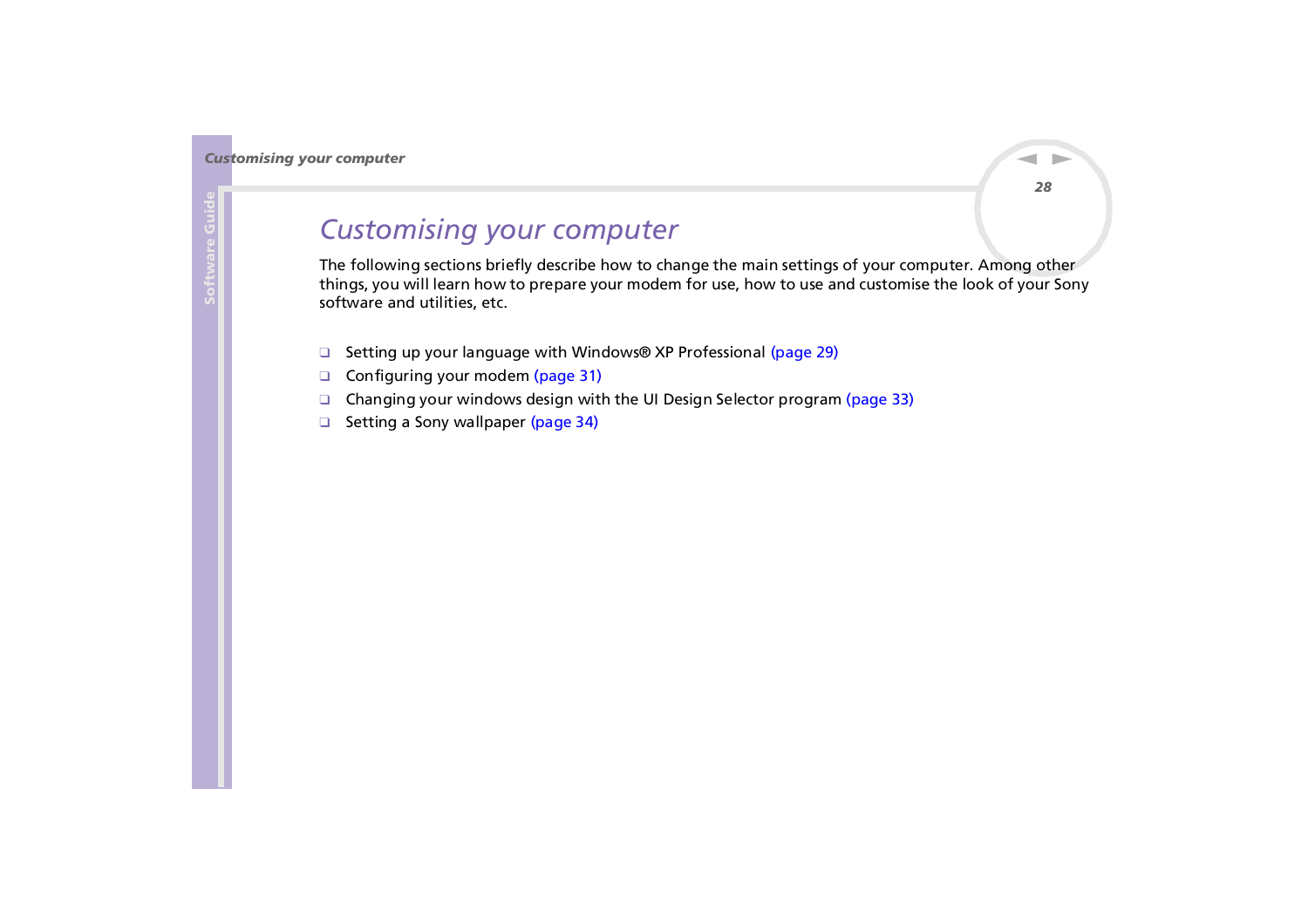## <span id="page-28-0"></span>*Customising your computer*

The following sections briefly describe how to change the main settings of your computer. Among other things, you will learn how to prepare your modem for use, how to use and customise the look of your Sony software and utilities, etc.

- ❑[Setting up your language with Windows® XP Professional \(page](#page-29-1) 29)
- ❑[Configuring your modem \(page](#page-31-0) 31)
- ❑[Changing your windows design with the UI Design Selector program \(page](#page-33-0) 33)
- ❑[Setting a Sony wallpaper \(page](#page-34-0) 34)

 $\blacktriangleright$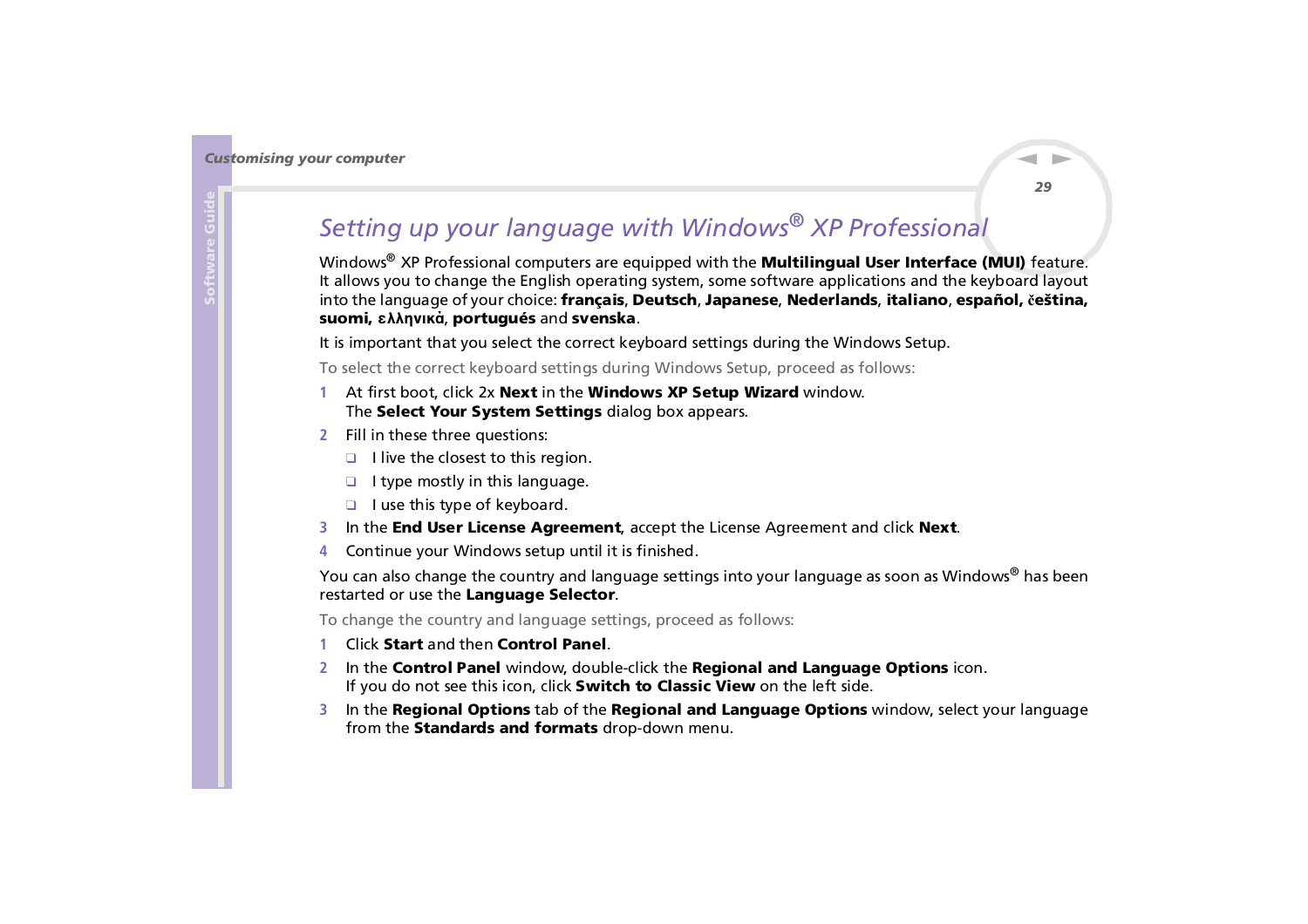# <span id="page-29-1"></span><span id="page-29-0"></span>*Setting up your language with Windows® XP Professional*

Windows® XP Professional computers are equipped with the **Multilingual User Interface (MUI)** feature. It allows you to change the English operating system, some software applications and the keyboard layout into the language of your choice: **français**, **Deutsch**, **Japanese**, **Nederlands**, **italiano**, **español, čeština, suomi, ελληνικά**, **portugués** and **svenska**.

It is important that you select the correct keyboard settings during the Windows Setup.

To select the correct keyboard settings during Windows Setup, proceed as follows:

- **1** At first boot, click 2x **Next** in the **Windows XP Setup Wizard** window. The **Select Your System Settings** dialog box appears.
- **2** Fill in these three questions:
	- ❑ I live the closest to this region.
	- ❑ I type mostly in this language.
	- ❑ I use this type of keyboard.
- **3**In the **End User License Agreement**, accept the License Agreement and click **Next**.
- **4**Continue your Windows setup until it is finished.

You can also change the country and language settings into your language as soon as Windows® has been restarted or use the **Language Selector**.

To change the country and language settings, proceed as follows:

- **1**Click **Start** and then **Control Panel**.
- **2** In the **Control Panel** window, double-click the **Regional and Language Options** icon. If you do not see this icon, click **Switch to Classic View** on the left side.
- **3** In the **Regional Options** tab of the **Regional and Language Options** window, select your language from the **Standards and formats** drop-down menu.

 $\blacktriangleright$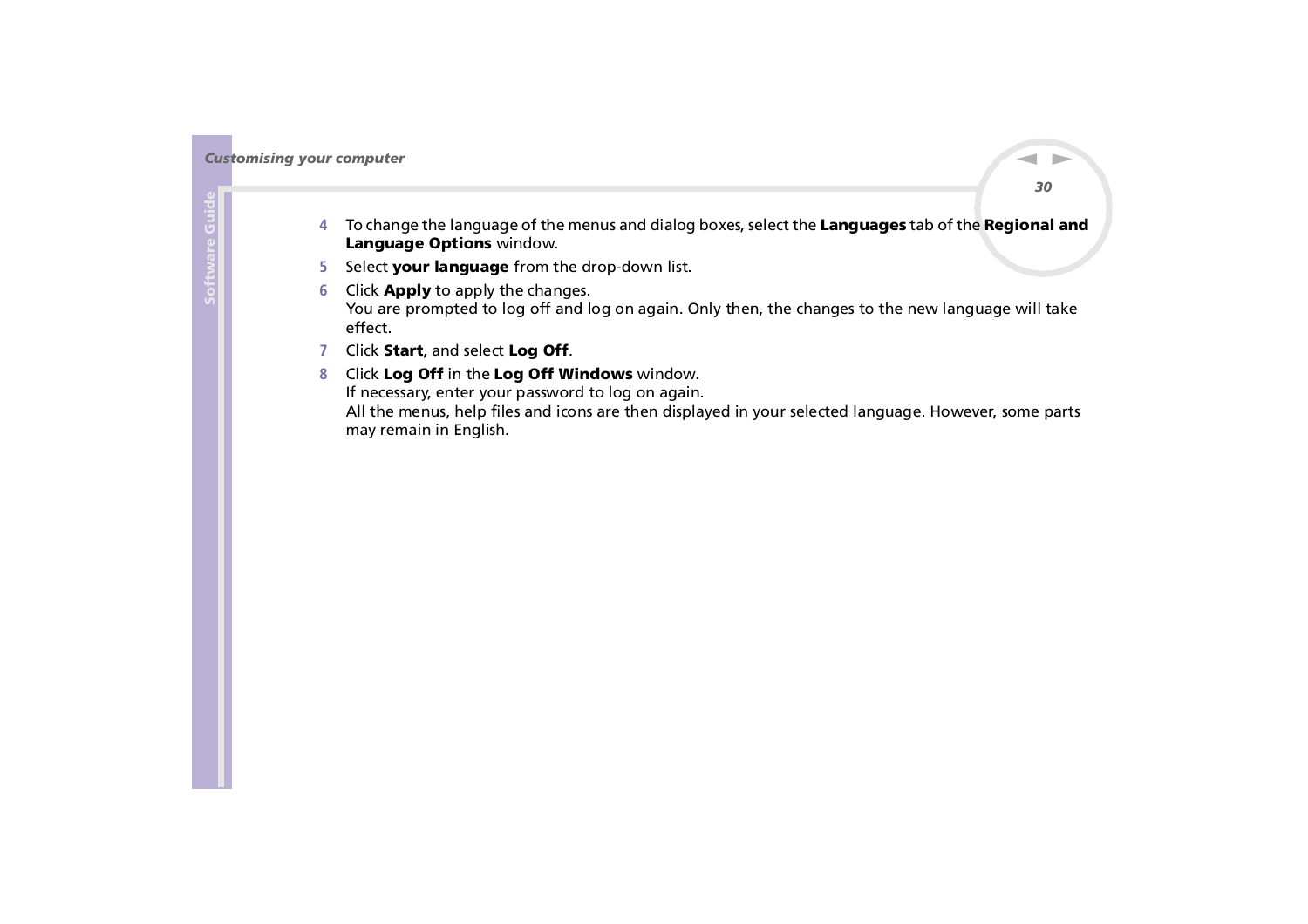- <span id="page-30-0"></span>**4** To change the language of the menus and dialog boxes, select the **Languages** tab of the **Regional and Language Options** window.
- **5** Select **your language** from the drop-down list.
- **6** Click **Apply** to apply the changes. You are prompted to log off and log on again. Only then, the changes to the new language will take effect.
- **7** Click **Start**, and select **Log Off**.
- **8** Click **Log Off** in the **Log Off Windows** window. If necessary, enter your password to log on again. All the menus, help files and icons are then displayed in your selected language. However, some parts may remain in English.

 $\blacktriangleright$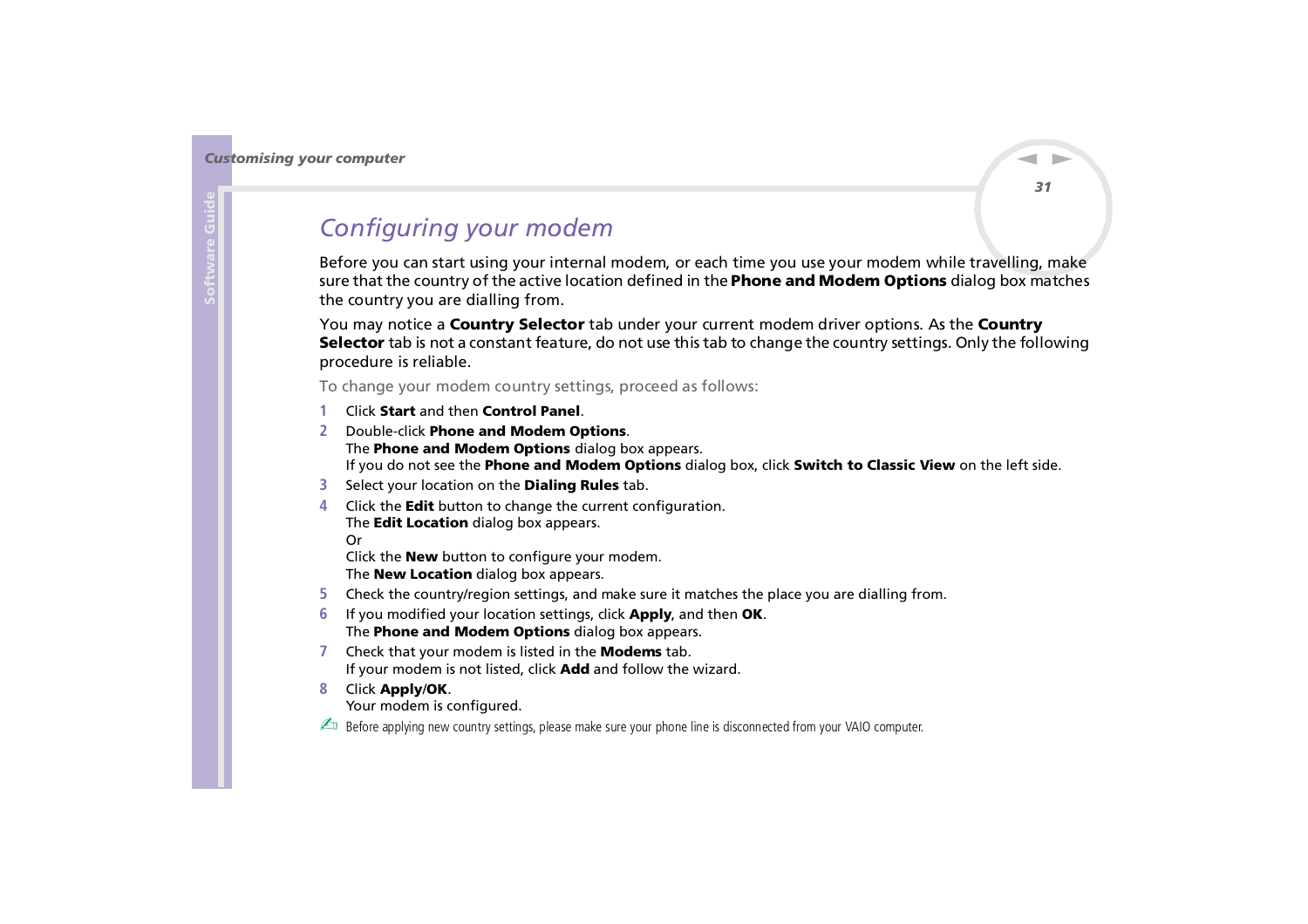## <span id="page-31-1"></span><span id="page-31-0"></span>*Configuring your modem*

Before you can start using your internal modem, or each time you use your modem while travelling, make sure that the country of the active location defined in the **Phone and Modem Options** dialog box matches the country you are dialling from.

You may notice a **Country Selector** tab under your current modem driver options. As the **Country Selector** tab is not a constant feature, do not use this tab to change the country settings. Only the following procedure is reliable.

To change your modem country settings, proceed as follows:

- **1**Click **Start** and then **Control Panel**.
- **2** Double-click **Phone and Modem Options**. The **Phone and Modem Options** dialog box appears. If you do not see the **Phone and Modem Options** dialog box, click **Switch to Classic View** on the left side.
- **3** Select your location on the **Dialing Rules** tab.
- **4** Click the **Edit** button to change the current configuration. The **Edit Location** dialog box appears.

Or

Click the **New** button to configure your modem. The **New Location** dialog box appears.

- **5**Check the country/region settings, and make sure it matches the place you are dialling from.
- **6** If you modified your location settings, click **Apply**, and then **OK**. The **Phone and Modem Options** dialog box appears.
- **7** Check that your modem is listed in the **Modems** tab. If your modem is not listed, click **Add** and follow the wizard.
- **8** Click **Apply**/**OK**.

Your modem is configured.

**ED** Before applying new country settings, please make sure your phone line is disconnected from your VAIO computer.

*31*

 $\blacktriangleright$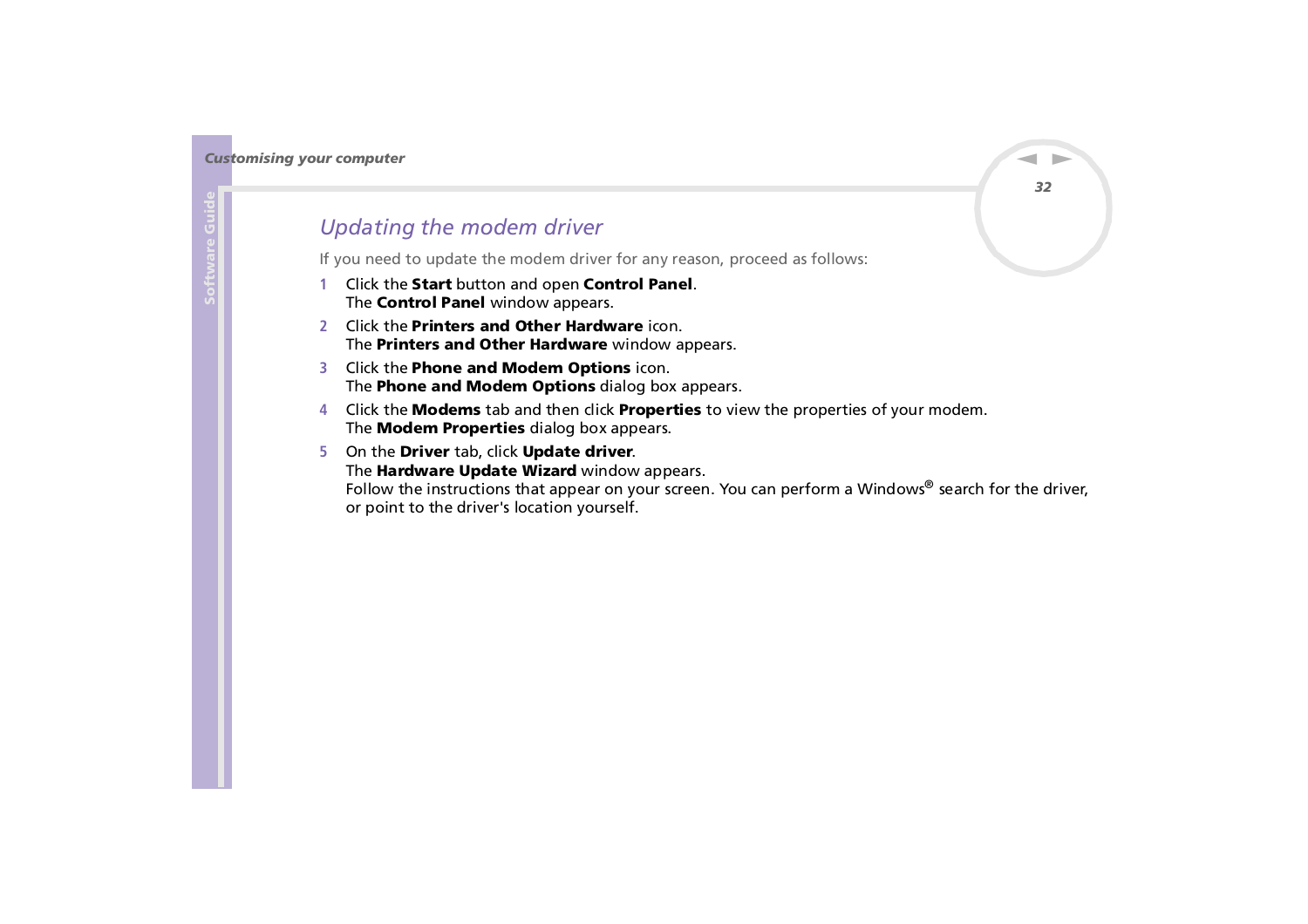### <span id="page-32-0"></span>*Updating the modem driver*

If you need to update the modem driver for any reason, proceed as follows:

- **1** Click the **Start** button and open **Control Panel**. The **Control Panel** window appears.
- **2** Click the **Printers and Other Hardware** icon. The **Printers and Other Hardware** window appears.
- **3** Click the **Phone and Modem Options** icon. The **Phone and Modem Options** dialog box appears.
- **4** Click the **Modems** tab and then click **Properties** to view the properties of your modem. The **Modem Properties** dialog box appears.
- **5** On the **Driver** tab, click **Update driver**. The **Hardware Update Wizard** window appears.

Follow the instructions that appear on your screen. You can perform a Windows® search for the driver, or point to the driver's location yourself.

 $\blacktriangleright$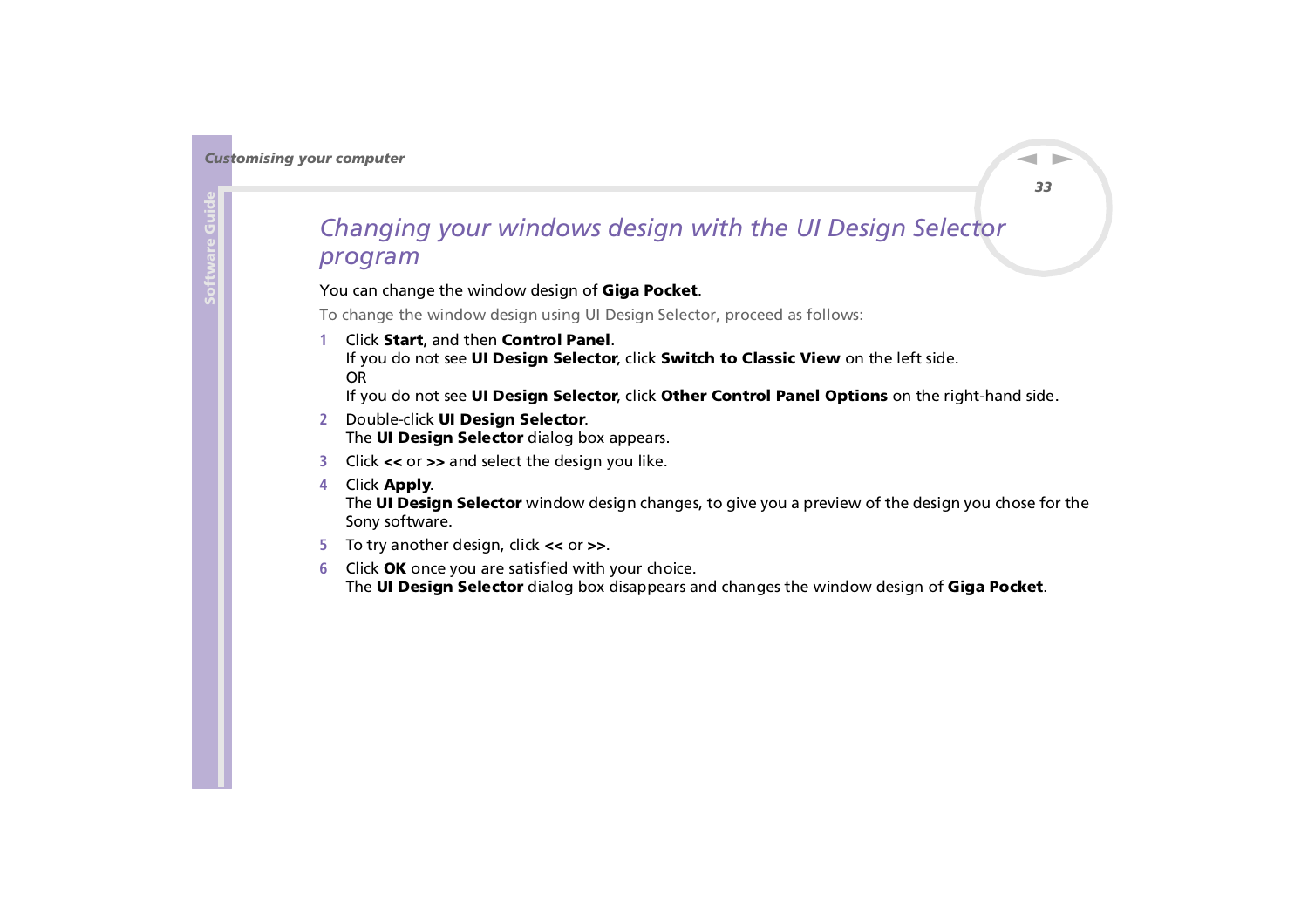## <span id="page-33-1"></span><span id="page-33-0"></span>*Changing your windows design with the UI Design Selector program*

#### You can change the window design of **Giga Pocket**.

To change the window design using UI Design Selector, proceed as follows:

**1** Click **Start**, and then **Control Panel**. If you do not see **UI Design Selector**, click **Switch to Classic View** on the left side. OR

If you do not see **UI Design Selector**, click **Other Control Panel Options** on the right-hand side.

- **2** Double-click **UI Design Selector**. The **UI Design Selector** dialog box appears.
- **3** Click **<<** or **>>** and select the design you like.
- **4** Click **Apply**. The **UI Design Selector** window design changes, to give you a preview of the design you chose for the Sony software.
- **5** To try another design, click **<<** or **>>**.
- **6** Click **OK** once you are satisfied with your choice. The **UI Design Selector** dialog box disappears and changes the window design of **Giga Pocket**.

 $\blacktriangleright$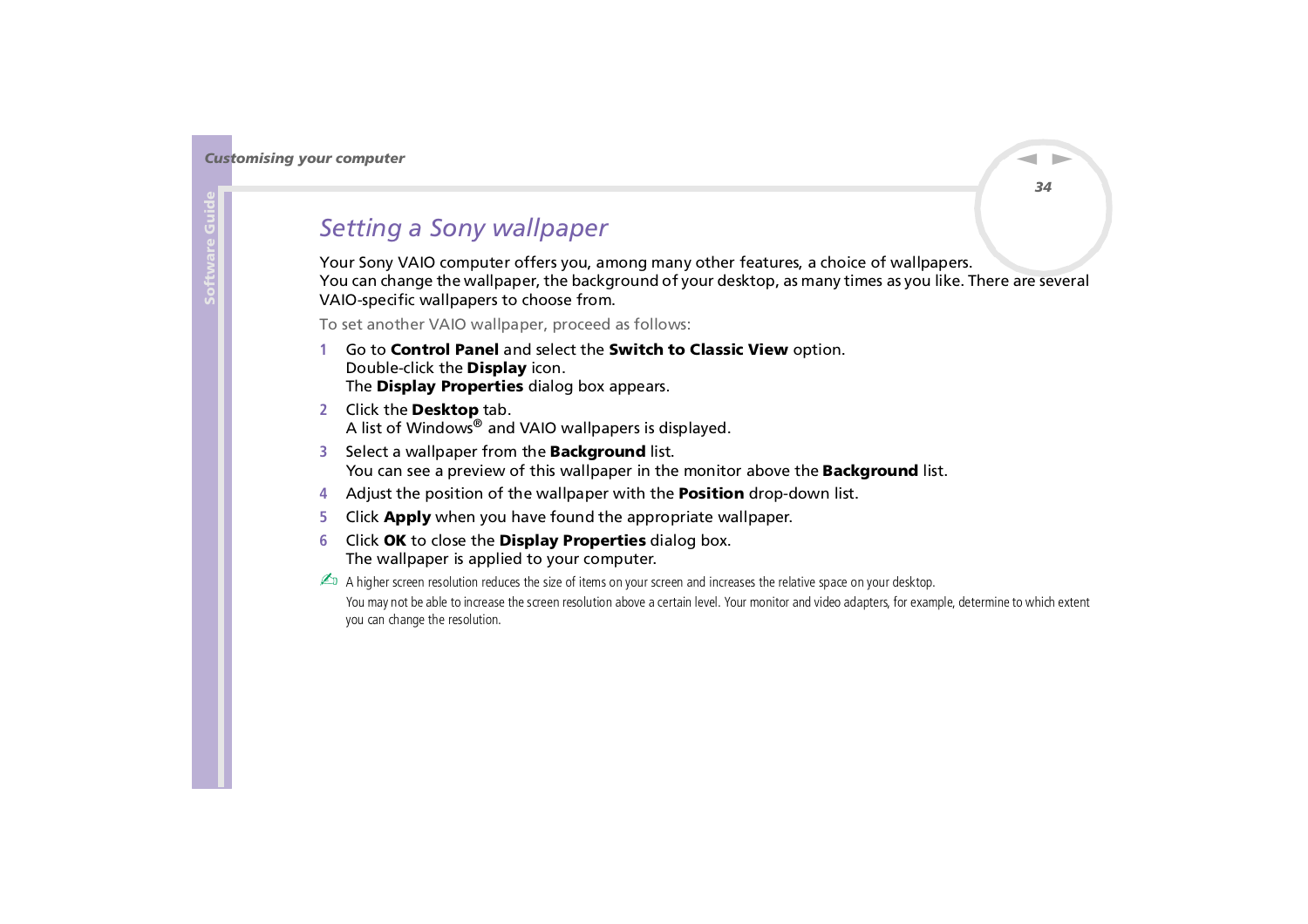## <span id="page-34-1"></span><span id="page-34-0"></span>*Setting a Sony wallpaper*

Your Sony VAIO computer offers you, among many other features, a choice of wallpapers. You can change the wallpaper, the background of your desktop, as many times as you like. There are several VAIO-specific wallpapers to choose from.

To set another VAIO wallpaper, proceed as follows:

- **1** Go to **Control Panel** and select the **Switch to Classic View** option. Double-click the **Display** icon. The **Display Properties** dialog box appears.
- **2** Click the **Desktop** tab. A list of Windows® and VAIO wallpapers is displayed.
- **3** Select a wallpaper from the **Background** list. You can see a preview of this wallpaper in the monitor above the **Background** list.
- **4**Adjust the position of the wallpaper with the **Position** drop-down list.
- **5**Click **Apply** when you have found the appropriate wallpaper.
- **6** Click **OK** to close the **Display Properties** dialog box. The wallpaper is applied to your computer.

 $\mathbb{Z}_D$  A higher screen resolution reduces the size of items on your screen and increases the relative space on your desktop. You may not be able to increase the screen resolution above a certain level. Your monitor and video adapters, for example, determine to which extent you can change the resolution.

 $\blacktriangleright$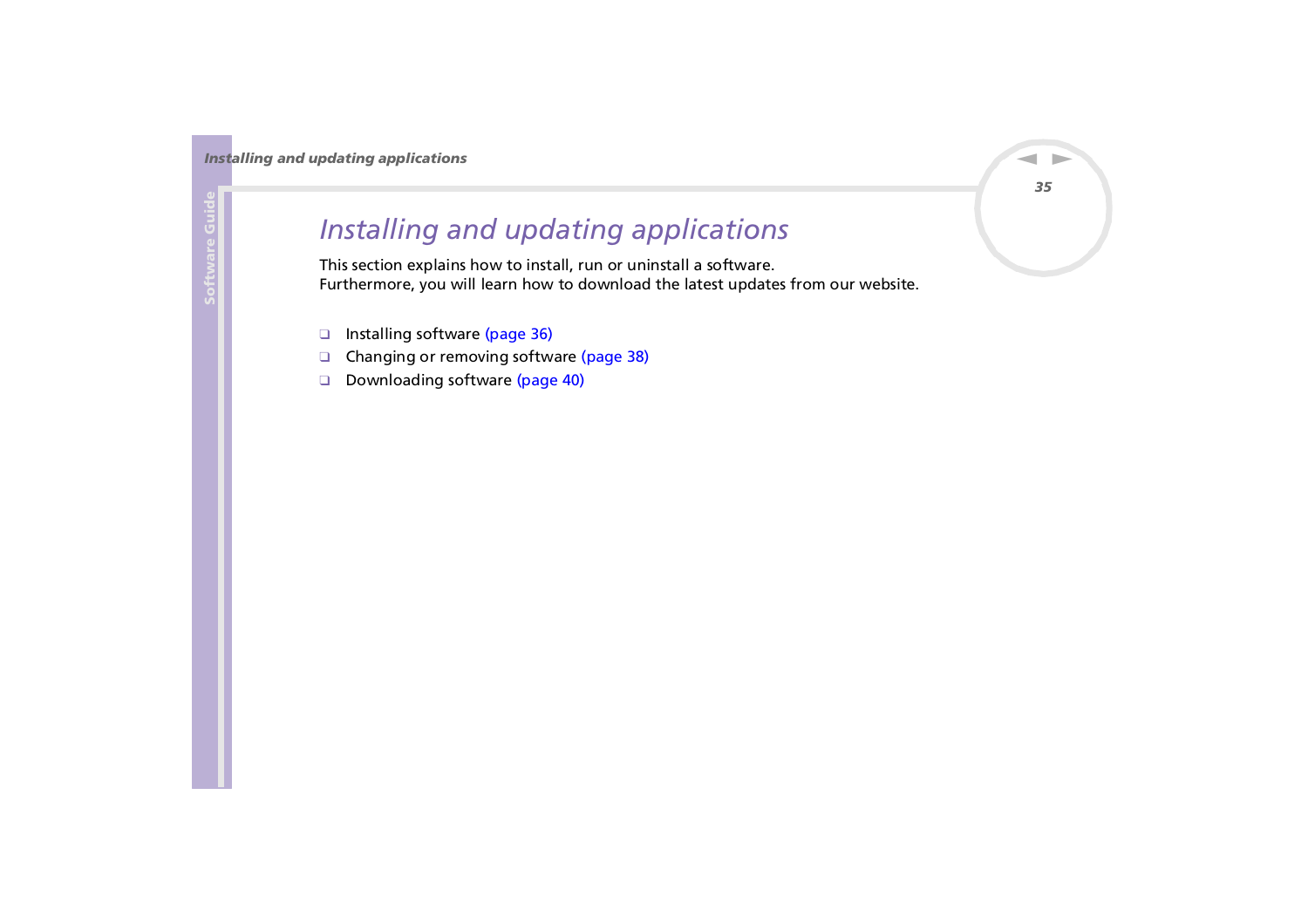# <span id="page-35-0"></span>*Installing and updating applications*

This section explains how to install, run or uninstall a software. Furthermore, you will learn how to download the latest updates from our website.

- ❑[Installing software \(page](#page-36-1) 36)
- ❑[Changing or removing software \(page](#page-38-0) 38)
- ❑[Downloading software \(page](#page-40-0) 40)

 $\blacktriangleright$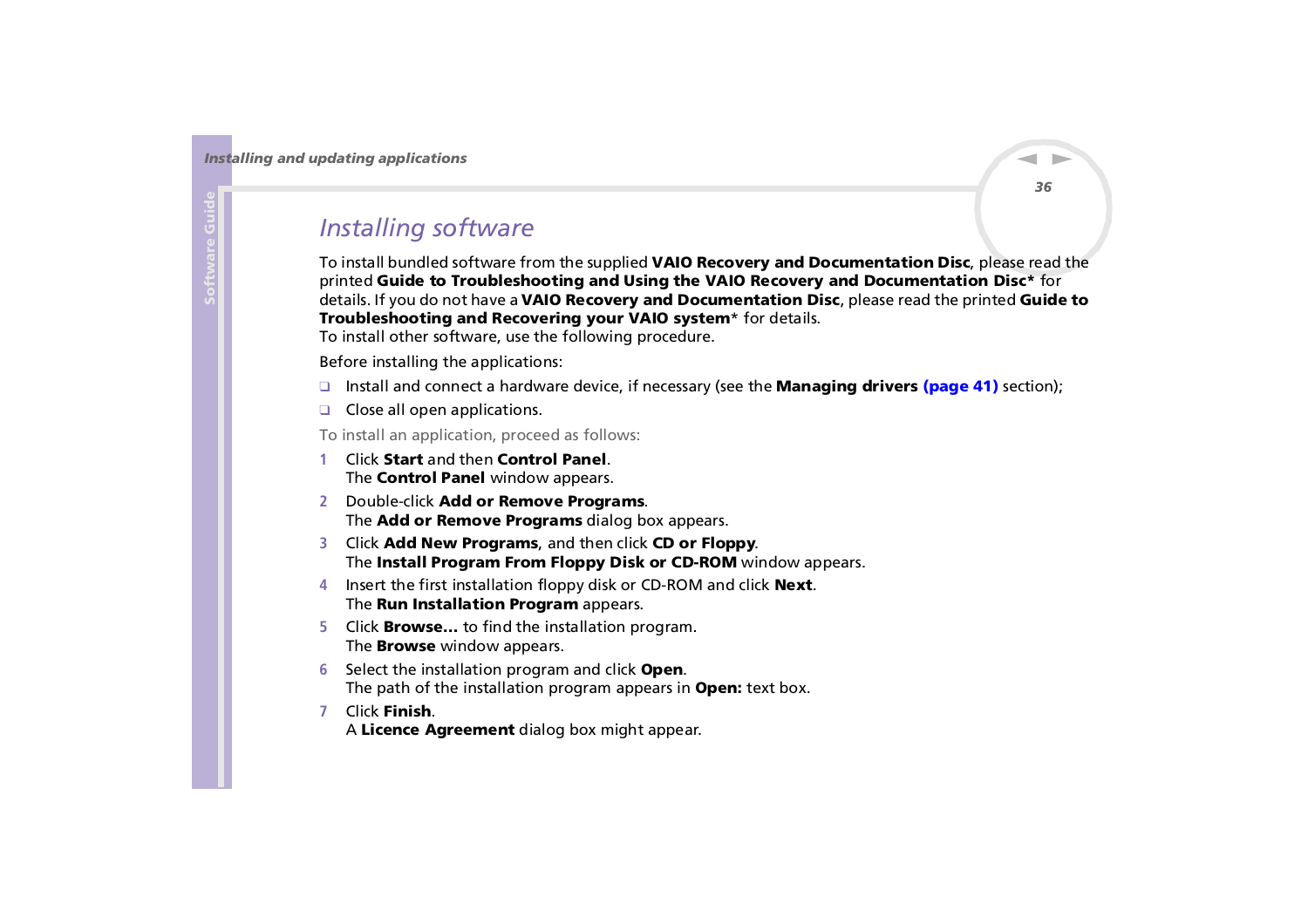## <span id="page-36-1"></span><span id="page-36-0"></span>*Installing software*

To install bundled software from the supplied **VAIO Recovery and Documentation Disc**, please read the printed **Guide to Troubleshooting and Using the VAIO Recovery and Documentation Disc\*** for details. If you do not have a **VAIO Recovery and Documentation Disc**, please read the printed **Guide to Troubleshooting and Recovering your VAIO system**\* for details.

To install other software, use the following procedure.

Before installing the applications:

- ❑ Install and connect a hardware device, if necessary (see the **[Managing drivers \(page](#page-41-0) 41)** section);
- ❑ Close all open applications.

To install an application, proceed as follows:

- **1** Click **Start** and then **Control Panel**. The **Control Panel** window appears.
- **2** Double-click **Add or Remove Programs**. The **Add or Remove Programs** dialog box appears.
- **3** Click **Add New Programs**, and then click **CD or Floppy**. The **Install Program From Floppy Disk or CD-ROM** window appears.
- **4** Insert the first installation floppy disk or CD-ROM and click **Next**. The **Run Installation Program** appears.
- **5** Click **Browse…** to find the installation program. The **Browse** window appears.
- **6** Select the installation program and click **Open**. The path of the installation program appears in **Open:** text box.
- **7** Click **Finish**. A **Licence Agreement** dialog box might appear.

 $\blacktriangleright$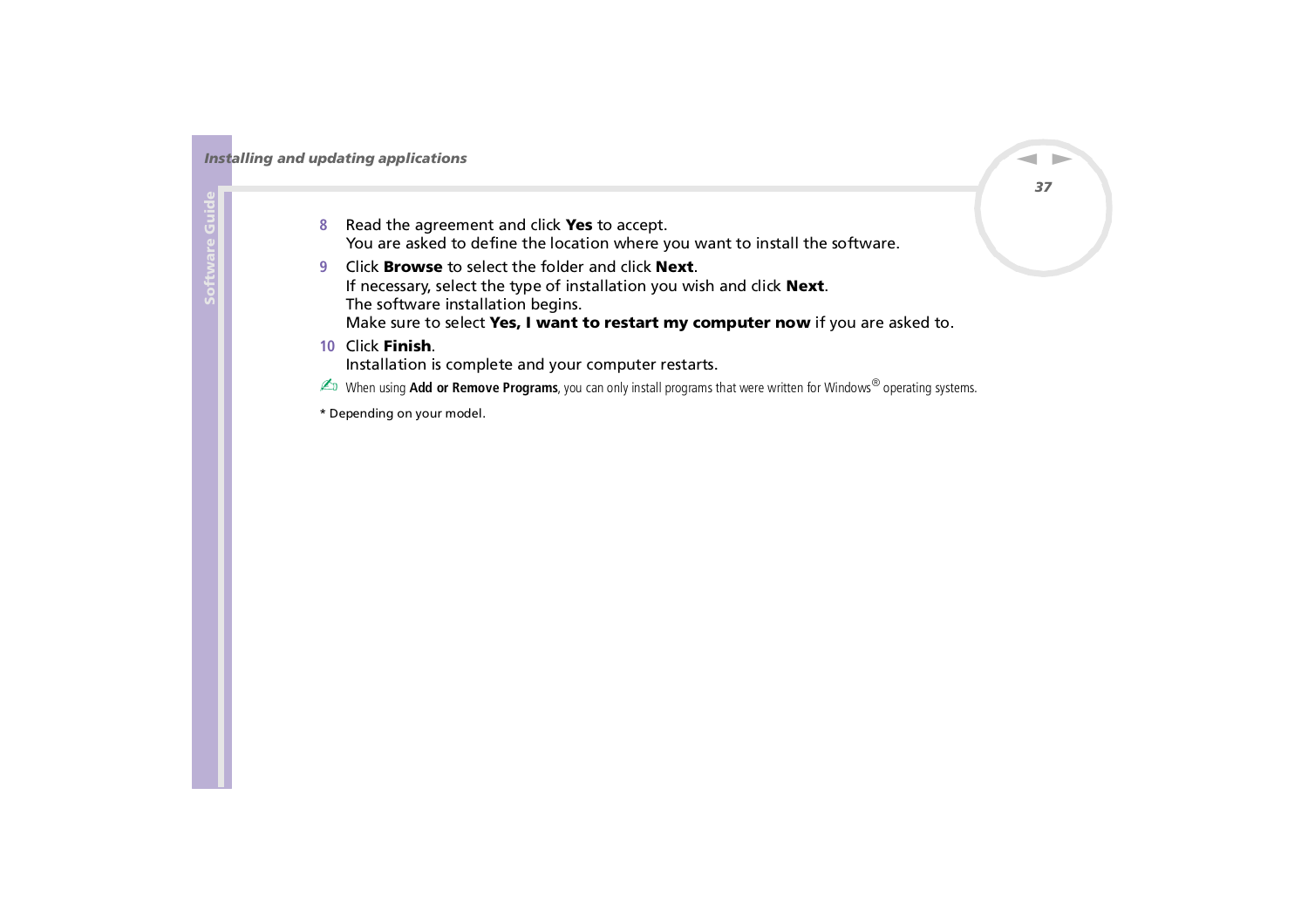- <span id="page-37-0"></span>**8** Read the agreement and click **Yes** to accept. You are asked to define the location where you want to install the software.
- **9** Click **Browse** to select the folder and click **Next**. If necessary, select the type of installation you wish and click **Next**. The software installation begins. Make sure to select **Yes, I want to restart my computer now** if you are asked to.
- **10** Click **Finish**.

Installation is complete and your computer restarts.

✍ When using **Add or Remove Programs**, you can only install programs that were written for Windows® operating systems.

\* Depending on your model.

*37*

 $\blacktriangleright$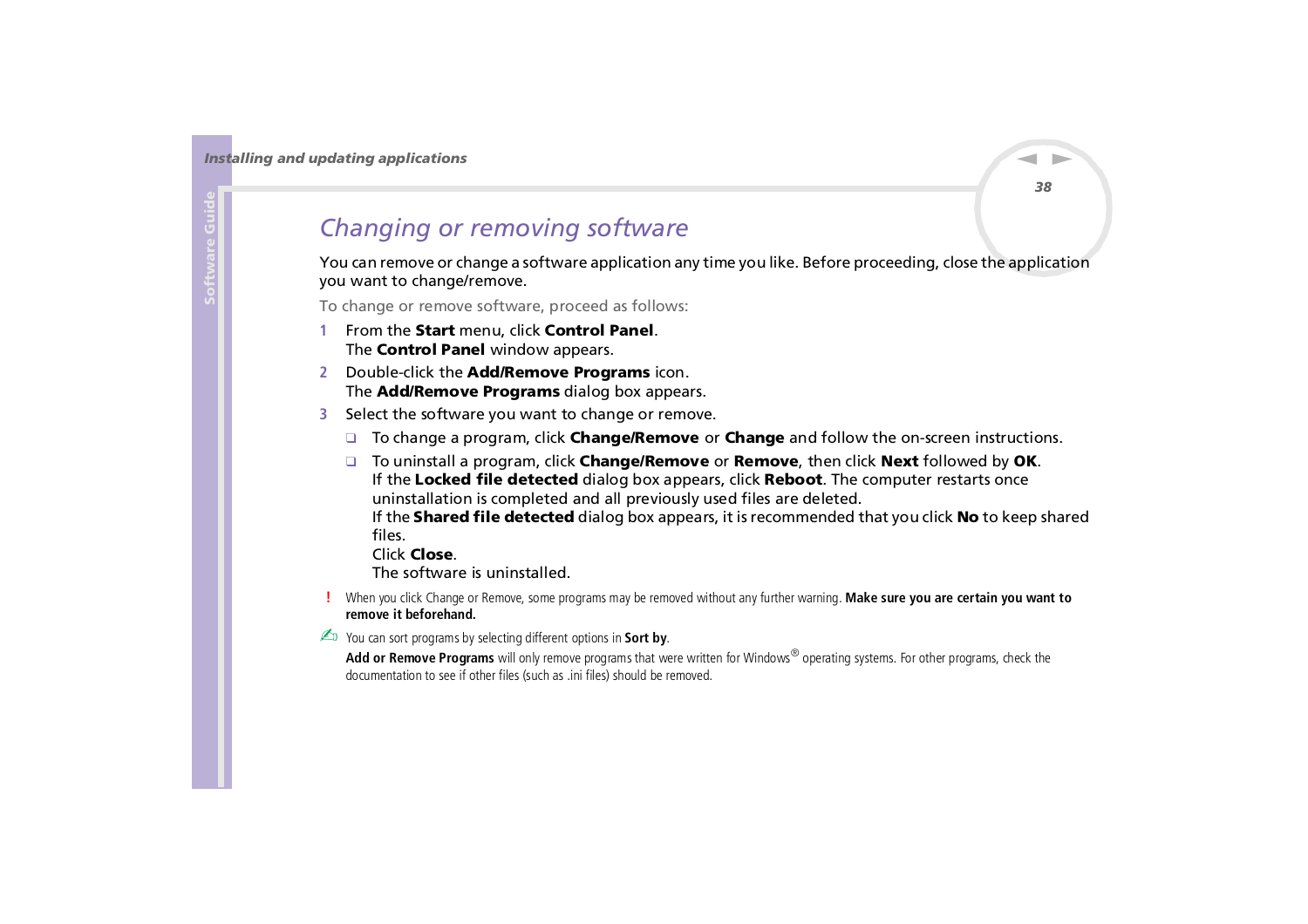## <span id="page-38-1"></span><span id="page-38-0"></span>*Changing or removing software*

You can remove or change a software application any time you like. Before proceeding, close the application you want to change/remove.

To change or remove software, proceed as follows:

- **1** From the **Start** menu, click **Control Panel**. The **Control Panel** window appears.
- **2** Double-click the **Add/Remove Programs** icon. The **Add/Remove Programs** dialog box appears.
- **3** Select the software you want to change or remove.
	- ❑ To change a program, click **Change/Remove** or **Change** and follow the on-screen instructions.
	- ❑ To uninstall a program, click **Change/Remove** or **Remove**, then click **Next** followed by **OK**. If the **Locked file detected** dialog box appears, click **Reboot**. The computer restarts once uninstallation is completed and all previously used files are deleted. If the **Shared file detected** dialog box appears, it is recommended that you click **No** to keep shared files.

Click **Close**.

The software is uninstalled.

 When you click Change or Remove, some programs may be removed without any further warning. **Make sure you are certain you want to remove it beforehand.**

You can sort programs by selecting different options in **Sort by**.

**Add or Remove Programs** will only remove programs that were written for Windows® operating systems. For other programs, check the documentation to see if other files (such as .ini files) should be removed.

 $\blacktriangleright$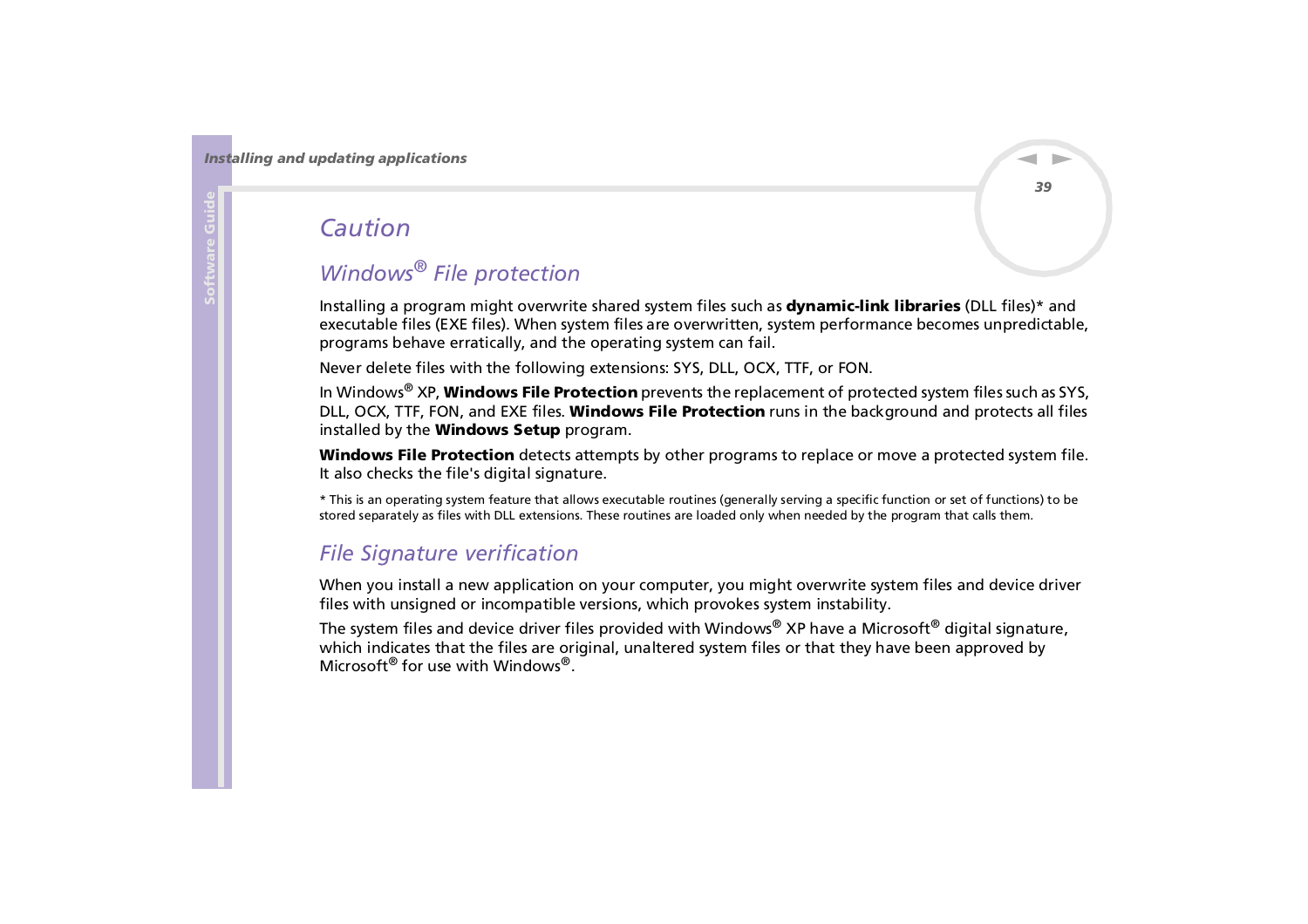## <span id="page-39-0"></span>*Caution*

## *Windows® File protection*

Installing a program might overwrite shared system files such as **dynamic-link libraries** (DLL files)\* and executable files (EXE files). When system files are overwritten, system performance becomes unpredictable, programs behave erratically, and the operating system can fail.

Never delete files with the following extensions: SYS, DLL, OCX, TTF, or FON.

In Windows® XP, **Windows File Protection** prevents the replacement of protected system files such as SYS, DLL, OCX, TTF, FON, and EXE files. **Windows File Protection** runs in the background and protects all files installed by the **Windows Setup** program.

**Windows File Protection** detects attempts by other programs to replace or move a protected system file. It also checks the file's digital signature.

\* This is an operating system feature that allows executable routines (generally serving a specific function or set of functions) to be stored separately as files with DLL extensions. These routines are loaded only when needed by the program that calls them.

### *File Signature verification*

When you install a new application on your computer, you might overwrite system files and device driver files with unsigned or incompatible versions, which provokes system instability.

The system files and device driver files provided with Windows® XP have a Microsoft® digital signature, which indicates that the files are original, unaltered system files or that they have been approved by Microsoft® for use with Windows®.

 $\blacktriangleright$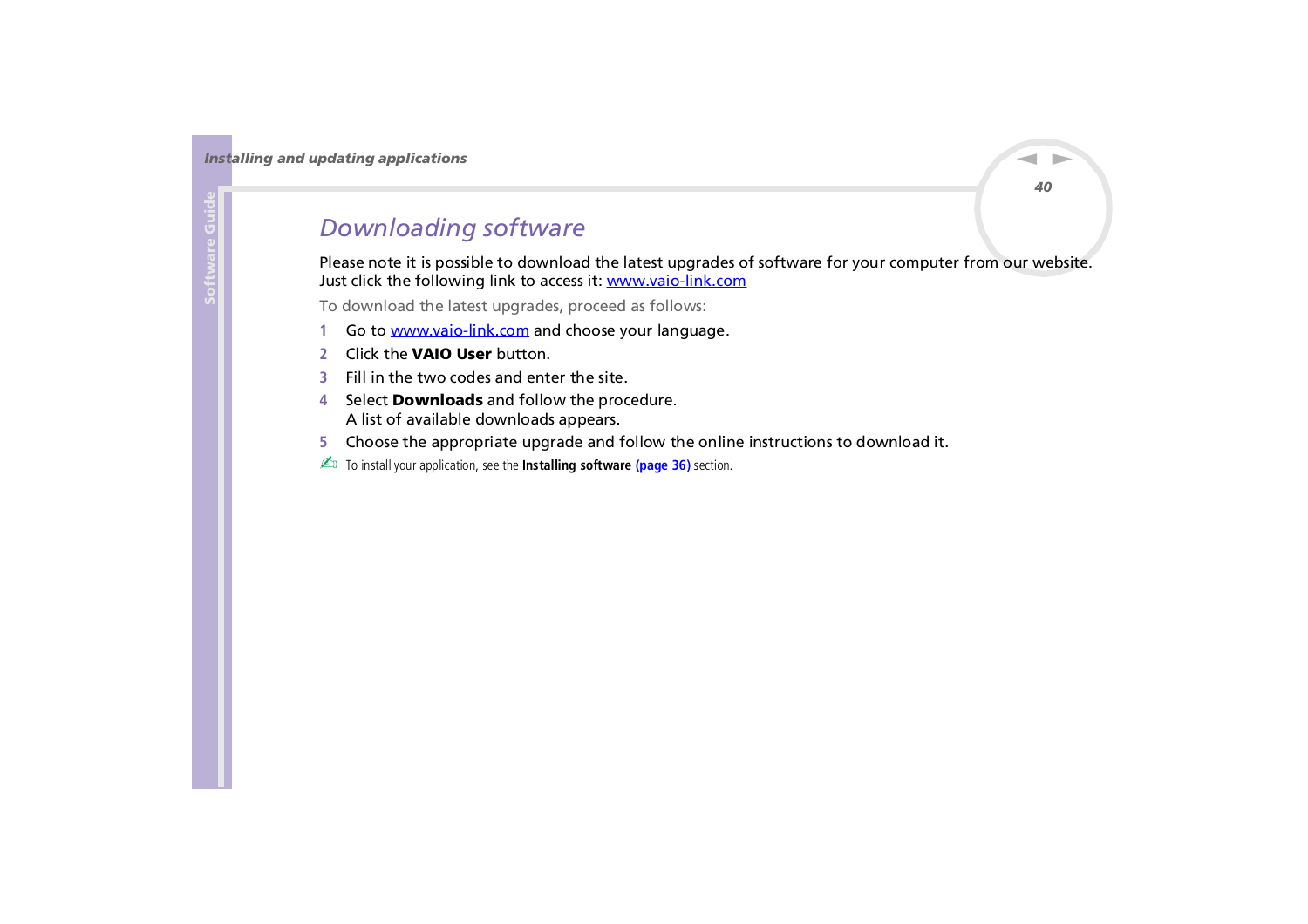## <span id="page-40-1"></span><span id="page-40-0"></span>*Downloading software*

Please note it is possible to download the latest upgrades of software for your computer from our website. Just click the following link to access it: <www.vaio-link.com>

To download the latest upgrades, proceed as follows:

- **1**Go to <www.vaio-link.com>and choose your language.
- **2**Click the **VAIO User** button.
- **3**Fill in the two codes and enter the site.
- **4** Select **Downloads** and follow the procedure. A list of available downloads appears.
- **5**Choose the appropriate upgrade and follow the online instructions to download it.
- ✍ To install your application, see the **[Installing software \(page](#page-36-1) 36)** section.

*40*

 $\blacktriangleright$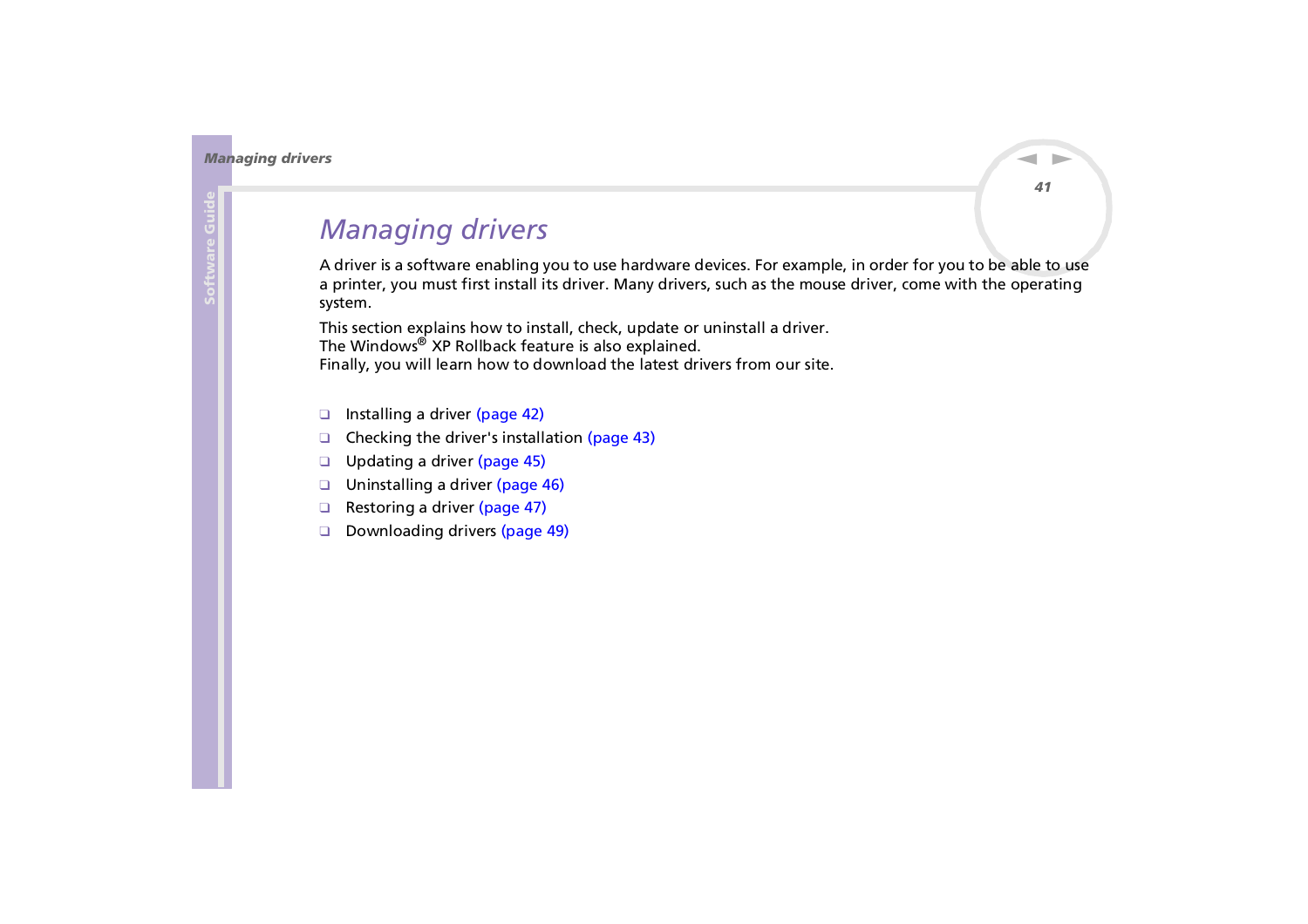# <span id="page-41-1"></span><span id="page-41-0"></span>*Managing drivers*

A driver is a software enabling you to use hardware devices. For example, in order for you to be able to use a printer, you must first install its driver. Many drivers, such as the mouse driver, come with the operating system.

This section explains how to install, check, update or uninstall a driver. The Windows® XP Rollback feature is also explained. Finally, you will learn how to download the latest drivers from our site.

- ❑[Installing a driver \(page](#page-42-1) 42)
- ❑[Checking the driver's installation \(page](#page-43-0) 43)
- ❑[Updating a driver \(page](#page-45-0) 45)
- ❑[Uninstalling a driver \(page](#page-46-0) 46)
- ❑[Restoring a driver \(page](#page-47-0) 47)
- ❑[Downloading drivers \(page](#page-49-0) 49)

 $\blacktriangleright$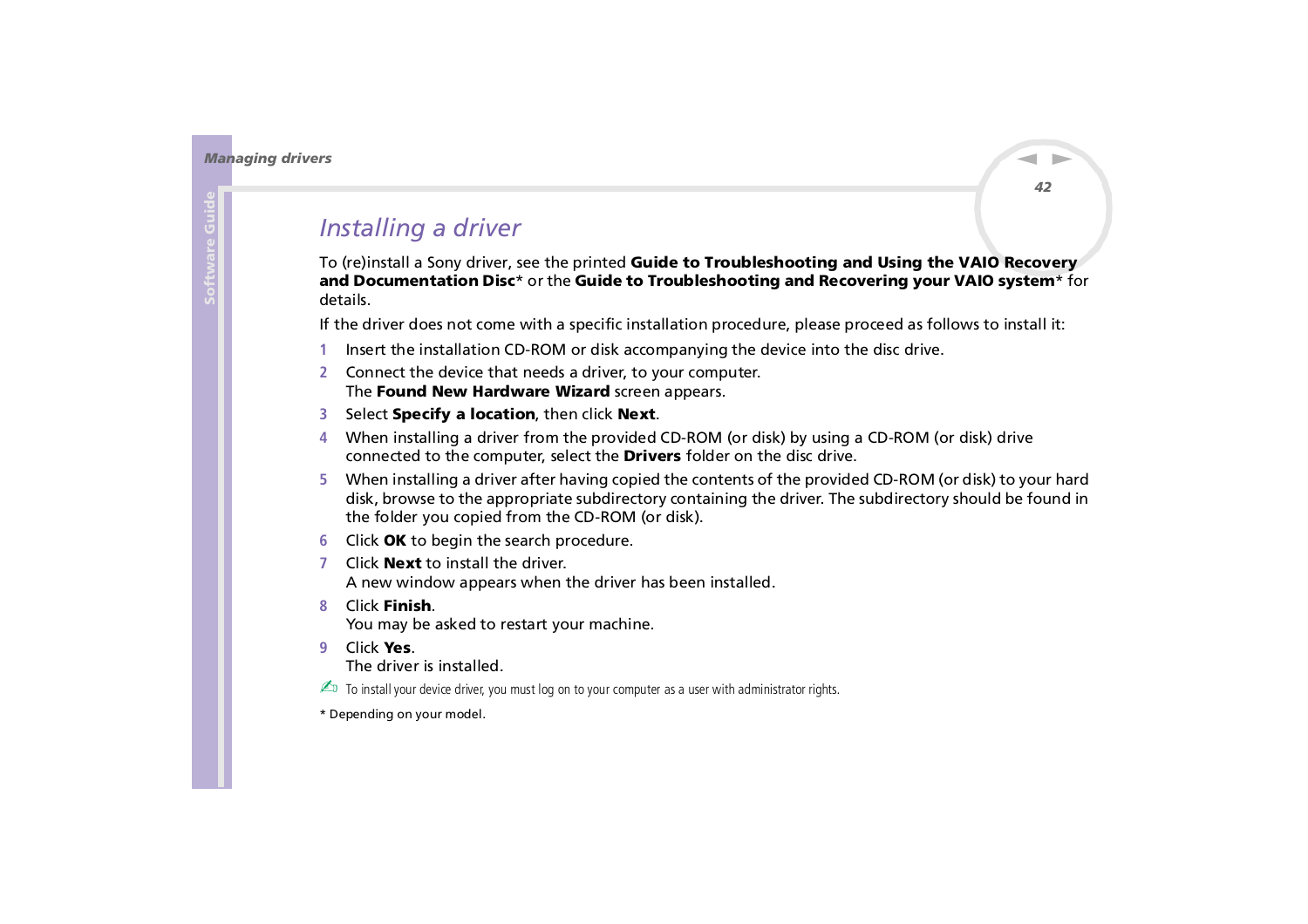$\blacktriangleright$ 

 $\lhd$ 

## <span id="page-42-1"></span><span id="page-42-0"></span>*Installing a driver*

To (re)install a Sony driver, see the printed **Guide to Troubleshooting and Using the VAIO Recovery and Documentation Disc**\* or the **Guide to Troubleshooting and Recovering your VAIO system**\* for details.

If the driver does not come with a specific installation procedure, please proceed as follows to install it:

- **1**Insert the installation CD-ROM or disk accompanying the device into the disc drive.
- **2** Connect the device that needs a driver, to your computer. The **Found New Hardware Wizard** screen appears.
- **3**Select **Specify a location**, then click **Next**.
- **4** When installing a driver from the provided CD-ROM (or disk) by using a CD-ROM (or disk) drive connected to the computer, select the **Drivers** folder on the disc drive.
- **5** When installing a driver after having copied the contents of the provided CD-ROM (or disk) to your hard disk, browse to the appropriate subdirectory containing the driver. The subdirectory should be found in the folder you copied from the CD-ROM (or disk).
- **6**Click **OK** to begin the search procedure.
- **7** Click **Next** to install the driver. A new window appears when the driver has been installed.
- **8**Click **Finish**.

You may be asked to restart your machine.

**9**Click **Yes**.

The driver is installed.

 $\triangle$  To install your device driver, you must log on to your computer as a user with administrator rights.

\* Depending on your model.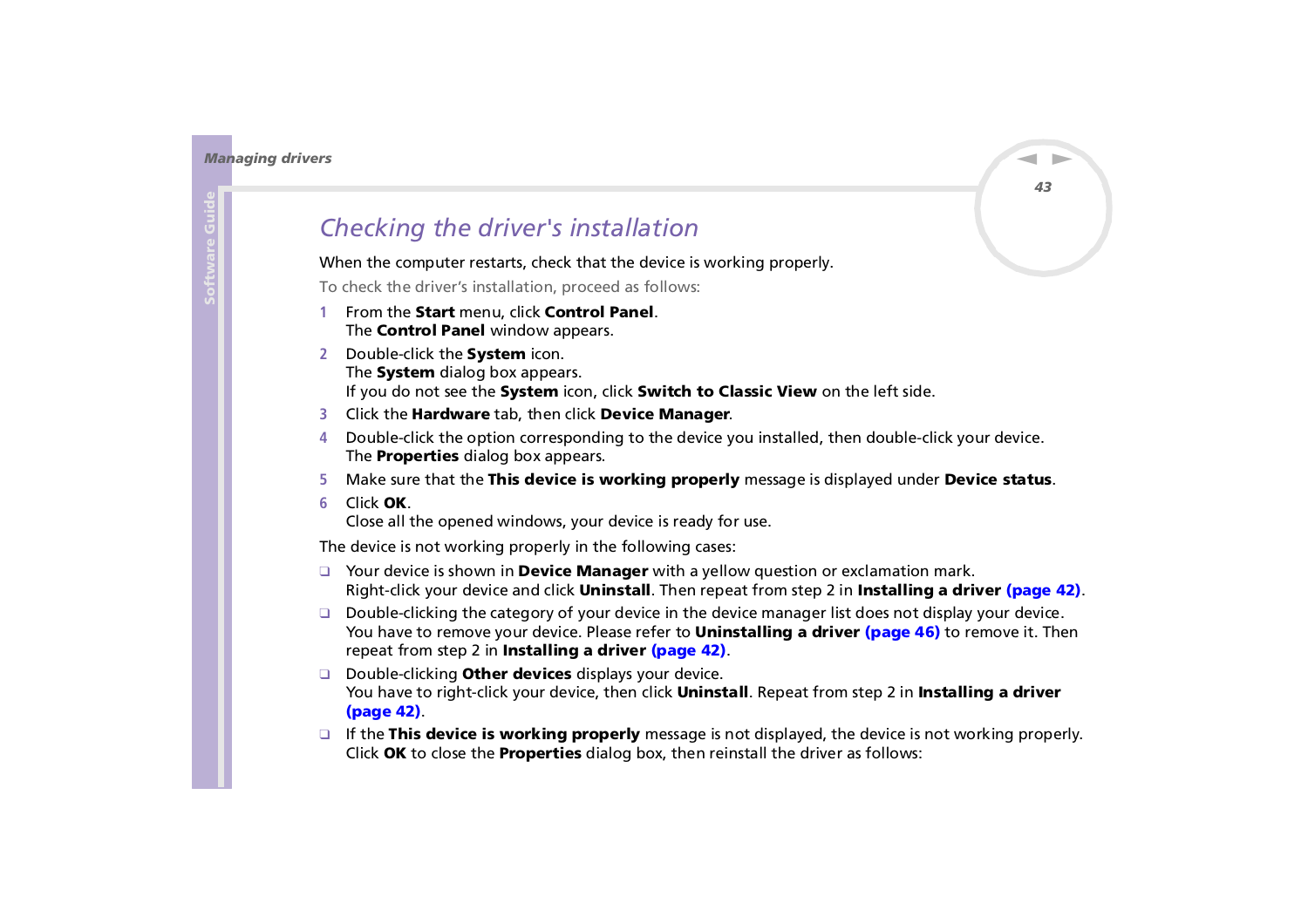## <span id="page-43-1"></span><span id="page-43-0"></span>*Checking the driver's installation*

When the computer restarts, check that the device is working properly.

To check the driver's installation, proceed as follows:

- **1** From the **Start** menu, click **Control Panel**. The **Control Panel** window appears.
- **2** Double-click the **System** icon. The **System** dialog box appears. If you do not see the **System** icon, click **Switch to Classic View** on the left side.
- **3** Click the **Hardware** tab, then click **Device Manager**.
- **4** Double-click the option corresponding to the device you installed, then double-click your device. The **Properties** dialog box appears.
- **5**Make sure that the **This device is working properly** message is displayed under **Device status**.
- **6**Click **OK**.

Close all the opened windows, your device is ready for use.

The device is not working properly in the following cases:

- ❑ Your device is shown in **Device Manager** with a yellow question or exclamation mark. Right-click your device and click **Uninstall**. Then repeat from step 2 in **[Installing a driver \(page](#page-42-1) 42)**.
- ❑ Double-clicking the category of your device in the device manager list does not display your device. You have to remove your device. Please refer to **[Uninstalling a driver \(page](#page-46-0) 46)** to remove it. Then repeat from step 2 in **[Installing a driver \(page](#page-42-1) 42)**.
- ❑ Double-clicking **Other devices** displays your device. You have to right-click your device, then click **Uninstall**. Repeat from step 2 in **[Installing a driver](#page-42-1)  [\(page](#page-42-1) 42)**.
- ❑ If the **This device is working properly** message is not displayed, the device is not working properly. Click **OK** to close the **Properties** dialog box, then reinstall the driver as follows:

 $\blacktriangleright$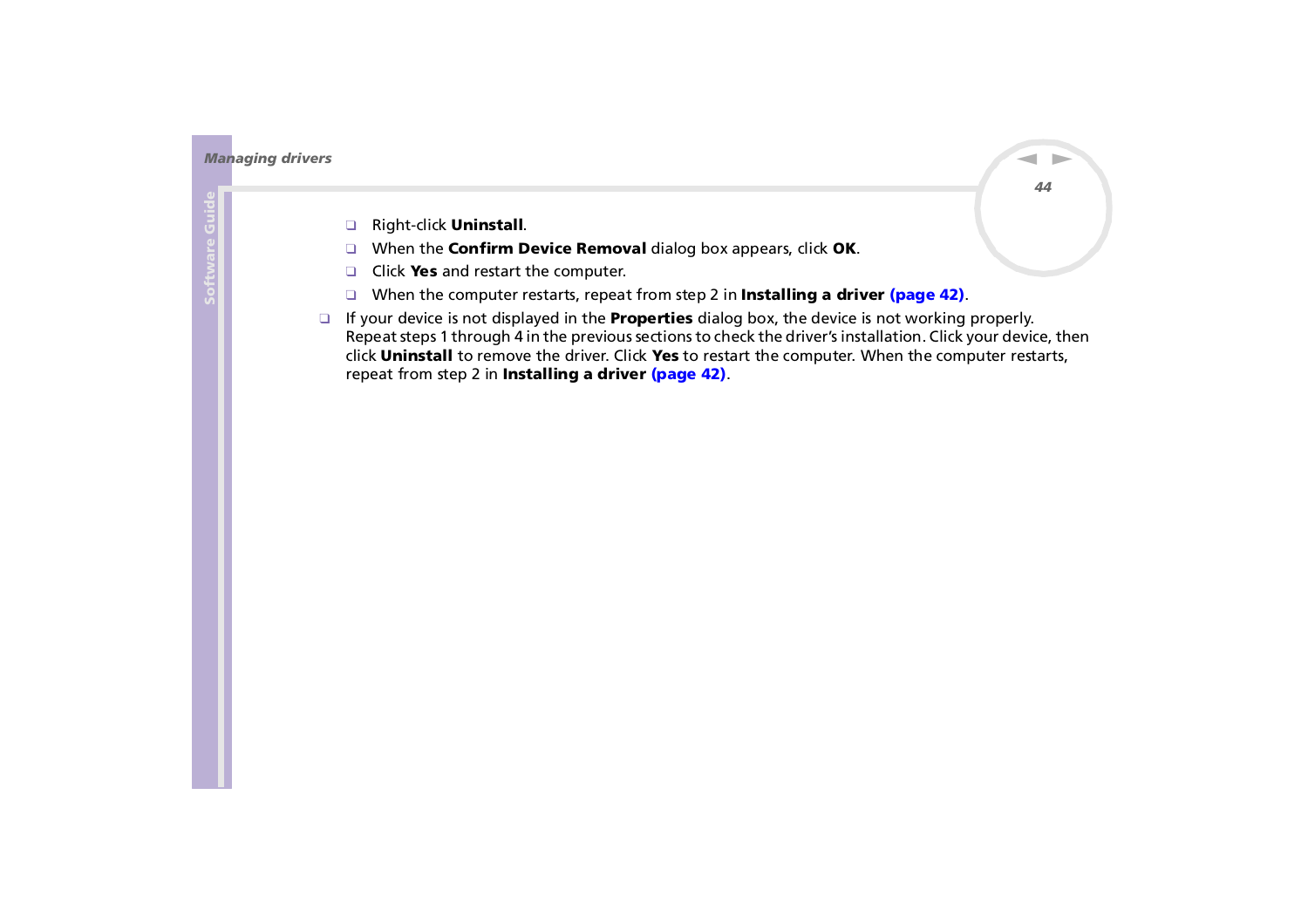<span id="page-44-0"></span>*Managing drivers*

- ❑Right-click **Uninstall**.
- ❑When the **Confirm Device Removal** dialog box appears, click **OK**.
- $\Box$ Click **Yes** and restart the computer.
- ❑When the computer restarts, repeat from step 2 in **[Installing a driver \(page](#page-42-1) 42)**.
- ❑ If your device is not displayed in the **Properties** dialog box, the device is not working properly. Repeat steps 1 through 4 in the previous sections to check the driver's installation. Click your device, then click **Uninstall** to remove the driver. Click **Yes** to restart the computer. When the computer restarts, repeat from step 2 in **[Installing a driver \(page](#page-42-1) 42)**.

 $\blacktriangleright$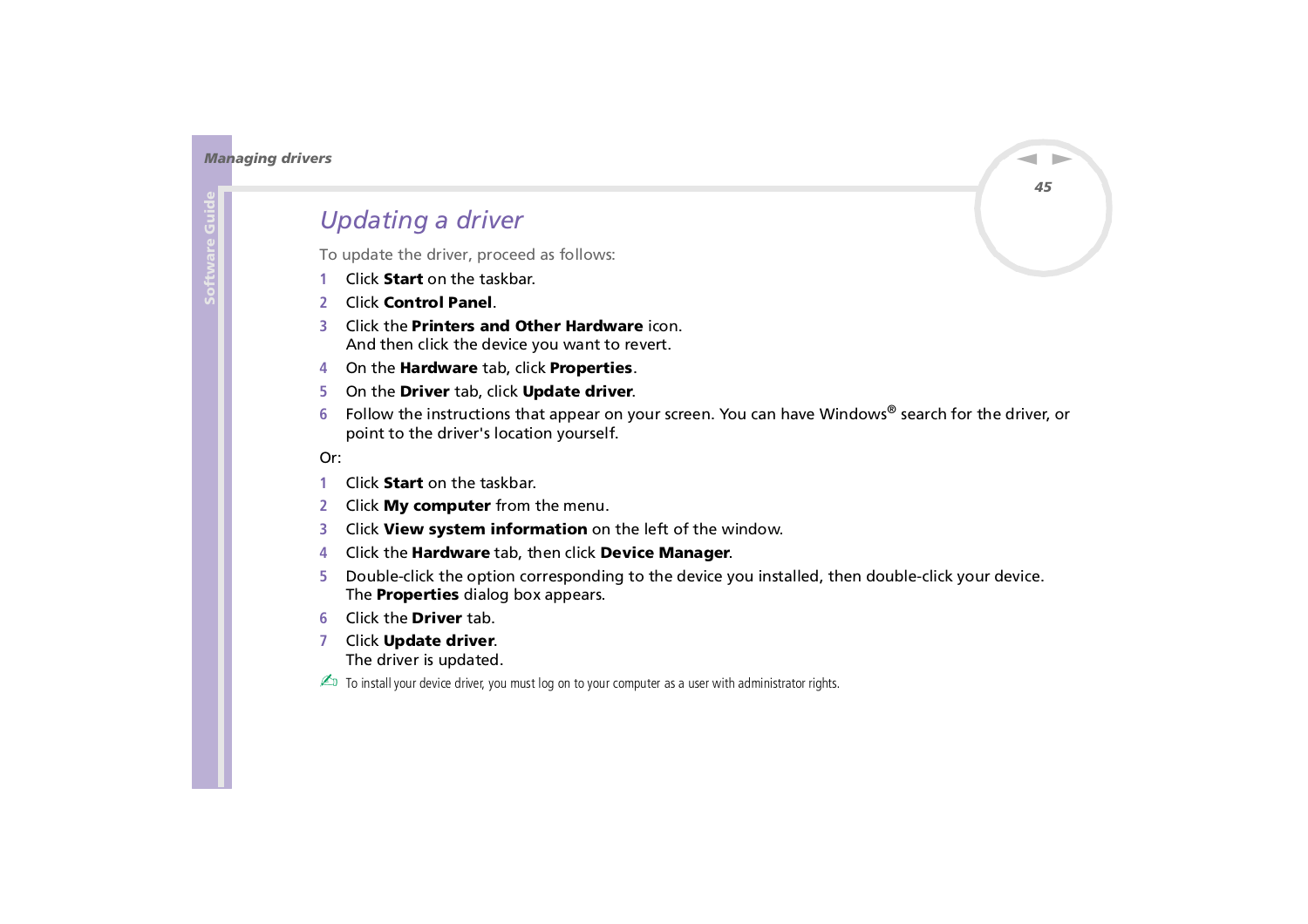## <span id="page-45-1"></span><span id="page-45-0"></span>*Updating a driver*

To update the driver, proceed as follows:

- **1**Click **Start** on the taskbar.
- **2** Click **Control Panel**.
- **3** Click the **Printers and Other Hardware** icon. And then click the device you want to revert.
- **4** On the **Hardware** tab, click **Properties**.
- **5** On the **Driver** tab, click **Update driver**.
- **6** Follow the instructions that appear on your screen. You can have Windows® search for the driver, or point to the driver's location yourself.

Or:

- **1**Click **Start** on the taskbar.
- **2**Click **My computer** from the menu.
- **3**Click **View system information** on the left of the window.
- **4**Click the **Hardware** tab, then click **Device Manager**.
- **5** Double-click the option corresponding to the device you installed, then double-click your device. The **Properties** dialog box appears.
- **6**Click the **Driver** tab.
- **7** Click **Update driver**. The driver is updated.
- $\triangle$  To install your device driver, you must log on to your computer as a user with administrator rights.

*45*

 $\blacktriangleright$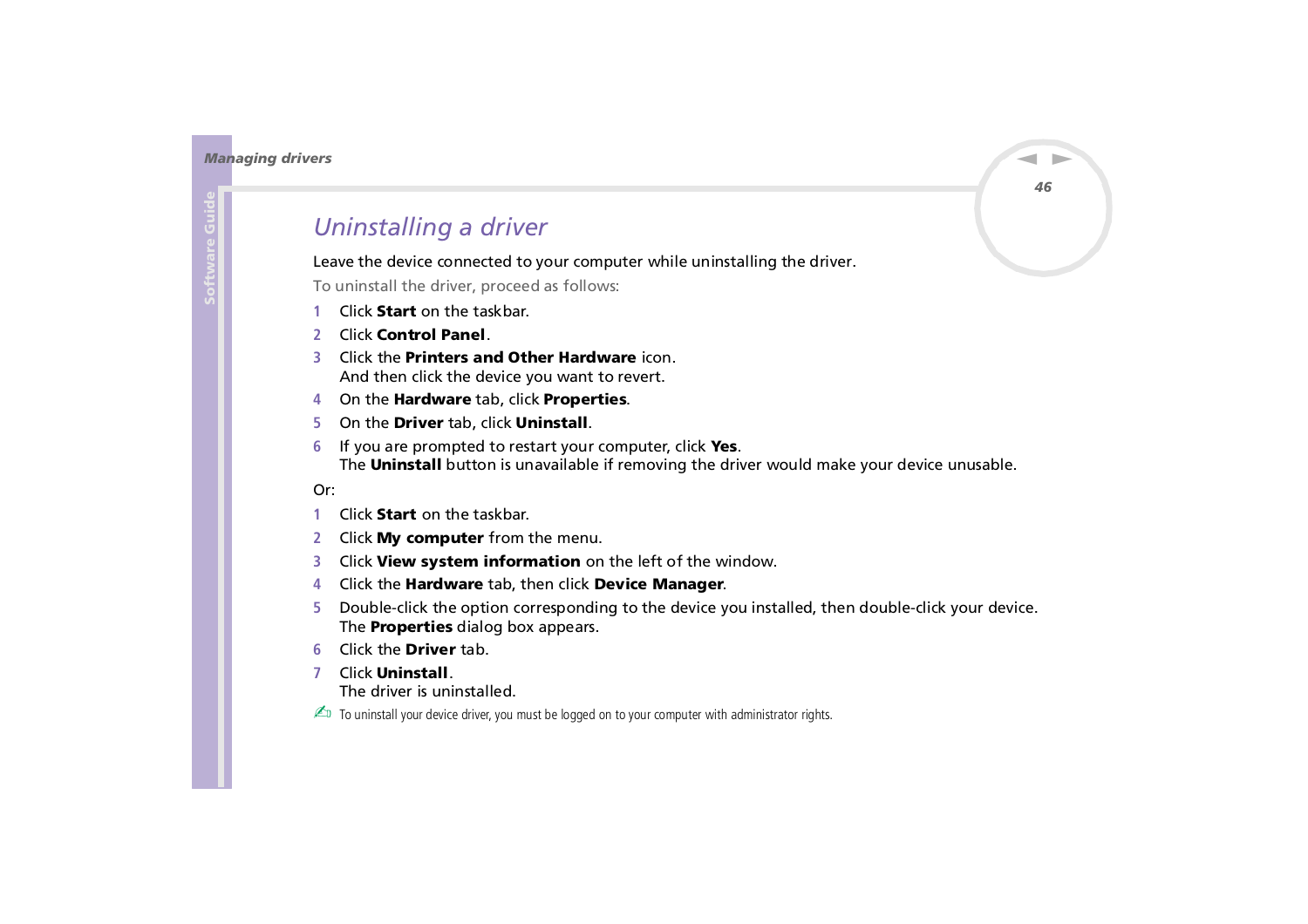## <span id="page-46-1"></span><span id="page-46-0"></span>*Uninstalling a driver*

Leave the device connected to your computer while uninstalling the driver.

To uninstall the driver, proceed as follows:

- **1**Click **Start** on the taskbar.
- **2**Click **Control Panel**.
- **3** Click the **Printers and Other Hardware** icon. And then click the device you want to revert.
- **4**On the **Hardware** tab, click **Properties**.
- **5**On the **Driver** tab, click **Uninstall**.
- **6** If you are prompted to restart your computer, click **Yes**. The **Uninstall** button is unavailable if removing the driver would make your device unusable.

#### Or:

- **1**Click **Start** on the taskbar.
- **2**Click **My computer** from the menu.
- **3**Click **View system information** on the left of the window.
- **4**Click the **Hardware** tab, then click **Device Manager**.
- **5** Double-click the option corresponding to the device you installed, then double-click your device. The **Properties** dialog box appears.
- **6**Click the **Driver** tab.
- **7** Click **Uninstall**. The driver is uninstalled.

 $\triangle$  To uninstall your device driver, you must be logged on to your computer with administrator rights.

 $\blacktriangleright$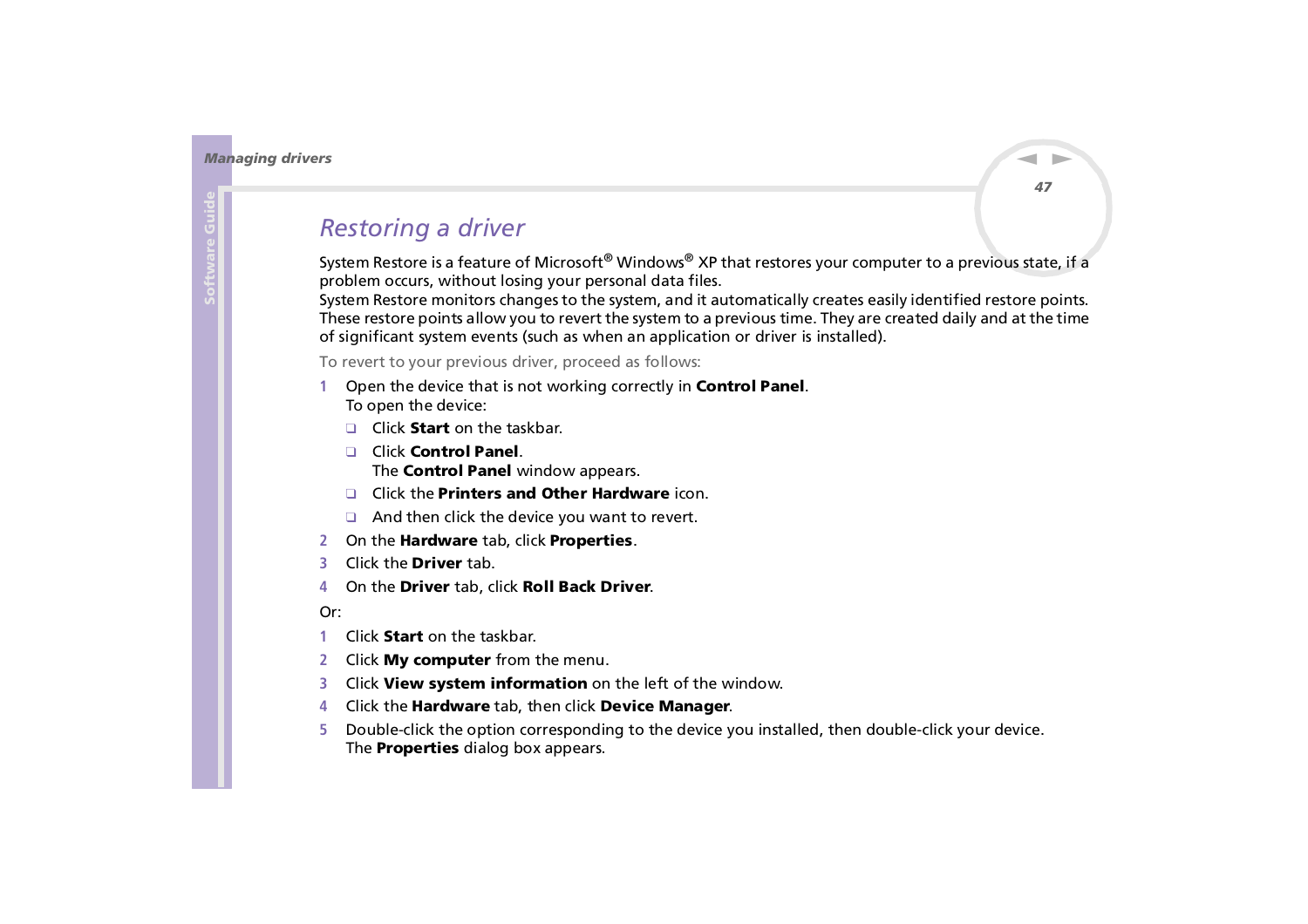## <span id="page-47-1"></span><span id="page-47-0"></span>*Restoring a driver*

System Restore is a feature of Microsoft<sup>®</sup> Windows<sup>®</sup> XP that restores your computer to a previous state, if a problem occurs, without losing your personal data files.

System Restore monitors changes to the system, and it automatically creates easily identified restore points. These restore points allow you to revert the system to a previous time. They are created daily and at the time of significant system events (such as when an application or driver is installed).

To revert to your previous driver, proceed as follows:

- **1** Open the device that is not working correctly in **Control Panel**. To open the device:
	- ❑ Click **Start** on the taskbar.
	- ❑ Click **Control Panel**. The **Control Panel** window appears.
	- ❑ Click the **Printers and Other Hardware** icon.
	- ❑ And then click the device you want to revert.
- **2** On the **Hardware** tab, click **Properties**.
- **3** Click the **Driver** tab.
- **4**On the **Driver** tab, click **Roll Back Driver**.

#### Or:

- **1**Click **Start** on the taskbar.
- **2**Click **My computer** from the menu.
- **3**Click **View system information** on the left of the window.
- **4** Click the **Hardware** tab, then click **Device Manager**.
- **5** Double-click the option corresponding to the device you installed, then double-click your device. The **Properties** dialog box appears.

*47*

 $\blacktriangleright$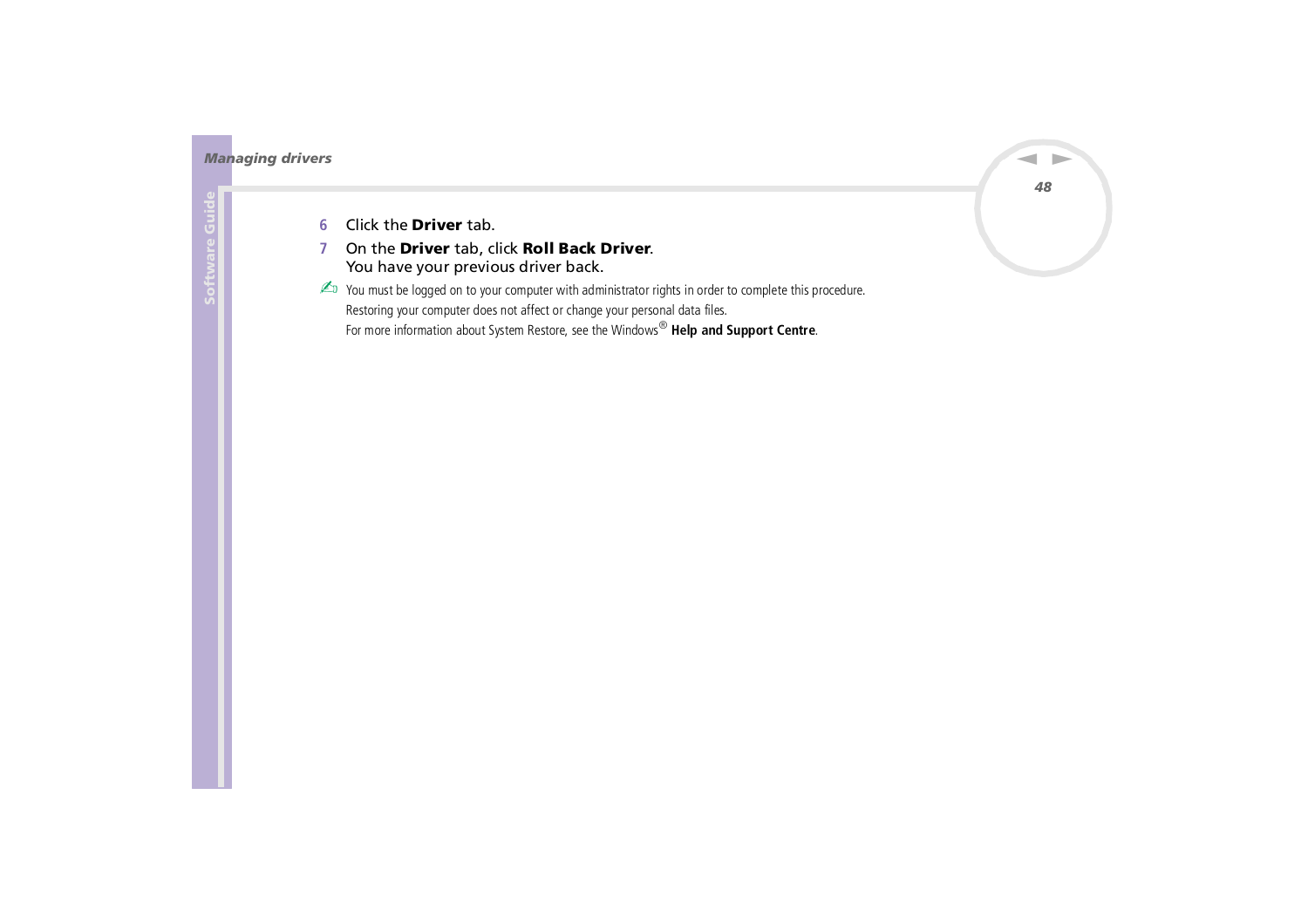<span id="page-48-0"></span>*Managing drivers*

- **6**Click the **Driver** tab.
- **7** On the **Driver** tab, click **Roll Back Driver**. You have your previous driver back.

 $\mathbb{Z}_D$  You must be logged on to your computer with administrator rights in order to complete this procedure. Restoring your computer does not affect or change your personal data files. For more information about System Restore, see the Windows ® **Help and Support Centre**.

*48*

 $\blacktriangleright$